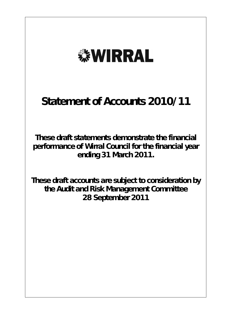

# **Statement of Accounts 2010/11**

**These draft statements demonstrate the financial performance of Wirral Council for the financial year ending 31 March 2011.**

**These draft accounts are subject to consideration by the Audit and Risk Management Committee 28 September 2011**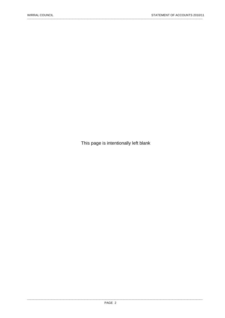This page is intentionally left blank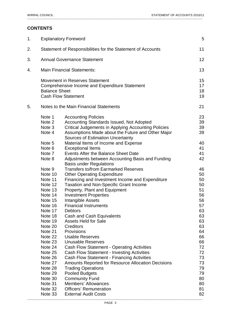# **CONTENTS**

| 1. |                                                     | <b>Explanatory Foreword</b>                                                                                                                                                                                                           | 5                          |
|----|-----------------------------------------------------|---------------------------------------------------------------------------------------------------------------------------------------------------------------------------------------------------------------------------------------|----------------------------|
| 2. |                                                     | Statement of Responsibilities for the Statement of Accounts                                                                                                                                                                           | 11                         |
| 3. |                                                     | <b>Annual Governance Statement</b>                                                                                                                                                                                                    | 12                         |
| 4. |                                                     | <b>Main Financial Statements:</b>                                                                                                                                                                                                     | 13                         |
|    | <b>Balance Sheet</b>                                | Movement in Reserves Statement<br>Comprehensive Income and Expenditure Statement<br><b>Cash Flow Statement</b>                                                                                                                        | 15<br>17<br>18<br>19       |
| 5. |                                                     | Notes to the Main Financial Statements                                                                                                                                                                                                | 21                         |
|    | Note 1<br>Note 2<br>Note <sub>3</sub><br>Note 4     | <b>Accounting Policies</b><br><b>Accounting Standards Issued, Not Adopted</b><br>Critical Judgements in Applying Accounting Policies<br>Assumptions Made about the Future and Other Major<br><b>Sources of Estimation Uncertainty</b> | 23<br>39<br>39<br>39       |
|    | Note 5<br>Note 6<br>Note 7<br>Note 8                | Material Items of Income and Expense<br><b>Exceptional Items</b><br><b>Events After the Balance Sheet Date</b><br>Adjustments between Accounting Basis and Funding<br><b>Basis under Regulations</b>                                  | 40<br>41<br>41<br>42       |
|    | Note 9<br>Note 10<br>Note 11<br>Note 12<br>Note 13  | <b>Transfers to/from Earmarked Reserves</b><br><b>Other Operating Expenditure</b><br>Financing and Investment Income and Expenditure<br><b>Taxation and Non-Specific Grant Income</b><br>Property, Plant and Equipment                | 46<br>50<br>50<br>50<br>51 |
|    | Note 14<br>Note 15<br>Note 16<br>Note 17            | <b>Investment Properties</b><br><b>Intangible Assets</b><br><b>Financial Instruments</b><br><b>Debtors</b>                                                                                                                            | 56<br>56<br>57<br>63       |
|    | Note 18<br>Note 19<br>Note 20<br>Note 21<br>Note 22 | Cash and Cash Equivalents<br><b>Assets Held for Sale</b><br><b>Creditors</b><br>Provisions<br><b>Usable Reserves</b>                                                                                                                  | 63<br>63<br>63<br>64<br>66 |
|    | Note 23<br>Note 24<br>Note 25<br>Note 26            | <b>Unusable Reserves</b><br><b>Cash Flow Statement - Operating Activities</b><br><b>Cash Flow Statement - Investing Activities</b><br>Cash Flow Statement - Financing Activities                                                      | 66<br>72<br>72<br>73       |
|    | Note 27<br>Note 28<br>Note 29<br>Note 30            | <b>Amounts Reported for Resource Allocation Decisions</b><br><b>Trading Operations</b><br><b>Pooled Budgets</b><br><b>Community Fund</b>                                                                                              | 73<br>79<br>79<br>80       |
|    | Note 31<br>Note 32<br>Note 33                       | <b>Members' Allowances</b><br><b>Officers' Remuneration</b><br><b>External Audit Costs</b>                                                                                                                                            | 80<br>81<br>82             |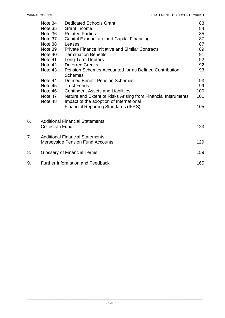|    | Note 34                | <b>Dedicated Schools Grant</b>                                          | 83  |
|----|------------------------|-------------------------------------------------------------------------|-----|
|    | Note 35                | <b>Grant Income</b>                                                     | 84  |
|    | Note 36                | <b>Related Parties</b>                                                  | 85  |
|    | Note 37                | Capital Expenditure and Capital Financing                               | 87  |
|    | Note 38                | Leases                                                                  | 87  |
|    | Note 39                | <b>Private Finance Initiative and Similar Contracts</b>                 | 89  |
|    | Note 40                | <b>Termination Benefits</b>                                             | 91  |
|    | Note 41                | Long Term Debtors                                                       | 92  |
|    | Note 42                | <b>Deferred Credits</b>                                                 | 92  |
|    | Note 43                | Pension Schemes Accounted for as Defined Contribution<br><b>Schemes</b> | 93  |
|    | Note 44                | <b>Defined Benefit Pension Schemes</b>                                  | 93  |
|    | Note 45                | <b>Trust Funds</b>                                                      | 99  |
|    | Note 46                | <b>Contingent Assets and Liabilities</b>                                | 100 |
|    | Note 47                | Nature and Extent of Risks Arising from Financial Instruments           | 101 |
|    | Note 48                | Impact of the adoption of International                                 |     |
|    |                        | <b>Financial Reporting Standards (IFRS)</b>                             | 105 |
| 6. | <b>Collection Fund</b> | <b>Additional Financial Statements:</b>                                 | 123 |
|    |                        |                                                                         |     |
| 7. |                        | <b>Additional Financial Statements:</b>                                 |     |
|    |                        | <b>Merseyside Pension Fund Accounts</b>                                 | 129 |
| 8. |                        | <b>Glossary of Financial Terms</b>                                      | 159 |
| 9. |                        | <b>Further Information and Feedback</b>                                 | 165 |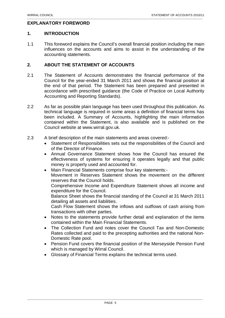# **EXPLANATORY FOREWORD**

#### **1. INTRODUCTION**

1.1 This foreword explains the Council's overall financial position including the main influences on the accounts and aims to assist in the understanding of the accounting statements.

# **2. ABOUT THE STATEMENT OF ACCOUNTS**

- 2.1 The Statement of Accounts demonstrates the financial performance of the Council for the year-ended 31 March 2011 and shows the financial position at the end of that period. The Statement has been prepared and presented in accordance with prescribed guidance (the Code of Practice on Local Authority Accounting and Reporting Standards).
- 2.2 As far as possible plain language has been used throughout this publication. As technical language is required in some areas a definition of financial terms has been included. A Summary of Accounts, highlighting the main information contained within the Statement, is also available and is published on the Council website at www.wirral.gov.uk.
- 2.3 A brief description of the main statements and areas covered:-
	- Statement of Responsibilities sets out the responsibilities of the Council and of the Director of Finance.
	- Annual Governance Statement shows how the Council has ensured the effectiveness of systems for ensuring it operates legally and that public money is properly used and accounted for.
	- Main Financial Statements comprise four key statements:-

Movement in Reserves Statement shows the movement on the different reserves that the Council holds.

Comprehensive Income and Expenditure Statement shows all income and expenditure for the Council.

Balance Sheet shows the financial standing of the Council at 31 March 2011 detailing all assets and liabilities.

Cash Flow Statement shows the inflows and outflows of cash arising from transactions with other parties.

- Notes to the statements provide further detail and explanation of the items contained within the Main Financial Statements.
- The Collection Fund and notes cover the Council Tax and Non-Domestic Rates collected and paid to the precepting authorities and the national Non-Domestic Rate pool.
- Pension Fund covers the financial position of the Merseyside Pension Fund which is managed by Wirral Council.
- Glossary of Financial Terms explains the technical terms used.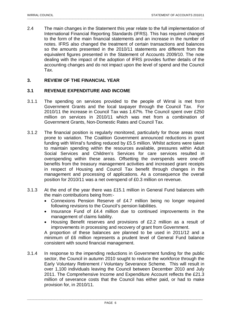2.4 The main changes in the Statement this year relate to the full implementation of International Financial Reporting Standards (IFRS). This has required changes to the form of the main financial statements and an increase in the number of notes. IFRS also changed the treatment of certain transactions and balances so the amounts presented in the 2010/11 statements are different from the equivalent figures presented in the Statement of Accounts 2009/10. The note dealing with the impact of the adoption of IFRS provides further details of the accounting changes and do not impact upon the level of spend and the Council Tax.

## **3. REVIEW OF THE FINANCIAL YEAR**

#### **3.1 REVENUE EXPENDITURE AND INCOME**

- 3.1.1 The spending on services provided to the people of Wirral is met from Government Grants and the local taxpayer through the Council Tax. For 2010/11 the increase in Council Tax was 1.67%. The Council spent over £250 million on services in 2010/11 which was met from a combination of Government Grants, Non-Domestic Rates and Council Tax.
- 3.1.2 The financial position is regularly monitored, particularly for those areas most prone to variation. The Coalition Government announced reductions in grant funding with Wirral's funding reduced by £5.5 million. Whilst actions were taken to maintain spending within the resources available, pressures within Adult Social Services and Children's Services for care services resulted in overspending within these areas. Offsetting the overspends were one-off benefits from the treasury management activities and increased grant receipts in respect of Housing and Council Tax benefit through changes in the management and processing of applications. As a consequence the overall position for 2010/11 was a net overspend of £0.3 million on revenue.
- 3.1.3 At the end of the year there was £15.1 million in General Fund balances with the main contributions being from:-
	- Connexions Pension Reserve of £4.7 million being no longer required following revisions to the Council's pension liabilities.
	- Insurance Fund of £4.4 million due to continued improvements in the management of claims liability.
	- Housing Benefit reserves and provisions of £2.2 million as a result of improvements in processing and recovery of grant from Government.

A proportion of these balances are planned to be used in 2011/12 and a minimum of £6 million represents a prudent level of General Fund balance consistent with sound financial management.

3.1.4 In response to the impending reductions in Government funding for the public sector, the Council in autumn 2010 sought to reduce the workforce through the Early Voluntary Retirement / Voluntary Severance Scheme. This will result in over 1,100 individuals leaving the Council between December 2010 and July 2011. The Comprehensive Income and Expenditure Account reflects the £21.3 million of severance costs that the Council has either paid, or had to make provision for, in 2010/11.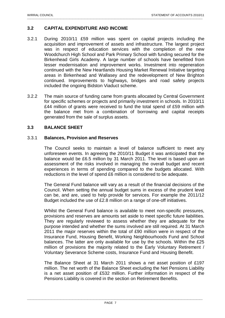# **3.2 CAPITAL EXPENDITURE AND INCOME**

3.2.1 During 2010/11 £59 million was spent on capital projects including the acquisition and improvement of assets and infrastructure. The largest project was in respect of education services with the completion of the new Woodchurch High School and Park Primary School with funding secured for the Birkenhead Girls Academy. A large number of schools have benefitted from lesser modernisation and improvement works. Investment into regeneration continued with the New Heartlands Housing Market Renewal Initiative targeting areas in Birkenhead and Wallasey and the redevelopment of New Brighton continued. Improvements to highways, bridges and road safety projects included the ongoing Bidston Viaduct scheme.

3.2.2 The main source of funding came from grants allocated by Central Government for specific schemes or projects and primarily investment in schools. In 2010/11 £44 million of grants were received to fund the total spend of £59 million with the balance met from a combination of borrowing and capital receipts generated from the sale of surplus assets.

## **3.3 BALANCE SHEET**

#### 3.3.1 **Balances, Provision and Reserves**

The Council seeks to maintain a level of balance sufficient to meet any unforeseen events. In agreeing the 2010/11 Budget it was anticipated that the balance would be £6.5 million by 31 March 2011. The level is based upon an assessment of the risks involved in managing the overall budget and recent experiences in terms of spending compared to the budgets allocated. With reductions in the level of spend £6 million is considered to be adequate.

The General Fund balance will vary as a result of the financial decisions of the Council. When setting the annual budget sums in excess of the prudent level can be, and are, used to help provide for services. For example the 2011/12 Budget included the use of £2.8 million on a range of one-off initiatives.

Whilst the General Fund balance is available to meet non-specific pressures, provisions and reserves are amounts set aside to meet specific future liabilities. They are regularly reviewed to assess whether they are adequate for the purpose intended and whether the sums involved are still required. At 31 March 2011 the major reserves within the total of £90 million were in respect of the Insurance Fund, Housing Benefit, Working Neighbourhoods Fund and School balances. The latter are only available for use by the schools. Within the £25 million of provisions the majority related to the Early Voluntary Retirement / Voluntary Severance Scheme costs, Insurance Fund and Housing Benefit.

The Balance Sheet at 31 March 2011 shows a net asset position of £197 million. The net worth of the Balance Sheet excluding the Net Pensions Liability is a net asset position of £532 million. Further information in respect of the Pensions Liability is covered in the section on Retirement Benefits.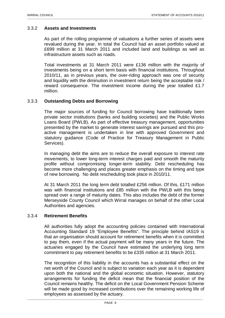#### 3.3.2 **Assets and Investments**

As part of the rolling programme of valuations a further series of assets were revalued during the year. In total the Council had an asset portfolio valued at £699 million at 31 March 2011 and included land and buildings as well as infrastructure assets such as roads.

Total investments at 31 March 2011 were £136 million with the majority of investments being on a short term basis with financial institutions. Throughout 2010/11, as in previous years, the over-riding approach was one of security and liquidity with the diminution in investment return being the acceptable risk / reward consequence. The investment income during the year totalled £1.7 million.

#### 3.3.3 **Outstanding Debts and Borrowing**

The major sources of funding for Council borrowing have traditionally been private sector institutions (banks and building societies) and the Public Works Loans Board (PWLB). As part of effective treasury management, opportunities presented by the market to generate interest savings are pursued and this proactive management is undertaken in line with approved Government and statutory guidance (Code of Practice for Treasury Management in Public Services).

In managing debt the aims are to reduce the overall exposure to interest rate movements, to lower long-term interest charges paid and smooth the maturity profile without compromising longer-term stability. Debt rescheduling has become more challenging and places greater emphasis on the timing and type of new borrowing. No debt rescheduling took place in 2010/11.

At 31 March 2011 the long term debt totalled £256 million. Of this, £171 million was with financial institutions and £85 million with the PWLB with this being spread over a range of maturity dates. This also includes the debt of the former Merseyside County Council which Wirral manages on behalf of the other Local Authorities and agencies.

# 3.3.4 **Retirement Benefits**

All authorities fully adopt the accounting policies contained with International Accounting Standard 19 "Employee Benefits". The principle behind IAS19 is that an organisation should account for retirement benefits when it is committed to pay them, even if the actual payment will be many years in the future. The actuaries engaged by the Council have estimated the underlying long term commitment to pay retirement benefits to be £335 million at 31 March 2011.

The recognition of this liability in the accounts has a substantial effect on the net worth of the Council and is subject to variation each year as it is dependent upon both the national and the global economic situation. However, statutory arrangements for funding the deficit mean that the financial position of the Council remains healthy. The deficit on the Local Government Pension Scheme will be made good by increased contributions over the remaining working life of employees as assessed by the actuary.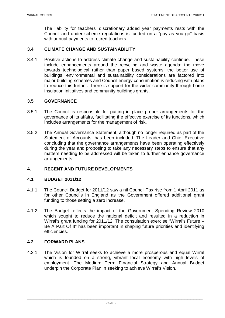The liability for teachers' discretionary added year payments rests with the Council and under scheme regulations is funded on a "pay as you go" basis with annual payments to retired teachers.

#### **3.4 CLIMATE CHANGE AND SUSTAINABILITY**

3.4.1 Positive actions to address climate change and sustainability continue. These include enhancements around the recycling and waste agenda; the move towards technological rather than paper based systems; the better use of buildings; environmental and sustainability considerations are factored into major building schemes and Council energy consumption is reducing with plans to reduce this further. There is support for the wider community through home insulation initiatives and community buildings grants.

## **3.5 GOVERNANCE**

- 3.5.1 The Council is responsible for putting in place proper arrangements for the governance of its affairs, facilitating the effective exercise of its functions, which includes arrangements for the management of risk.
- 3.5.2 The Annual Governance Statement, although no longer required as part of the Statement of Accounts, has been included. The Leader and Chief Executive concluding that the governance arrangements have been operating effectively during the year and proposing to take any necessary steps to ensure that any matters needing to be addressed will be taken to further enhance governance arrangements.

# **4. RECENT AND FUTURE DEVELOPMENTS**

#### **4.1 BUDGET 2011/12**

- 4.1.1 The Council Budget for 2011/12 saw a nil Council Tax rise from 1 April 2011 as for other Councils in England as the Government offered additional grant funding to those setting a zero increase.
- 4.1.2 The Budget reflects the impact of the Government Spending Review 2010 which sought to reduce the national deficit and resulted in a reduction in Wirral's grant funding for 2011/12. The consultation exercise "Wirral's Future – Be A Part Of It" has been important in shaping future priorities and identifying efficiencies.

#### **4.2 FORWARD PLANS**

4.2.1 The Vision for Wirral seeks to achieve a more prosperous and equal Wirral which is founded on a strong, vibrant local economy with high levels of employment. The Medium Term Financial Strategy and Annual Budget underpin the Corporate Plan in seeking to achieve Wirral's Vision.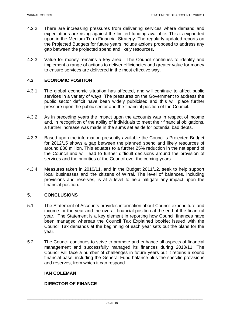4.2.2 There are increasing pressures from delivering services where demand and expectations are rising against the limited funding available. This is expanded upon in the Medium Term Financial Strategy. The regularly updated reports on the Projected Budgets for future years include actions proposed to address any gap between the projected spend and likely resources.

4.2.3 Value for money remains a key area. The Council continues to identify and implement a range of actions to deliver efficiencies and greater value for money to ensure services are delivered in the most effective way.

## **4.3 ECONOMIC POSITION**

- 4.3.1 The global economic situation has affected, and will continue to affect public services in a variety of ways. The pressures on the Government to address the public sector deficit have been widely publicised and this will place further pressure upon the public sector and the financial position of the Council.
- 4.3.2 As in preceding years the impact upon the accounts was in respect of income and, in recognition of the ability of individuals to meet their financial obligations, a further increase was made in the sums set aside for potential bad debts.
- 4.3.3 Based upon the information presently available the Council's Projected Budget for 2012/15 shows a gap between the planned spend and likely resources of around £80 million. This equates to a further 25% reduction in the net spend of the Council and will lead to further difficult decisions around the provision of services and the priorities of the Council over the coming years.
- 4.3.4 Measures taken in 2010/11, and in the Budget 2011/12, seek to help support local businesses and the citizens of Wirral. The level of balances, including provisions and reserves, is at a level to help mitigate any impact upon the financial position.

#### **5. CONCLUSIONS**

- 5.1 The Statement of Accounts provides information about Council expenditure and income for the year and the overall financial position at the end of the financial year. The Statement is a key element in reporting how Council finances have been managed whereas the Council Tax Explained booklet issued with the Council Tax demands at the beginning of each year sets out the plans for the year.
- 5.2 The Council continues to strive to promote and enhance all aspects of financial management and successfully managed its finances during 2010/11. The Council will face a number of challenges in future years but it retains a sound financial base, including the General Fund balance plus the specific provisions and reserves, from which it can respond.

#### **IAN COLEMAN**

# **DIRECTOR OF FINANCE**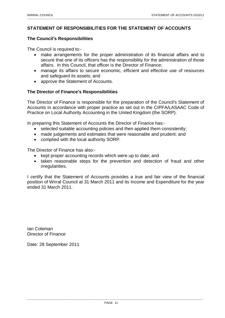# **STATEMENT OF RESPONSIBILITIES FOR THE STATEMENT OF ACCOUNTS**

### **The Council's Responsibilities**

The Council is required to:-

- make arrangements for the proper administration of its financial affairs and to secure that one of its officers has the responsibility for the administration of those affairs. In this Council, that officer is the Director of Finance;
- manage its affairs to secure economic, efficient and effective use of resources and safeguard its assets; and
- approve the Statement of Accounts.

## **The Director of Finance's Responsibilities**

The Director of Finance is responsible for the preparation of the Council's Statement of Accounts in accordance with proper practice as set out in the CIPFA/LASAAC Code of Practice on Local Authority Accounting in the United Kingdom (the SORP).

In preparing this Statement of Accounts the Director of Finance has:-

- selected suitable accounting policies and then applied them consistently;
- made judgements and estimates that were reasonable and prudent; and
- complied with the local authority SORP.

The Director of Finance has also:-

- kept proper accounting records which were up to date; and
- taken reasonable steps for the prevention and detection of fraud and other irregularities.

I certify that the Statement of Accounts provides a true and fair view of the financial position of Wirral Council at 31 March 2011 and its Income and Expenditure for the year ended 31 March 2011.

Ian Coleman Director of Finance

Date: 28 September 2011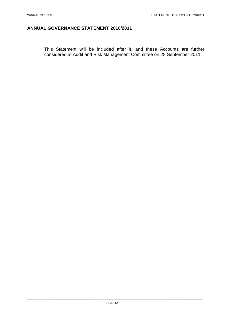# **ANNUAL GOVERNANCE STATEMENT 2010/2011**

This Statement will be included after it, and these Accounts are further considered at Audit and Risk Management Committee on 28 September 2011.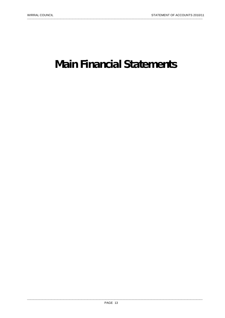# **Main Financial Statements**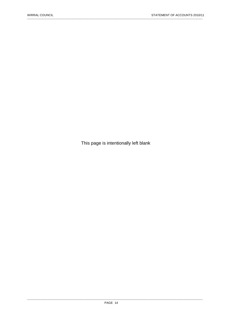This page is intentionally left blank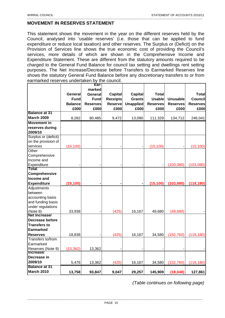# **MOVEMENT IN RESERVES STATEMENT**

This statement shows the movement in the year on the different reserves held by the Council, analysed into 'usable reserves' (i.e. those that can be applied to fund expenditure or reduce local taxation) and other reserves. The Surplus or (Deficit) on the Provision of Services line shows the true economic cost of providing the Council's services, more details of which are shown in the Comprehensive Income and Expenditure Statement. These are different from the statutory amounts required to be charged to the General Fund Balance for council tax setting and dwellings rent setting purposes. The Net Increase/Decrease before Transfers to Earmarked Reserves line shows the statutory General Fund Balance before any discretionary transfers to or from earmarked reserves undertaken by the council.

|                                      |                        | Ear-<br>marked          |                        |                          |                         |                         |                         |
|--------------------------------------|------------------------|-------------------------|------------------------|--------------------------|-------------------------|-------------------------|-------------------------|
|                                      | General                | General                 | <b>Capital</b>         | <b>Capital</b>           | <b>Total</b>            |                         | Total                   |
|                                      | <b>Fund</b>            | <b>Fund</b>             | <b>Receipts</b>        | <b>Grants</b>            | <b>Usable</b>           | <b>Unusable</b>         | Council                 |
|                                      | <b>Balance</b><br>£000 | <b>Reserves</b><br>£000 | <b>Reserve</b><br>£000 | <b>Unapplied</b><br>£000 | <b>Reserves</b><br>£000 | <b>Reserves</b><br>£000 | <b>Reserves</b><br>£000 |
| <b>Balance at 31</b>                 |                        |                         |                        |                          |                         |                         |                         |
| <b>March 2009</b>                    | 8,282                  | 80,485                  | 9,472                  | 13,090                   | 111,329                 | 134,712                 | 246,041                 |
| <b>Movement in</b>                   |                        |                         |                        |                          |                         |                         |                         |
| reserves during<br>2009/10           |                        |                         |                        |                          |                         |                         |                         |
| Surplus or (deficit)                 |                        |                         |                        |                          |                         |                         |                         |
| on the provision of                  |                        |                         |                        |                          |                         |                         |                         |
| services                             | (15, 100)              |                         |                        |                          | (15, 100)               |                         | (15, 100)               |
| Other                                |                        |                         |                        |                          |                         |                         |                         |
| Comprehensive<br>Income and          |                        |                         |                        |                          |                         |                         |                         |
| Expenditure                          |                        |                         |                        |                          |                         | (103,080)               | (103,080)               |
| Total                                |                        |                         |                        |                          |                         |                         |                         |
| Comprehensive                        |                        |                         |                        |                          |                         |                         |                         |
| Income and                           |                        |                         |                        |                          |                         |                         |                         |
| <b>Expenditure</b>                   | (15, 100)              |                         |                        |                          | (15, 100)               | (103,080)               | (118, 180)              |
| Adjustments                          |                        |                         |                        |                          |                         |                         |                         |
| between                              |                        |                         |                        |                          |                         |                         |                         |
| accounting basis                     |                        |                         |                        |                          |                         |                         |                         |
| and funding basis                    |                        |                         |                        |                          |                         |                         |                         |
| under regulations                    |                        |                         |                        |                          |                         |                         |                         |
| (Note 8)                             | 33,938                 |                         | (425)                  | 16,167                   | 49,680                  | (49,680)                |                         |
| <b>Net Increase/</b>                 |                        |                         |                        |                          |                         |                         |                         |
| Decrease before                      |                        |                         |                        |                          |                         |                         |                         |
| Transfers to                         |                        |                         |                        |                          |                         |                         |                         |
| <b>Earmarked</b>                     | 18,838                 |                         | (425)                  |                          | 34,580                  |                         |                         |
| <b>Reserves</b><br>Transfers to/from |                        |                         |                        | 16,167                   |                         | (152, 760)              | (118, 180)              |
| Earmarked                            |                        |                         |                        |                          |                         |                         |                         |
| Reserves (Note 9)                    | (13, 362)              | 13,362                  |                        |                          |                         |                         |                         |
| Increase/                            |                        |                         |                        |                          |                         |                         |                         |
| Decrease in                          |                        |                         |                        |                          |                         |                         |                         |
| 2009/10                              | 5,476                  | 13,362                  | (425)                  | 16,167                   | 34,580                  | (152, 760)              | (118, 180)              |
| <b>Balance at 31</b>                 |                        |                         |                        |                          |                         |                         |                         |
| <b>March 2010</b>                    | 13,758                 | 93,847                  | 9,047                  | 29,257                   | 145,909                 | (18, 048)               | 127,861                 |

*(Table continues on following page)*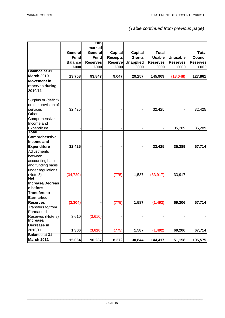# *(Table continued from previous page)*

|                                      |                | Ear-            |                 |                |                 |                 |                 |
|--------------------------------------|----------------|-----------------|-----------------|----------------|-----------------|-----------------|-----------------|
|                                      |                | marked          |                 |                |                 |                 |                 |
|                                      | General        | General         | <b>Capital</b>  | <b>Capital</b> | Total           |                 | <b>Total</b>    |
|                                      | <b>Fund</b>    | <b>Fund</b>     | <b>Receipts</b> | <b>Grants</b>  | <b>Usable</b>   | <b>Unusable</b> | <b>Council</b>  |
|                                      | <b>Balance</b> | <b>Reserves</b> | <b>Reserve</b>  | Unapplied      | <b>Reserves</b> | <b>Reserves</b> | <b>Reserves</b> |
|                                      | £000           | £000            | £000            | £000           | £000            | £000            | £000            |
| <b>Balance at 31</b>                 |                |                 |                 |                |                 |                 |                 |
| March 2010                           | 13,758         | 93,847          | 9,047           | 29,257         | 145,909         | (18,048)        | 127,861         |
| <b>Movement in</b>                   |                |                 |                 |                |                 |                 |                 |
| reserves during<br>2010/11           |                |                 |                 |                |                 |                 |                 |
| Surplus or (deficit)                 |                |                 |                 |                |                 |                 |                 |
| on the provision of                  |                |                 |                 |                |                 |                 |                 |
| services                             | 32,425         |                 |                 |                | 32,425          |                 | 32,425          |
| Other                                |                |                 |                 |                |                 |                 |                 |
| Comprehensive                        |                |                 |                 |                |                 |                 |                 |
| Income and                           |                |                 |                 |                |                 |                 |                 |
| Expenditure                          |                |                 |                 |                |                 | 35,289          | 35,289          |
| <b>Total</b>                         |                |                 |                 |                |                 |                 |                 |
| Comprehensive                        |                |                 |                 |                |                 |                 |                 |
| Income and                           |                |                 |                 |                |                 |                 |                 |
| <b>Expenditure</b>                   | 32,425         |                 |                 |                | 32,425          | 35,289          | 67,714          |
| Adjustments                          |                |                 |                 |                |                 |                 |                 |
| between                              |                |                 |                 |                |                 |                 |                 |
| accounting basis                     |                |                 |                 |                |                 |                 |                 |
| and funding basis                    |                |                 |                 |                |                 |                 |                 |
| under regulations                    |                |                 |                 |                |                 |                 |                 |
| (Note 8)                             | (34, 729)      |                 | (775)           | 1,587          | (33, 917)       | 33,917          |                 |
| <b>Net</b>                           |                |                 |                 |                |                 |                 |                 |
| <b>Increase/Decreas</b>              |                |                 |                 |                |                 |                 |                 |
| e before                             |                |                 |                 |                |                 |                 |                 |
| <b>Transfers to</b><br>Earmarked     |                |                 |                 |                |                 |                 |                 |
|                                      |                |                 |                 |                |                 |                 |                 |
| <b>Reserves</b><br>Transfers to/from | (2, 304)       |                 | (775)           | 1,587          | (1, 492)        | 69,206          | 67,714          |
|                                      |                |                 |                 |                |                 |                 |                 |
| Earmarked<br>Reserves (Note 9)       | 3,610          | (3,610)         |                 |                |                 |                 |                 |
| <b>Increase/</b>                     |                |                 |                 |                |                 |                 |                 |
| Decrease in                          |                |                 |                 |                |                 |                 |                 |
| 2010/11                              | 1,306          | (3,610)         | (775)           | 1,587          | (1, 492)        | 69,206          | 67,714          |
| <b>Balance at 31</b>                 |                |                 |                 |                |                 |                 |                 |
| <b>March 2011</b>                    | 15,064         | 90,237          | 8,272           | 30,844         | 144,417         | 51,158          | 195,575         |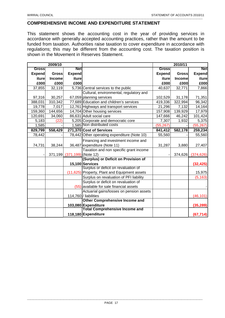#### **COMPREHENSIVE INCOME AND EXPENDITURE STATEMENT**

This statement shows the accounting cost in the year of providing services in accordance with generally accepted accounting practices, rather than the amount to be funded from taxation. Authorities raise taxation to cover expenditure in accordance with regulations; this may be different from the accounting cost. The taxation position is shown in the Movement in Reserves Statement.

| 2009/10       |               |                     |                                               | 2010/11       |               |               |
|---------------|---------------|---------------------|-----------------------------------------------|---------------|---------------|---------------|
| <b>Gross</b>  |               | <b>Net</b>          |                                               | <b>Gross</b>  |               | <b>Net</b>    |
| <b>Expend</b> | <b>Gross</b>  | <b>Expend</b>       |                                               | <b>Expend</b> | Gross         | <b>Expend</b> |
| iture         | <b>Income</b> | iture               |                                               | iture         | <b>Income</b> | iture         |
| £000          | £000          | £000                |                                               | £000          | £000          | £000          |
| 37,855        | 32,119        |                     | 5,736 Central services to the public          | 40,637        | 32,771        | 7,866         |
|               |               |                     | Cultural, environmental, regulatory and       |               |               |               |
| 97,316        | 30,257        |                     | 67,059 planning services                      | 102,529       | 31,178        | 71,351        |
| 388,031       | 310,342       |                     | 77,689 Education and children's services      | 419,336       | 322,994       | 96,342        |
| 19,778        | 7,017         |                     | 12,761 Highways and transport services        | 21,296        | 7,132         | 14,164        |
| 159,360       | 144,656       |                     | 14,704 Other housing services                 | 157,908       | 139,929       | 17,979        |
| 120,691       | 34,060        |                     | 86,631 Adult social care                      | 147,666       | 46,242        | 101,424       |
| 5,183         | (22)          |                     | 5,205 Corporate and democratic core           | 7,307         | 1,932         | 5,375         |
| 1,585         |               |                     | 1,585 Non distributed costs                   | (55, 267)     |               | (55, 267)     |
| 829,799       | 558,429       |                     | 271,370 Cost of Services                      | 841,412       | 582,178       | 259,234       |
| 78,442        |               |                     | 78,442 Other operating expenditure (Note 10)  | 55,560        |               | 55,560        |
|               |               |                     | Financing and investment income and           |               |               |               |
| 74,731        | 38,244        |                     | 36,487 expenditure (Note 11)                  | 31,287        | 3,880         | 27,407        |
|               |               |                     | Taxation and non specific grant income        |               |               |               |
|               | 371,199       | (371,199) (Note 12) |                                               |               | 374,626       | (374, 626)    |
|               |               |                     | (Surplus) or Deficit on Provision of          |               |               |               |
|               |               |                     | 15,100 Services                               |               |               | (32, 425)     |
|               |               |                     | Surplus or deficit on revaluation of          |               |               |               |
|               |               |                     | (11,625) Property, Plant and Equipment assets |               |               | 15,975        |
|               |               |                     | Surplus on revaluation of PFI liability       |               |               | (5, 163)      |
|               |               |                     | Surplus or deficit on revaluation of          |               |               |               |
|               |               |                     | $(55)$ available for sale financial assets    |               |               |               |
|               |               |                     | Actuarial gains/losses on pension assets      |               |               |               |
|               |               |                     | 114,760 / liabilities                         |               |               | (46, 101)     |
|               |               |                     | <b>Other Comprehensive Income and</b>         |               |               |               |
|               |               |                     | 103,080 Expenditure                           |               |               | (35, 289)     |
|               |               |                     | <b>Total Comprehensive Income and</b>         |               |               |               |
|               |               |                     | 118,180 Expenditure                           |               |               | (67, 714)     |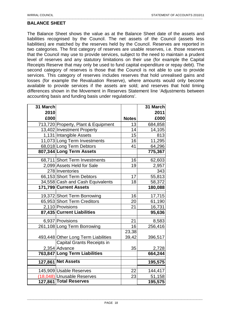#### **BALANCE SHEET**

The Balance Sheet shows the value as at the Balance Sheet date of the assets and liabilities recognised by the Council. The net assets of the Council (assets less liabilities) are matched by the reserves held by the Council. Reserves are reported in two categories. The first category of reserves are usable reserves, i.e. those reserves that the Council may use to provide services, subject to the need to maintain a prudent level of reserves and any statutory limitations on their use (for example the Capital Receipts Reserve that may only be used to fund capital expenditure or repay debt). The second category of reserves is those that the Council is not able to use to provide services. This category of reserves includes reserves that hold unrealised gains and losses (for example the Revaluation Reserve), where amounts would only become available to provide services if the assets are sold; and reserves that hold timing differences shown in the Movement in Reserves Statement line 'Adjustments between accounting basis and funding basis under regulations'.

| 31 March |                                     |              | 31 March |
|----------|-------------------------------------|--------------|----------|
| 2010     |                                     |              | 2011     |
| £000     |                                     | <b>Notes</b> | £000     |
|          | 713,720 Property, Plant & Equipment | 13           | 684,858  |
|          | 13,402 Investment Property          | 14           | 14,105   |
|          | 1,131 Intangible Assets             | 15           | 813      |
|          | 11,073 Long Term Investments        | 16           | 11,295   |
|          | 68,018 Long Term Debtors            | 41           | 64,296   |
|          | 807,344 Long Term Assets            |              | 775,367  |
|          | 68,711 Short Term Investments       | 16           | 62,603   |
|          | 2,099 Assets Held for Sale          | 19           | 2,957    |
|          | 278 Inventories                     |              | 343      |
|          | 66,153 Short Term Debtors           | 17           | 55,813   |
|          | 34,558 Cash and Cash Equivalents    | 18           | 58,372   |
|          | 171,799 Current Assets              |              | 180,088  |
|          | 19,372 Short Term Borrowing         | 16           | 17,715   |
|          | 65,953 Short Term Creditors         | 20           | 61,190   |
|          | 2,110 Provisions                    | 21           | 16,731   |
|          | 87,435 Current Liabilities          |              | 95,636   |
|          | 6,937 Provisions                    | 21           | 8,583    |
|          | 261,108 Long Term Borrowing         | 16           | 256,416  |
|          |                                     | 23,38        |          |
|          | 493,448 Other Long Term Liabilities | 39,42        | 396,517  |
|          | Capital Grants Receipts in          |              |          |
|          | 2,354 Advance                       | 35           | 2,728    |
|          | 763,847 Long Term Liabilities       |              | 664,244  |
|          | 127,861 Net Assets                  |              | 195,575  |
|          | 145,909 Usable Reserves             | 22           | 144,417  |
|          | (18,048) Unusable Reserves          | 23           | 51,158   |
|          | 127,861 Total Reserves              |              | 195,575  |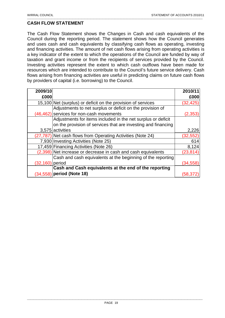# **CASH FLOW STATEMENT**

The Cash Flow Statement shows the Changes in Cash and cash equivalents of the Council during the reporting period. The statement shows how the Council generates and uses cash and cash equivalents by classifying cash flows as operating, investing and financing activities. The amount of net cash flows arising from operating activities is a key indicator of the extent to which the operations of the Council are funded by way of taxation and grant income or from the recipients of services provided by the Council. Investing activities represent the extent to which cash outflows have been made for resources which are intended to contribute to the Council's future service delivery. Cash flows arising from financing activities are useful in predicting claims on future cash flows by providers of capital (i.e. borrowing) to the Council.

| 2009/10            |                                                               | 2010/11   |
|--------------------|---------------------------------------------------------------|-----------|
| £000               |                                                               | £000      |
|                    | 15,100 Net (surplus) or deficit on the provision of services  | (32, 425) |
|                    | Adjustments to net surplus or deficit on the provision of     |           |
|                    | $(46, 462)$ services for non-cash movements                   | (2, 353)  |
|                    | Adjustments for items included in the net surplus or deficit  |           |
|                    | on the provision of services that are investing and financing |           |
|                    | 3,575 activities                                              | 2,226     |
|                    | (27,787) Net cash flows from Operating Activities (Note 24)   | (32, 552) |
|                    | 7,930 Investing Activities (Note 25)                          | 614       |
|                    | 17,459 Financing Activities (Note 26)                         | 8,124     |
|                    | (2,398) Net increase or decrease in cash and cash equivalents | (23, 814) |
|                    | Cash and cash equivalents at the beginning of the reporting   |           |
| $(32, 160)$ period |                                                               | (34, 558) |
|                    | Cash and Cash equivalents at the end of the reporting         |           |
|                    | (34,558) period (Note 18)                                     | (58,372)  |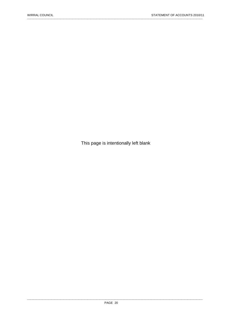This page is intentionally left blank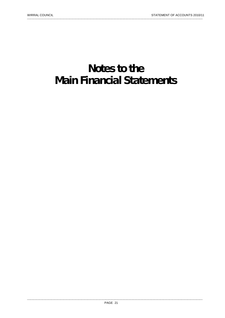# **Notes to the Main Financial Statements**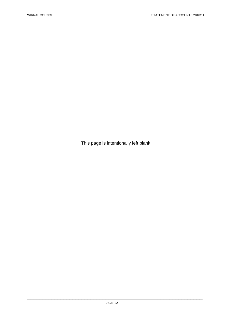This page is intentionally left blank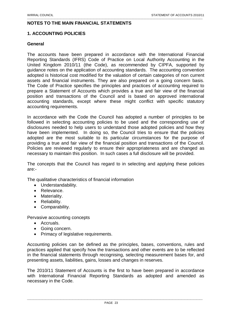#### **NOTES TO THE MAIN FINANCIAL STATEMENTS**

## **1. ACCOUNTING POLICIES**

#### **General**

The accounts have been prepared in accordance with the International Financial Reporting Standards (IFRS) Code of Practice on Local Authority Accounting in the United Kingdom 2010/11 (the Code), as recommended by CIPFA, supported by guidance notes on the application of accounting standards. The accounting convention adopted is historical cost modified for the valuation of certain categories of non current assets and financial instruments. They are also prepared on a going concern basis. The Code of Practice specifies the principles and practices of accounting required to prepare a Statement of Accounts which provides a true and fair view of the financial position and transactions of the Council and is based on approved international accounting standards, except where these might conflict with specific statutory accounting requirements.

In accordance with the Code the Council has adopted a number of principles to be followed in selecting accounting policies to be used and the corresponding use of disclosures needed to help users to understand those adopted policies and how they have been implemented. In doing so, the Council tries to ensure that the policies adopted are the most suitable to its particular circumstances for the purpose of providing a true and fair view of the financial position and transactions of the Council. Policies are reviewed regularly to ensure their appropriateness and are changed as necessary to maintain this position. In such cases a full disclosure will be provided.

The concepts that the Council has regard to in selecting and applying these policies are:-

The qualitative characteristics of financial information

- Understandability.
- Relevance.
- Materiality.
- Reliability.
- Comparability.

Pervasive accounting concepts

- Accruals.
- Going concern.
- Primacy of legislative requirements.

Accounting policies can be defined as the principles, bases, conventions, rules and practices applied that specify how the transactions and other events are to be reflected in the financial statements through recognising, selecting measurement bases for, and presenting assets, liabilities, gains, losses and changes in reserves.

The 2010/11 Statement of Accounts is the first to have been prepared in accordance with International Financial Reporting Standards as adopted and amended as necessary in the Code.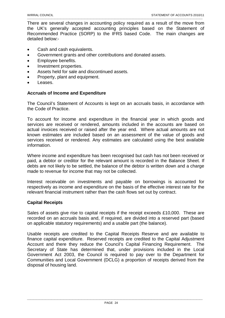There are several changes in accounting policy required as a result of the move from the UK's generally accepted accounting principles based on the Statement of Recommended Practice (SORP) to the IFRS based Code. The main changes are detailed below:-

- Cash and cash equivalents.
- Government grants and other contributions and donated assets.
- **•** Employee benefits.
- Investment properties.
- Assets held for sale and discontinued assets.
- Property, plant and equipment.
- Leases.

## **Accruals of Income and Expenditure**

The Council's Statement of Accounts is kept on an accruals basis, in accordance with the Code of Practice.

To account for income and expenditure in the financial year in which goods and services are received or rendered, amounts included in the accounts are based on actual invoices received or raised after the year end. Where actual amounts are not known estimates are included based on an assessment of the value of goods and services received or rendered. Any estimates are calculated using the best available information.

Where income and expenditure has been recognised but cash has not been received or paid, a debtor or creditor for the relevant amount is recorded in the Balance Sheet. If debts are not likely to be settled, the balance of the debtor is written down and a charge made to revenue for income that may not be collected.

Interest receivable on investments and payable on borrowings is accounted for respectively as income and expenditure on the basis of the effective interest rate for the relevant financial instrument rather than the cash flows set out by contract.

# **Capital Receipts**

Sales of assets give rise to capital receipts if the receipt exceeds £10,000. These are recorded on an accruals basis and, if required, are divided into a reserved part (based on applicable statutory requirements) and a usable part (the balance).

Usable receipts are credited to the Capital Receipts Reserve and are available to finance capital expenditure. Reserved receipts are credited to the Capital Adjustment Account and there they reduce the Council's Capital Financing Requirement. The Secretary of State has determined that, under provisions included in the Local Government Act 2003, the Council is required to pay over to the Department for Communities and Local Government (DCLG) a proportion of receipts derived from the disposal of housing land.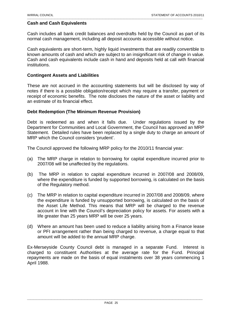# **Cash and Cash Equivalents**

Cash includes all bank credit balances and overdrafts held by the Council as part of its normal cash management, including all deposit accounts accessible without notice.

Cash equivalents are short-term, highly liquid investments that are readily convertible to known amounts of cash and which are subject to an insignificant risk of change in value. Cash and cash equivalents include cash in hand and deposits held at call with financial institutions.

#### **Contingent Assets and Liabilities**

These are not accrued in the accounting statements but will be disclosed by way of notes if there is a possible obligation/receipt which may require a transfer, payment or receipt of economic benefits. The note discloses the nature of the asset or liability and an estimate of its financial effect.

## **Debt Redemption (The Minimum Revenue Provision)**

Debt is redeemed as and when it falls due. Under regulations issued by the Department for Communities and Local Government, the Council has approved an MRP Statement. Detailed rules have been replaced by a single duty to charge an amount of MRP which the Council considers 'prudent'.

The Council approved the following MRP policy for the 2010/11 financial year:

- (a) The MRP charge in relation to borrowing for capital expenditure incurred prior to 2007/08 will be unaffected by the regulations.
- (b) The MRP in relation to capital expenditure incurred in 2007/08 and 2008/09, where the expenditure is funded by supported borrowing, is calculated on the basis of the Regulatory method.
- (c) The MRP in relation to capital expenditure incurred in 2007/08 and 2008/09, where the expenditure is funded by unsupported borrowing, is calculated on the basis of the Asset Life Method. This means that MRP will be charged to the revenue account in line with the Council's depreciation policy for assets. For assets with a life greater than 25 years MRP will be over 25 years.
- (d) Where an amount has been used to reduce a liability arising from a Finance lease or PFI arrangement rather than being charged to revenue, a charge equal to that amount will be added to the annual MRP charge.

Ex-Merseyside County Council debt is managed in a separate Fund. Interest is charged to constituent Authorities at the average rate for the Fund. Principal repayments are made on the basis of equal instalments over 38 years commencing 1 April 1988.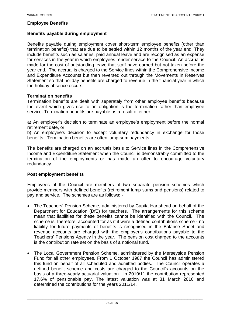#### **Employee Benefits**

#### **Benefits payable during employment**

Benefits payable during employment cover short-term employee benefits (other than termination benefits) that are due to be settled within 12 months of the year end. They include benefits such as salaries, paid annual leave and are recognised as an expense for services in the year in which employees render service to the Council. An accrual is made for the cost of outstanding leave that staff have earned but not taken before the year end. The accrual is charged to the Service lines within the Comprehensive Income and Expenditure Accounts but then reversed out through the Movements in Reserves Statement so that holiday benefits are charged to revenue in the financial year in which the holiday absence occurs.

#### **Termination benefits**

Termination benefits are dealt with separately from other employee benefits because the event which gives rise to an obligation is the termination rather than employee service. Termination benefits are payable as a result of either:

a) An employer's decision to terminate an employee's employment before the normal retirement date, or

b) An employee's decision to accept voluntary redundancy in exchange for those benefits. Termination benefits are often lump-sum payments.

The benefits are charged on an accruals basis to Service lines in the Comprehensive Income and Expenditure Statement when the Council is demonstrably committed to the termination of the employments or has made an offer to encourage voluntary redundancy.

#### **Post employment benefits**

Employees of the Council are members of two separate pension schemes which provide members with defined benefits (retirement lump sums and pensions) related to pay and service. The schemes are as follows: -

- The Teachers' Pension Scheme, administered by Capita Hartshead on behalf of the Department for Education (DfE) for teachers. The arrangements for this scheme mean that liabilities for these benefits cannot be identified with the Council. The scheme is, therefore, accounted for as if it were a defined contributions scheme - no liability for future payments of benefits is recognised in the Balance Sheet and revenue accounts are charged with the employer's contributions payable to the Teachers' Pensions Agency in the year. The pension cost charged to the accounts is the contribution rate set on the basis of a notional fund.
- The Local Government Pension Scheme, administered by the Merseyside Pension Fund for all other employees. From 1 October 1987 the Council has administered this fund on behalf of all scheduled and admitted bodies. The Council operates a defined benefit scheme and costs are charged to the Council's accounts on the basis of a three-yearly actuarial valuation. In 2010/11 the contribution represented 17.6% of pensionable pay. The latest valuation was at 31 March 2010 and determined the contributions for the years 2011/14.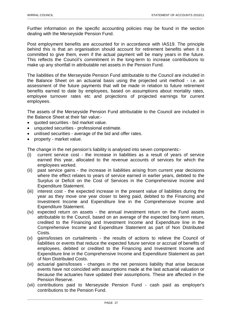Further information on the specific accounting policies may be found in the section dealing with the Merseyside Pension Fund.

Post employment benefits are accounted for in accordance with IAS19. The principle behind this is that an organisation should account for retirement benefits when it is committed to give them, even if the actual payment will be many years in the future. This reflects the Council's commitment in the long-term to increase contributions to make up any shortfall in attributable net assets in the Pension Fund.

The liabilities of the Merseyside Pension Fund attributable to the Council are included in the Balance Sheet on an actuarial basis using the projected unit method - i.e. an assessment of the future payments that will be made in relation to future retirement benefits earned to date by employees, based on assumptions about mortality rates, employee turnover rates etc and projections of projected earnings for current employees.

The assets of the Merseyside Pension Fund attributable to the Council are included in the Balance Sheet at their fair value:-

- quoted securities bid market value.
- unquoted securities professional estimate.
- unitised securities average of the bid and offer rates.
- property market value.

The change in the net pension's liability is analysed into seven components:-

- (i) current service cost the increase in liabilities as a result of years of service earned this year, allocated to the revenue accounts of services for which the employees worked.
- (ii) past service gains the increase in liabilities arising from current year decisions where the effect relates to years of service earned in earlier years, debited to the Surplus or Deficit on the Cost of Services in the Comprehensive Income and Expenditure Statement.
- (iii) interest cost the expected increase in the present value of liabilities during the year as they move one year closer to being paid, debited to the Financing and Investment Income and Expenditure line in the Comprehensive Income and Expenditure Statement.
- (iv) expected return on assets the annual investment return on the Fund assets attributable to the Council, based on an average of the expected long-term return, credited to the Financing and Investment Income and Expenditure line in the Comprehensive Income and Expenditure Statement as part of Non Distributed Costs.
- (v) gains/losses on curtailments the results of actions to relieve the Council of liabilities or events that reduce the expected future service or accrual of benefits of employees, debited or credited to the Financing and Investment Income and Expenditure line in the Comprehensive Income and Expenditure Statement as part of Non Distributed Costs.
- (vi) actuarial gains/losses changes in the net pensions liability that arise because events have not coincided with assumptions made at the last actuarial valuation or because the actuaries have updated their assumptions. These are affected in the Pension Reserve.
- (vii) contributions paid to Merseyside Pension Fund cash paid as employer's contributions to the Pension Fund.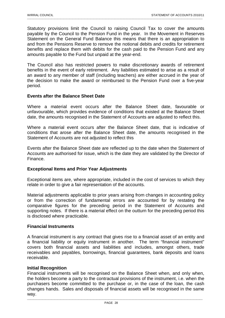Statutory provisions limit the Council to raising Council Tax to cover the amounts payable by the Council to the Pension Fund in the year. In the Movement in Reserves Statement on the General Fund Balance this means that there is an appropriation to and from the Pensions Reserve to remove the notional debits and credits for retirement benefits and replace them with debits for the cash paid to the Pension Fund and any amounts payable to the Fund but unpaid at the year-end.

The Council also has restricted powers to make discretionary awards of retirement benefits in the event of early retirement. Any liabilities estimated to arise as a result of an award to any member of staff (including teachers) are either accrued in the year of the decision to make the award or reimbursed to the Pension Fund over a five-year period.

#### **Events after the Balance Sheet Date**

Where a material event occurs after the Balance Sheet date, favourable or unfavourable, which provides evidence of conditions that existed at the Balance Sheet date, the amounts recognised in the Statement of Accounts are adjusted to reflect this.

Where a material event occurs after the Balance Sheet date, that is indicative of conditions that arose after the Balance Sheet date, the amounts recognised in the Statement of Accounts are not adjusted to reflect this

Events after the Balance Sheet date are reflected up to the date when the Statement of Accounts are authorised for issue, which is the date they are validated by the Director of Finance.

#### **Exceptional Items and Prior Year Adjustments**

Exceptional items are, where appropriate, included in the cost of services to which they relate in order to give a fair representation of the accounts.

Material adjustments applicable to prior years arising from changes in accounting policy or from the correction of fundamental errors are accounted for by restating the comparative figures for the preceding period in the Statement of Accounts and supporting notes. If there is a material effect on the outturn for the preceding period this is disclosed where practicable.

#### **Financial Instruments**

A financial instrument is any contract that gives rise to a financial asset of an entity and a financial liability or equity instrument in another. The term "financial instrument" covers both financial assets and liabilities and includes, amongst others, trade receivables and payables, borrowings, financial guarantees, bank deposits and loans receivable.

#### **Initial Recognition**

Financial instruments will be recognised on the Balance Sheet when, and only when, the holders become a party to the contractual provisions of the instrument, i.e. when the purchasers become committed to the purchase or, in the case of the loan, the cash changes hands. Sales and disposals of financial assets will be recognised in the same way.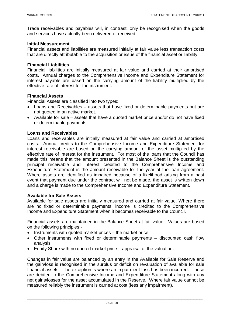Trade receivables and payables will, in contrast, only be recognised when the goods and services have actually been delivered or received.

#### **Initial Measurement**

Financial assets and liabilities are measured initially at fair value less transaction costs that are directly attributable to the acquisition or issue of the financial asset or liability.

# **Financial Liabilities**

Financial liabilities are initially measured at fair value and carried at their amortised costs. Annual charges to the Comprehensive Income and Expenditure Statement for interest payable are based on the carrying amount of the liability multiplied by the effective rate of interest for the instrument.

## **Financial Assets**

Financial Assets are classified into two types:

- Loans and Receivables assets that have fixed or determinable payments but are not quoted in an active market.
- Available for sale assets that have a quoted market price and/or do not have fixed or determinable payments.

#### **Loans and Receivables**

Loans and receivables are initially measured at fair value and carried at amortised costs. Annual credits to the Comprehensive Income and Expenditure Statement for interest receivable are based on the carrying amount of the asset multiplied by the effective rate of interest for the instrument. For most of the loans that the Council has made this means that the amount presented in the Balance Sheet is the outstanding principal receivable and interest credited to the Comprehensive Income and Expenditure Statement is the amount receivable for the year of the loan agreement. Where assets are identified as impaired because of a likelihood arising from a past event that payment due under the contract will not be made, the asset is written down and a charge is made to the Comprehensive Income and Expenditure Statement.

#### **Available for Sale Assets**

Available for sale assets are initially measured and carried at fair value. Where there are no fixed or determinable payments, income is credited to the Comprehensive Income and Expenditure Statement when it becomes receivable to the Council.

Financial assets are maintained in the Balance Sheet at fair value. Values are based on the following principles:-

- Instruments with quoted market prices the market price.
- Other instruments with fixed or determinable payments discounted cash flow analysis.
- Equity Share with no quoted market price appraisal of the valuation.

Changes in fair value are balanced by an entry in the Available for Sale Reserve and the gain/loss is recognised in the surplus or deficit on revaluation of available for sale financial assets. The exception is where an impairment loss has been incurred. These are debited to the Comprehensive Income and Expenditure Statement along with any net gains/losses for the asset accumulated in the Reserve. Where fair value cannot be measured reliably the instrument is carried at cost (less any impairment).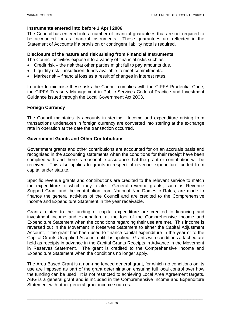### **Instruments entered into before 1 April 2006**

The Council has entered into a number of financial guarantees that are not required to be accounted for as financial instruments. These guarantees are reflected in the Statement of Accounts if a provision or contingent liability note is required.

#### **Disclosure of the nature and risk arising from Financial Instruments**

The Council activities expose it to a variety of financial risks such as:

- Credit risk the risk that other parties might fail to pay amounts due.
- Liquidity risk insufficient funds available to meet commitments.
- Market risk financial loss as a result of changes in interest rates.

In order to minimise these risks the Council complies with the CIPFA Prudential Code, the CIPFA Treasury Management in Public Services Code of Practice and Investment Guidance issued through the Local Government Act 2003.

## **Foreign Currency**

The Council maintains its accounts in sterling. Income and expenditure arising from transactions undertaken in foreign currency are converted into sterling at the exchange rate in operation at the date the transaction occurred.

## **Government Grants and Other Contributions**

Government grants and other contributions are accounted for on an accruals basis and recognised in the accounting statements when the conditions for their receipt have been complied with and there is reasonable assurance that the grant or contribution will be received. This also applies to grants in respect of revenue expenditure funded from capital under statute.

Specific revenue grants and contributions are credited to the relevant service to match the expenditure to which they relate. General revenue grants, such as Revenue Support Grant and the contribution from National Non-Domestic Rates, are made to finance the general activities of the Council and are credited to the Comprehensive Income and Expenditure Statement in the year receivable.

Grants related to the funding of capital expenditure are credited to financing and investment income and expenditure at the foot of the Comprehensive Income and Expenditure Statement when the conditions regarding their use are met. This income is reversed out in the Movement in Reserves Statement to either the Capital Adjustment Account, if the grant has been used to finance capital expenditure in the year or to the Capital Grants Unapplied Account until it is applied. Grants with conditions attached are held as receipts in advance in the Capital Grants Receipts in Advance in the Movement in Reserves Statement. The grant is credited to the Comprehensive Income and Expenditure Statement when the conditions no longer apply.

The Area Based Grant is a non-ring fenced general grant, for which no conditions on its use are imposed as part of the grant determination ensuring full local control over how the funding can be used. It is not restricted to achieving Local Area Agreement targets. ABG is a general grant and is included in the Comprehensive Income and Expenditure Statement with other general grant income sources.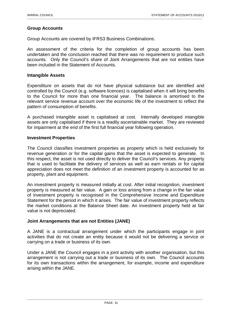# **Group Accounts**

Group Accounts are covered by IFRS3 Business Combinations.

An assessment of the criteria for the completion of group accounts has been undertaken and the conclusion reached that there was no requirement to produce such accounts. Only the Council's share of Joint Arrangements that are not entities have been included in the Statement of Accounts.

#### **Intangible Assets**

Expenditure on assets that do not have physical substance but are identified and controlled by the Council (e.g. software licences) is capitalised when it will bring benefits to the Council for more than one financial year. The balance is amortised to the relevant service revenue account over the economic life of the investment to reflect the pattern of consumption of benefits.

A purchased intangible asset is capitalised at cost. Internally developed intangible assets are only capitalised if there is a readily ascertainable market. They are reviewed for impairment at the end of the first full financial year following operation.

## **Investment Properties**

The Council classifies investment properties as property which is held exclusively for revenue generation or for the capital gains that the asset is expected to generate. In this respect, the asset is not used directly to deliver the Council's services. Any property that is used to facilitate the delivery of services as well as earn rentals or for capital appreciation does not meet the definition of an investment property is accounted for as property, plant and equipment.

An investment property is measured initially at cost. After initial recognition, investment property is measured at fair value. A gain or loss arising from a change in the fair value of investment property is recognised in the Comprehensive Income and Expenditure Statement for the period in which it arises. The fair value of investment property reflects the market conditions at the Balance Sheet date. An investment property held at fair value is not depreciated.

# **Joint Arrangements that are not Entities (JANE)**

A JANE is a contractual arrangement under which the participants engage in joint activities that do not create an entity because it would not be delivering a service or carrying on a trade or business of its own.

Under a JANE the Council engages in a joint activity with another organisation, but this arrangement is not carrying out a trade or business of its own. The Council accounts for its own transactions within the arrangement, for example, income and expenditure arising within the JANE.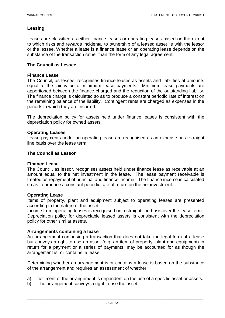# **Leasing**

Leases are classified as either finance leases or operating leases based on the extent to which risks and rewards incidental to ownership of a leased asset lie with the lessor or the lessee. Whether a lease is a finance lease or an operating lease depends on the substance of the transaction rather than the form of any legal agreement.

#### **The Council as Lessee**

#### **Finance Lease**

The Council, as lessee, recognises finance leases as assets and liabilities at amounts equal to the fair value of minimum lease payments. Minimum lease payments are apportioned between the finance charged and the reduction of the outstanding liability. The finance charge is calculated so as to produce a constant periodic rate of interest on the remaining balance of the liability. Contingent rents are charged as expenses in the periods in which they are incurred.

The depreciation policy for assets held under finance leases is consistent with the depreciation policy for owned assets.

#### **Operating Leases**

Lease payments under an operating lease are recognised as an expense on a straight line basis over the lease term.

#### **The Council as Lessor**

#### **Finance Lease**

The Council, as lessor, recognises assets held under finance lease as receivable at an amount equal to the net investment in the lease. The lease payment receivable is treated as repayment of principal and finance income. The finance income is calculated so as to produce a constant periodic rate of return on the net investment.

#### **Operating Lease**

Items of property, plant and equipment subject to operating leases are presented according to the nature of the asset.

Income from operating leases is recognised on a straight line basis over the lease term. Depreciation policy for depreciable leased assets is consistent with the depreciation policy for other similar assets.

#### **Arrangements containing a lease**

An arrangement comprising a transaction that does not take the legal form of a lease but conveys a right to use an asset (e.g. an item of property, plant and equipment) in return for a payment or a series of payments, may be accounted for as though the arrangement is, or contains, a lease.

Determining whether an arrangement is or contains a lease is based on the substance of the arrangement and requires an assessment of whether:

- a) fulfilment of the arrangement is dependent on the use of a specific asset or assets.
- b) The arrangement convevs a right to use the asset.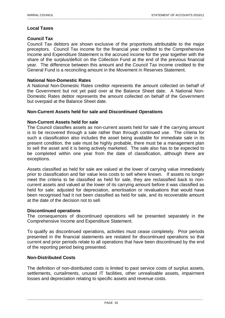# **Local Taxes**

# **Council Tax**

Council Tax debtors are shown exclusive of the proportions attributable to the major preceptors. Council Tax income for the financial year credited to the Comprehensive Income and Expenditure Statement is the accrued income for the year together with the share of the surplus/deficit on the Collection Fund at the end of the previous financial year. The difference between this amount and the Council Tax income credited to the General Fund is a reconciling amount in the Movement in Reserves Statement.

# **National Non-Domestic Rates**

A National Non-Domestic Rates creditor represents the amount collected on behalf of the Government but not yet paid over at the Balance Sheet date. A National Non-Domestic Rates debtor represents the amount collected on behalf of the Government but overpaid at the Balance Sheet date.

# **Non-Current Assets held for sale and Discontinued Operations**

# **Non-Current Assets held for sale**

The Council classifies assets as non-current assets held for sale if the carrying amount is to be recovered through a sale rather than through continued use. The criteria for such a classification also includes the asset being available for immediate sale in its present condition, the sale must be highly probable, there must be a management plan to sell the asset and it is being actively marketed. The sale also has to be expected to be completed within one year from the date of classification, although there are exceptions.

Assets classified as held for sale are valued at the lower of carrying value immediately prior to classification and fair value less costs to sell where known. If assets no longer meet the criteria to be classified as held for sale, they are reclassified back to noncurrent assets and valued at the lower of its carrying amount before it was classified as held for sale: adjusted for depreciation, amortisation or revaluations that would have been recognised had it not been classified as held for sale, and its recoverable amount at the date of the decision not to sell.

# **Discontinued operations**

The consequences of discontinued operations will be presented separately in the Comprehensive Income and Expenditure Statement.

To qualify as discontinued operations, activities must cease completely. Prior periods presented in the financial statements are restated for discontinued operations so that current and prior periods relate to all operations that have been discontinued by the end of the reporting period being presented.

# **Non-Distributed Costs**

The definition of non-distributed costs is limited to past service costs of surplus assets, settlements, curtailments, unused IT facilities, other unrealisable assets, impairment losses and depreciation relating to specific assets and revenue costs.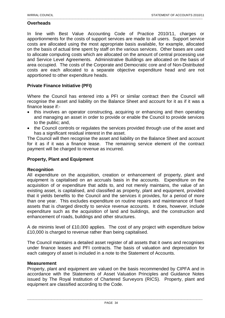#### **Overheads**

In line with Best Value Accounting Code of Practice 2010/11, charges or apportionments for the costs of support services are made to all users. Support service costs are allocated using the most appropriate basis available, for example, allocated on the basis of actual time spent by staff on the various services. Other bases are used to allocate computing costs which are allocated on the amount of central processing use and Service Level Agreements. Administrative Buildings are allocated on the basis of area occupied. The costs of the Corporate and Democratic core and of Non-Distributed costs are each allocated to a separate objective expenditure head and are not apportioned to other expenditure heads.

# **Private Finance Initiative (PFI)**

Where the Council has entered into a PFI or similar contract then the Council will recognise the asset and liability on the Balance Sheet and account for it as if it was a finance lease if:-

- this involves an operator constructing, acquiring or enhancing and then operating and managing an asset in order to provide or enable the Council to provide services to the public; and,
- the Council controls or regulates the services provided through use of the asset and has a significant residual interest in the asset.

The Council will then recognise the asset and liability on the Balance Sheet and account for it as if it was a finance lease. The remaining service element of the contract payment will be charged to revenue as incurred.

### **Property, Plant and Equipment**

#### **Recognition**

All expenditure on the acquisition, creation or enhancement of property, plant and equipment is capitalised on an accruals basis in the accounts. Expenditure on the acquisition of or expenditure that adds to, and not merely maintains, the value of an existing asset, is capitalised, and classified as property, plant and equipment, provided that it yields benefits to the Council and the services it provides, for a period of more than one year. This excludes expenditure on routine repairs and maintenance of fixed assets that is charged directly to service revenue accounts. It does, however, include expenditure such as the acquisition of land and buildings, and the construction and enhancement of roads, buildings and other structures.

A de minimis level of £10,000 applies. The cost of any project with expenditure below £10,000 is charged to revenue rather than being capitalised.

The Council maintains a detailed asset register of all assets that it owns and recognises under finance leases and PFI contracts. The basis of valuation and depreciation for each category of asset is included in a note to the Statement of Accounts.

#### **Measurement**

Property, plant and equipment are valued on the basis recommended by CIPFA and in accordance with the Statements of Asset Valuation Principles and Guidance Notes issued by The Royal Institution of Chartered Surveyors (RICS). Property, plant and equipment are classified according to the Code.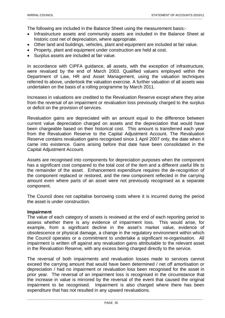The following are included in the Balance Sheet using the measurement basis:-

• Infrastructure assets and community assets are included in the Balance Sheet at historic cost net of depreciation, where appropriate.

- Other land and buildings, vehicles, plant and equipment are included at fair value.
- Property, plant and equipment under construction are held at cost.
- Surplus assets are included at fair value.

In accordance with CIPFA guidance, all assets, with the exception of infrastructure, were revalued by the end of March 2003. Qualified valuers employed within the Department of Law, HR and Asset Management, using the valuation techniques referred to above, undertook the valuation exercise. A further valuation of all assets was undertaken on the basis of a rolling programme by March 2011.

Increases in valuations are credited to the Revaluation Reserve except where they arise from the reversal of an impairment or revaluation loss previously charged to the surplus or deficit on the provision of services.

Revaluation gains are depreciated with an amount equal to the difference between current value depreciation charged on assets and the depreciation that would have been chargeable based on their historical cost. This amount is transferred each year from the Revaluation Reserve to the Capital Adjustment Account. The Revaluation Reserve contains revaluation gains recognised since 1 April 2007 only, the date when it came into existence. Gains arising before that date have been consolidated in the Capital Adjustment Account.

Assets are recognised into components for depreciation purposes when the component has a significant cost compared to the total cost of the item and a different useful life to the remainder of the asset. Enhancement expenditure requires the de-recognition of the component replaced or restored, and the new component reflected in the carrying amount even where parts of an asset were not previously recognised as a separate component.

The Council does not capitalise borrowing costs where it is incurred during the period the asset is under construction.

#### **Impairment**

The value of each category of assets is reviewed at the end of each reporting period to assess whether there is any evidence of impairment loss. This would arise, for example, from a significant decline in the asset's market value, evidence of obsolescence or physical damage, a change in the regulatory environment within which the Council operates or a commitment to undertake a significant re-organisation. All impairment is written off against any revaluation gains attributable to the relevant asset in the Revaluation Reserve, with any excess being charged directly to the service.

The reversal of both impairments and revaluation losses made to services cannot exceed the carrying amount that would have been determined / net off amortisation or depreciation / had no impairment or revaluation loss been recognised for the asset in prior year. The reversal of an impairment loss is recognised in the circumstance that the increase in value is mirrored by the reversal of the event that caused the original impairment to be recognised. Impairment is also charged where there has been expenditure that has not resulted in any upward revaluations.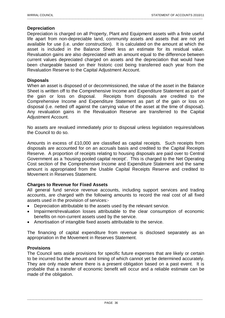### **Depreciation**

Depreciation is charged on all Property, Plant and Equipment assets with a finite useful life apart from non-depreciable land, community assets and assets that are not yet available for use (i.e. under construction). It is calculated on the amount at which the asset is included in the Balance Sheet less an estimate for its residual value. Revaluation gains are also depreciated with an amount equal to the difference between current values depreciated charged on assets and the depreciation that would have been chargeable based on their historic cost being transferred each year from the Revaluation Reserve to the Capital Adjustment Account.

## **Disposals**

When an asset is disposed of or decommissioned, the value of the asset in the Balance Sheet is written off to the Comprehensive Income and Expenditure Statement as part of the gain or loss on disposal. Receipts from disposals are credited to the Comprehensive Income and Expenditure Statement as part of the gain or loss on disposal (i.e. netted off against the carrying value of the asset at the time of disposal). Any revaluation gains in the Revaluation Reserve are transferred to the Capital Adjustment Account.

No assets are revalued immediately prior to disposal unless legislation requires/allows the Council to do so.

Amounts in excess of £10,000 are classified as capital receipts. Such receipts from disposals are accounted for on an accruals basis and credited to the Capital Receipts Reserve. A proportion of receipts relating to housing disposals are paid over to Central Government as a 'housing pooled capital receipt'. This is charged to the Net Operating Cost section of the Comprehensive Income and Expenditure Statement and the same amount is appropriated from the Usable Capital Receipts Reserve and credited to Movement in Reserves Statement.

# **Charges to Revenue for Fixed Assets**

All general fund service revenue accounts, including support services and trading accounts, are charged with the following amounts to record the real cost of all fixed assets used in the provision of services:-

- Depreciation attributable to the assets used by the relevant service.
- Impairment/revaluation losses attributable to the clear consumption of economic benefits on non-current assets used by the service.
- Amortisation of intangible fixed assets attributable to the service.

The financing of capital expenditure from revenue is disclosed separately as an appropriation in the Movement in Reserves Statement.

#### **Provisions**

The Council sets aside provisions for specific future expenses that are likely or certain to be incurred but the amount and timing of which cannot yet be determined accurately. They are only made where there is a present obligation based on a past event. It is probable that a transfer of economic benefit will occur and a reliable estimate can be made of the obligation.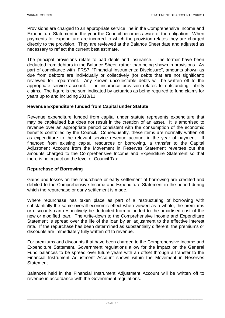Provisions are charged to an appropriate service line in the Comprehensive Income and Expenditure Statement in the year the Council becomes aware of the obligation. When payments for expenditure are incurred to which the provision relates they are charged directly to the provision. They are reviewed at the Balance Sheet date and adjusted as necessary to reflect the current best estimate.

The principal provisions relate to bad debts and insurance. The former have been deducted from debtors in the Balance Sheet, rather than being shown in provisions. As part of compliance with IFRS7, "Financial Instruments: Disclosure", amounts shown as due from debtors are individually or collectively (for debts that are not significant) reviewed for impairment. Any known uncollectable debts will be written off to the appropriate service account. The insurance provision relates to outstanding liability claims. The figure is the sum indicated by actuaries as being required to fund claims for years up to and including 2010/11.

## **Revenue Expenditure funded from Capital under Statute**

Revenue expenditure funded from capital under statute represents expenditure that may be capitalised but does not result in the creation of an asset. It is amortised to revenue over an appropriate period consistent with the consumption of the economic benefits controlled by the Council. Consequently, these items are normally written off as expenditure to the relevant service revenue account in the year of payment. If financed from existing capital resources or borrowing, a transfer to the Capital Adjustment Account from the Movement in Reserves Statement reverses out the amounts charged to the Comprehensive Income and Expenditure Statement so that there is no impact on the level of Council Tax.

# **Repurchase of Borrowing**

Gains and losses on the repurchase or early settlement of borrowing are credited and debited to the Comprehensive Income and Expenditure Statement in the period during which the repurchase or early settlement is made.

Where repurchase has taken place as part of a restructuring of borrowing with substantially the same overall economic effect when viewed as a whole, the premiums or discounts can respectively be deducted from or added to the amortised cost of the new or modified loan. The write-down to the Comprehensive Income and Expenditure Statement is spread over the life of the loan by an adjustment to the effective interest rate. If the repurchase has been determined as substantially different, the premiums or discounts are immediately fully written off to revenue.

For premiums and discounts that have been charged to the Comprehensive Income and Expenditure Statement, Government regulations allow for the impact on the General Fund balances to be spread over future years with an offset through a transfer to the Financial Instrument Adjustment Account shown within the Movement in Reserves Statement.

Balances held in the Financial Instrument Adjustment Account will be written off to revenue in accordance with the Government regulations.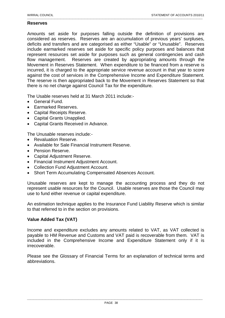## **Reserves**

Amounts set aside for purposes falling outside the definition of provisions are considered as reserves. Reserves are an accumulation of previous years' surpluses, deficits and transfers and are categorised as either "Usable" or "Unusable". Reserves include earmarked reserves set aside for specific policy purposes and balances that represent resources set aside for purposes such as general contingencies and cash flow management. Reserves are created by appropriating amounts through the Movement in Reserves Statement. When expenditure to be financed from a reserve is incurred, it is charged to the appropriate service revenue account in that year to score against the cost of services in the Comprehensive Income and Expenditure Statement. The reserve is then appropriated back to the Movement in Reserves Statement so that there is no net charge against Council Tax for the expenditure.

The Usable reserves held at 31 March 2011 include:-

- General Fund.
- Earmarked Reserves.
- Capital Receipts Reserve.
- Capital Grants Unapplied.
- Capital Grants Received in Advance.

The Unusable reserves include:-

- **Revaluation Reserve.**
- Available for Sale Financial Instrument Reserve.
- Pension Reserve.
- Capital Adjustment Reserve.
- Financial Instrument Adjustment Account.
- Collection Fund Adjustment Account.
- Short Term Accumulating Compensated Absences Account.

Unusable reserves are kept to manage the accounting process and they do not represent usable resources for the Council. Usable reserves are those the Council may use to fund either revenue or capital expenditure.

An estimation technique applies to the Insurance Fund Liability Reserve which is similar to that referred to in the section on provisions.

# **Value Added Tax (VAT)**

Income and expenditure excludes any amounts related to VAT, as VAT collected is payable to HM Revenue and Customs and VAT paid is recoverable from them. VAT is included in the Comprehensive Income and Expenditure Statement only if it is irrecoverable.

Please see the Glossary of Financial Terms for an explanation of technical terms and abbreviations.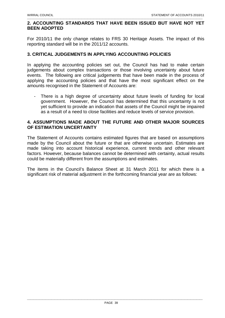#### **2. ACCOUNTING STANDARDS THAT HAVE BEEN ISSUED BUT HAVE NOT YET BEEN ADOPTED**

For 2010/11 the only change relates to FRS 30 Heritage Assets. The impact of this reporting standard will be in the 2011/12 accounts.

## **3. CRITICAL JUDGEMENTS IN APPLYING ACCOUNTING POLICIES**

In applying the accounting policies set out, the Council has had to make certain judgements about complex transactions or those involving uncertainty about future events. The following are critical judgements that have been made in the process of applying the accounting policies and that have the most significant effect on the amounts recognised in the Statement of Accounts are:

- There is a high degree of uncertainty about future levels of funding for local government. However, the Council has determined that this uncertainty is not yet sufficient to provide an indication that assets of the Council might be impaired as a result of a need to close facilities and reduce levels of service provision.

# **4. ASSUMPTIONS MADE ABOUT THE FUTURE AND OTHER MAJOR SOURCES OF ESTIMATION UNCERTAINTY**

The Statement of Accounts contains estimated figures that are based on assumptions made by the Council about the future or that are otherwise uncertain. Estimates are made taking into account historical experience, current trends and other relevant factors. However, because balances cannot be determined with certainty, actual results could be materially different from the assumptions and estimates.

The items in the Council's Balance Sheet at 31 March 2011 for which there is a significant risk of material adjustment in the forthcoming financial year are as follows: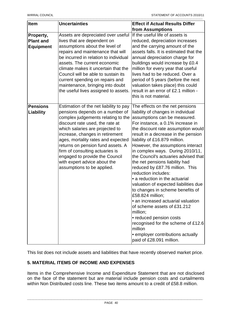| Item                                              | <b>Uncertainties</b>                                                                                                                                                                                                                                                                                                                                                                                                                   | <b>Effect if Actual Results Differ</b>                                                                                                                                                                                                                                                                                                                                                                                                                                                                                                                                                                                                                                                                                                                                                                    |
|---------------------------------------------------|----------------------------------------------------------------------------------------------------------------------------------------------------------------------------------------------------------------------------------------------------------------------------------------------------------------------------------------------------------------------------------------------------------------------------------------|-----------------------------------------------------------------------------------------------------------------------------------------------------------------------------------------------------------------------------------------------------------------------------------------------------------------------------------------------------------------------------------------------------------------------------------------------------------------------------------------------------------------------------------------------------------------------------------------------------------------------------------------------------------------------------------------------------------------------------------------------------------------------------------------------------------|
|                                                   |                                                                                                                                                                                                                                                                                                                                                                                                                                        | from Assumptions                                                                                                                                                                                                                                                                                                                                                                                                                                                                                                                                                                                                                                                                                                                                                                                          |
| Property,<br><b>Plant and</b><br><b>Equipment</b> | Assets are depreciated over useful<br>lives that are dependent on<br>assumptions about the level of<br>repairs and maintenance that will<br>be incurred in relation to individual<br>assets. The current economic<br>climate makes it uncertain that the<br>Council will be able to sustain its<br>current spending on repairs and<br>maintenance, bringing into doubt<br>the useful lives assigned to assets.                         | If the useful life of assets is<br>reduced, depreciation increases<br>and the carrying amount of the<br>assets falls. It is estimated that the<br>annual depreciation charge for<br>buildings would increase by £0.4<br>million for every year that useful<br>lives had to be reduced. Over a<br>period of 5 years (before the next<br>valuation takes place) this could<br>result in an error of £2.1 million -<br>this is not material.                                                                                                                                                                                                                                                                                                                                                                 |
| <b>Pensions</b><br><b>Liability</b>               | Estimation of the net liability to pay<br>pensions depends on a number of<br>complex judgements relating to the<br>discount rate used, the rate at<br>which salaries are projected to<br>increase, changes in retirement<br>ages, mortality rates and expected<br>returns on pension fund assets. A<br>firm of consulting actuaries is<br>engaged to provide the Council<br>with expert advice about the<br>assumptions to be applied. | The effects on the net pensions<br>liability of changes in individual<br>assumptions can be measured.<br>For instance, a 0.1% increase in<br>the discount rate assumption would<br>result in a decrease in the pension<br>liability of £16.879 million.<br>However, the assumptions interact<br>in complex ways. During 2010/11,<br>the Council's actuaries advised that<br>the net pensions liability had<br>reduced by £87.76 million. This<br>reduction includes:<br>• a reduction in the actuarial<br>valuation of expected liabilities due<br>to changes in scheme benefits of<br>£58.824 million;<br>• an increased actuarial valuation<br>of scheme assets of £31.212<br>million;<br>• reduced pension costs<br>recognised for the scheme of £12.6<br>million<br>• employer contributions actually |

This list does not include assets and liabilities that have recently observed market price.

# **5. MATERIAL ITEMS OF INCOME AND EXPENSES**

Items in the Comprehensive Income and Expenditure Statement that are not disclosed on the face of the statement but are material include pension costs and curtailments within Non Distributed costs line. These two items amount to a credit of £58.8 million.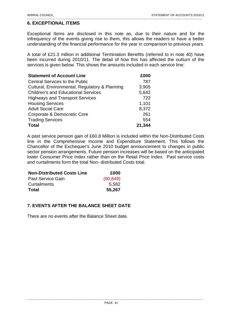# **6. EXCEPTIONAL ITEMS**

Exceptional Items are disclosed in this note as, due to their nature and for the infrequency of the events giving rise to them, this allows the readers to have a better understanding of the financial performance for the year in comparison to previous years.

A total of £21.3 million in additional Termination Benefits (referred to in note 40) have been incurred during 2010/11. The detail of how this has affected the outturn of the services is given below. This shows the amounts included in each service line:

| <b>Statement of Account Line</b>               | £000   |
|------------------------------------------------|--------|
| <b>Central Services to the Public</b>          | 787    |
| Cultural, Environmental, Regulatory & Planning | 3,905  |
| <b>Children's and Educational Services</b>     | 5,642  |
| <b>Highways and Transport Services</b>         | 722    |
| <b>Housing Services</b>                        | 1,101  |
| <b>Adult Social Care</b>                       | 8,372  |
| Corporate & Democratic Core                    | 261    |
| <b>Trading Services</b>                        | 554    |
| <b>Total</b>                                   | 21,344 |

A past service pension gain of £60.8 Million is included within the Non-Distributed Costs line in the Comprehensive Income and Expenditure Statement. This follows the Chancellor of the Exchequer's June 2010 budget announcement to changes in public sector pension arrangements. Future pension increases will be based on the anticipated lower Consumer Price Index rather than on the Retail Price Index. Past service costs and curtailments form the total Non- distributed Costs total.

| <b>Non-Distributed Costs Line</b> | £000      |
|-----------------------------------|-----------|
| Past Service Gain                 | (60, 849) |
| <b>Curtailments</b>               | 5,582     |
| <b>Total</b>                      | 55,267    |

# **7. EVENTS AFTER THE BALANCE SHEET DATE**

There are no events after the Balance Sheet date.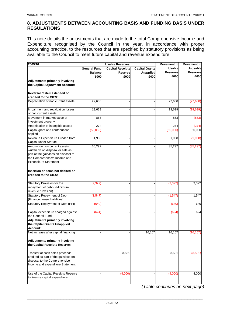#### **8. ADJUSTMENTS BETWEEN ACCOUNTING BASIS AND FUNDING BASIS UNDER REGULATIONS**

This note details the adjustments that are made to the total Comprehensive Income and Expenditure recognised by the Council in the year, in accordance with proper accounting practice, to the resources that are specified by statutory provisions as being available to the Council to meet future capital and revenue expenditure.

| 2009/10                                                                                                                                                                    |                     | <b>Usable Reserves</b>  | Movement in           | <b>Movement in</b> |                 |
|----------------------------------------------------------------------------------------------------------------------------------------------------------------------------|---------------------|-------------------------|-----------------------|--------------------|-----------------|
|                                                                                                                                                                            | <b>General Fund</b> | <b>Capital Receipts</b> | <b>Capital Grants</b> | <b>Usable</b>      | <b>Unusable</b> |
|                                                                                                                                                                            | <b>Balance</b>      | <b>Reserve</b>          | <b>Unapplied</b>      | Reserves           | <b>Reserves</b> |
|                                                                                                                                                                            | £000                | £000                    | £000                  | £000               | £000            |
| <b>Adjustments primarily involving</b>                                                                                                                                     |                     |                         |                       |                    |                 |
| the Capital Adjustment Account:                                                                                                                                            |                     |                         |                       |                    |                 |
| Reversal of items debited or                                                                                                                                               |                     |                         |                       |                    |                 |
| credited to the CIES:                                                                                                                                                      |                     |                         |                       |                    |                 |
| Depreciation of non current assets                                                                                                                                         | 27,630              |                         |                       | 27,630             | (27, 630)       |
| Impairment and revaluation losses<br>of non current assets                                                                                                                 | 19,629              |                         |                       | 19,629             | (19, 629)       |
| Movement in market value of<br>investment property                                                                                                                         | 863                 |                         |                       | 863                | (863)           |
| Amortisation of intangible assets                                                                                                                                          | 274                 |                         |                       | 274                | (274)           |
| Capital grant and contributions<br>applied                                                                                                                                 | (50,080)            |                         |                       | (50,080)           | 50,080          |
| Revenue Expenditure Funded from<br>Capital under Statute                                                                                                                   | 1,958               |                         |                       | 1,958              | (1,958)         |
| Amount on non current assets<br>written off on disposal or sale as<br>part of the gain/loss on disposal to<br>the Comprehensive Income and<br><b>Expenditure Statement</b> | 35,297              |                         |                       | 35,297             | (35, 297)       |
| Insertion of items not debited or                                                                                                                                          |                     |                         |                       |                    |                 |
| credited to the CIES:                                                                                                                                                      |                     |                         |                       |                    |                 |
| Statutory Provision for the<br>repayment of debt - (Minimum<br>revenue provision)                                                                                          | (9, 322)            |                         |                       | (9, 322)           | 9,322           |
| Statutory Repayment of Debt<br>(Finance Lease Liabilities)                                                                                                                 | (1, 547)            |                         |                       | (1, 547)           | 1,547           |
| Statutory Repayment of Debt (PFI)                                                                                                                                          | (640)               |                         |                       | (640)              | 640             |
| Capital expenditure charged against<br>the General Fund                                                                                                                    | (624)               |                         |                       | (624)              | 624             |
| Adjustments primarily involving<br>the Capital Grants Unapplied<br>Account:                                                                                                |                     |                         |                       |                    |                 |
| Net increase after capital financing                                                                                                                                       |                     |                         | 16,167                | 16,167             | (16, 167)       |
| <b>Adjustments primarily involving</b><br>the Capital Receipts Reserve:                                                                                                    |                     |                         |                       |                    |                 |
| Transfer of cash sales proceeds<br>credited as part of the gain/loss on<br>disposal to the Comprehensive<br>Income and expenditure Statement                               |                     | 3,581                   |                       | 3,581              | (3,581)         |
| Use of the Capital Receipts Reserve<br>to finance capital expenditure                                                                                                      |                     | (4,000)                 |                       | (4,000)            | 4,000           |

*(Table continues on next page)*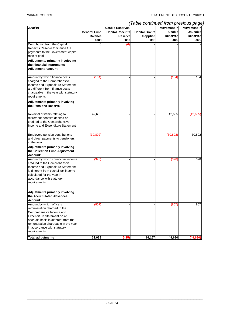| 2009/10                                                                                                                                                                                                                                           | <b>Usable Reserves</b>                        |                                                   |                                                   | <b>Movement in</b>                       | (Table continued from previous page)<br>Movement in |  |
|---------------------------------------------------------------------------------------------------------------------------------------------------------------------------------------------------------------------------------------------------|-----------------------------------------------|---------------------------------------------------|---------------------------------------------------|------------------------------------------|-----------------------------------------------------|--|
|                                                                                                                                                                                                                                                   | <b>General Fund</b><br><b>Balance</b><br>£000 | <b>Capital Receipts</b><br><b>Reserve</b><br>£000 | <b>Capital Grants</b><br><b>Unapplied</b><br>£000 | <b>Usable</b><br><b>Reserves</b><br>£000 | Unusable<br><b>Reserves</b><br>£000                 |  |
| Contribution from the Capital<br>Receipts Reserve to finance the<br>payments to the Government capital<br>receipt pool                                                                                                                            | 6                                             | (6)                                               |                                                   |                                          |                                                     |  |
| Adjustments primarily involoving<br>the Financial Instruments<br><b>Adjustment Account:</b>                                                                                                                                                       |                                               |                                                   |                                                   |                                          |                                                     |  |
| Amount by which finance costs<br>charged to the Comprehensive<br>Income and Expenditure Statement<br>are different from finance costs<br>chargeable in the year with statutory<br>requirements                                                    | (134)                                         |                                                   |                                                   | (134)                                    | 134                                                 |  |
| Adjustments primarily involving<br>the Pensions Reserve:                                                                                                                                                                                          |                                               |                                                   |                                                   |                                          |                                                     |  |
| Reversal of items relating to<br>retirement benefits debited or<br>credited to the Comprehensive<br>Income and Expenditure Statement                                                                                                              | 42,635                                        |                                                   |                                                   | 42,635                                   | (42, 635)                                           |  |
| Employers pension contributions<br>and direct payments to pensioners<br>in the year                                                                                                                                                               | (30, 802)                                     |                                                   |                                                   | (30, 802)                                | 30,802                                              |  |
| <b>Adjustments primarily involving</b><br>the Collection Fund Adjustment<br>Account:                                                                                                                                                              |                                               |                                                   |                                                   |                                          |                                                     |  |
| Amount by which council tax income<br>credited to the Comprehensive<br>Income and Expenditure Statement<br>is different from council tax income<br>calculated for the year in<br>accordance with statutory<br>requirements                        | (398)                                         |                                                   |                                                   | (398)                                    | 398                                                 |  |
| <b>Adjustments primarily involving</b><br>the Accumulated Absences<br>Account:                                                                                                                                                                    |                                               |                                                   |                                                   |                                          |                                                     |  |
| Amount by which officers<br>remuneration charged to the<br>Comprehensive Income and<br>Expenditure Statement on an<br>accruals basis is different from the<br>remuneration chargeable in the year<br>in accordance with statutory<br>requirements | (807)                                         |                                                   |                                                   | (807)                                    | 807                                                 |  |
| <b>Total adjustments</b>                                                                                                                                                                                                                          | 33,938                                        | (425)                                             | 16,167                                            | 49,680                                   | (49, 680)                                           |  |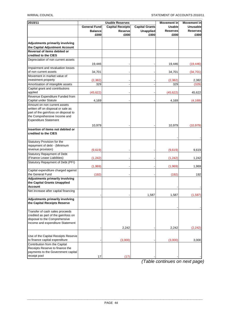| 2010/11                                | <b>General Fund</b> | <b>Usable Reserves</b>                    | <b>Capital Grants</b> | <b>Movement</b> in<br><b>Usable</b> | <b>Movement in</b><br>Unusable |  |
|----------------------------------------|---------------------|-------------------------------------------|-----------------------|-------------------------------------|--------------------------------|--|
|                                        | <b>Balance</b>      | <b>Capital Receipts</b><br><b>Reserve</b> | <b>Unapplied</b>      | <b>Reserves</b>                     | <b>Reserves</b>                |  |
|                                        | £000                | £000                                      | £000                  | £000                                | £000                           |  |
|                                        |                     |                                           |                       |                                     |                                |  |
| <b>Adjustments primarily involving</b> |                     |                                           |                       |                                     |                                |  |
| the Capital Adjustment Account         |                     |                                           |                       |                                     |                                |  |
| Reversal of items debited or           |                     |                                           |                       |                                     |                                |  |
| credited to the CIES                   |                     |                                           |                       |                                     |                                |  |
| Depreciation of non current assets     |                     |                                           |                       |                                     |                                |  |
|                                        | 19,446              |                                           |                       | 19,446                              | (19, 446)                      |  |
| Impairment and revaluation losses      |                     |                                           |                       |                                     |                                |  |
| of non current assets                  | 34,701              |                                           |                       | 34,701                              | (34, 701)                      |  |
| Movement in market value of            |                     |                                           |                       |                                     |                                |  |
| investment property                    | (2, 382)            |                                           |                       | (2, 382)                            | 2,382                          |  |
| Amortisation of intangible assets      | 329                 |                                           |                       | 329                                 | (329)                          |  |
| Capital grant and contributions        |                     |                                           |                       |                                     |                                |  |
| applied                                | (45, 622)           |                                           |                       | (45, 622)                           | 45,622                         |  |
| Revenue Expenditure Funded from        |                     |                                           |                       |                                     |                                |  |
| Capital under Statute                  | 4,169               |                                           |                       | 4,169                               | (4, 169)                       |  |
| Amount on non current assets           |                     |                                           |                       |                                     |                                |  |
| written off on disposal or sale as     |                     |                                           |                       |                                     |                                |  |
| part of the gain/loss on disposal to   |                     |                                           |                       |                                     |                                |  |
| the Comprehensive Income and           |                     |                                           |                       |                                     |                                |  |
| <b>Expenditure Statement</b>           |                     |                                           |                       |                                     |                                |  |
|                                        | 10,979              |                                           |                       | 10,979                              | (10, 979)                      |  |
| Insertion of items not debited or      |                     |                                           |                       |                                     |                                |  |
| credited to the CIES                   |                     |                                           |                       |                                     |                                |  |
|                                        |                     |                                           |                       |                                     |                                |  |
| Statutory Provision for the            |                     |                                           |                       |                                     |                                |  |
| repayment of debt - (Minimum           |                     |                                           |                       |                                     |                                |  |
| revenue provision)                     | (9,619)             |                                           |                       | (9,619)                             | 9,619                          |  |
| Statutory Repayment of Debt            |                     |                                           |                       |                                     |                                |  |
| (Finance Lease Liabilities)            | (1, 242)            |                                           |                       | (1, 242)                            | 1,242                          |  |
| Statutory Repayment of Debt (PFI)      |                     |                                           |                       |                                     |                                |  |
|                                        | (1,969)             |                                           |                       | (1,969)                             | 1,969                          |  |
| Capital expenditure charged against    |                     |                                           |                       |                                     |                                |  |
| the General Fund                       | (192)               |                                           |                       | (192)                               | 192                            |  |
| Adjustments primarily involving        |                     |                                           |                       |                                     |                                |  |
| the Capital Grants Unapplied           |                     |                                           |                       |                                     |                                |  |
| Account                                |                     |                                           |                       |                                     |                                |  |
| Net increase after capital financing   |                     |                                           |                       |                                     |                                |  |
|                                        |                     |                                           | 1,587                 | 1,587                               | (1, 587)                       |  |
| <b>Adjustments primarily involving</b> |                     |                                           |                       |                                     |                                |  |
| the Capital Receipts Reserve           |                     |                                           |                       |                                     |                                |  |
|                                        |                     |                                           |                       |                                     |                                |  |
| Transfer of cash sales proceeds        |                     |                                           |                       |                                     |                                |  |
| credited as part of the gain/loss on   |                     |                                           |                       |                                     |                                |  |
| disposal to the Comprehensive          |                     |                                           |                       |                                     |                                |  |
| Income and expenditure Statement       |                     |                                           |                       |                                     |                                |  |
|                                        |                     | 2,242                                     |                       | 2,242                               | (2, 242)                       |  |
|                                        |                     |                                           |                       |                                     |                                |  |
| Use of the Capital Receipts Reserve    |                     |                                           |                       |                                     |                                |  |
| to finance capital expenditure         |                     | (3,000)                                   |                       | (3,000)                             | 3,000                          |  |
| Contribution from the Capital          |                     |                                           |                       |                                     |                                |  |
| Receipts Reserve to finance the        |                     |                                           |                       |                                     |                                |  |
| payments to the Government capital     |                     |                                           |                       |                                     |                                |  |
| receipt pool                           | 17                  | (17)                                      |                       |                                     |                                |  |

*(Table continues on next page)*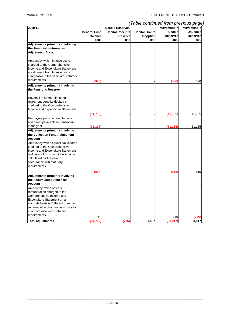| 2010/11                                 |                     | <b>Usable Reserves</b>  | (Table continued from previous page)<br>Movement in | <b>Movement in</b> |                 |
|-----------------------------------------|---------------------|-------------------------|-----------------------------------------------------|--------------------|-----------------|
|                                         | <b>General Fund</b> | <b>Capital Receipts</b> | <b>Capital Grants</b>                               | <b>Usable</b>      | Unusablel       |
|                                         | <b>Balance</b>      | <b>Reserve</b>          | <b>Unapplied</b>                                    | <b>Reserves</b>    | <b>Reserves</b> |
|                                         | £000                | £000                    | £000                                                | £000               | £000            |
| <b>Adjustments primarily involoving</b> |                     |                         |                                                     |                    |                 |
| the Financial Instruments               |                     |                         |                                                     |                    |                 |
| <b>Adjustment Account</b>               |                     |                         |                                                     |                    |                 |
| Amount by which finance costs           |                     |                         |                                                     |                    |                 |
| charged to the Comprehensive            |                     |                         |                                                     |                    |                 |
| Income and Expenditure Statement        |                     |                         |                                                     |                    |                 |
| are different from finance costs        |                     |                         |                                                     |                    |                 |
| chargeable in the year with statutory   |                     |                         |                                                     |                    |                 |
| requirements                            |                     |                         |                                                     |                    |                 |
| Adjustments primarily involving         | (328)               |                         |                                                     | (328)              | 328             |
| the Pensions Reserve                    |                     |                         |                                                     |                    |                 |
|                                         |                     |                         |                                                     |                    |                 |
| Reversal of items relating to           |                     |                         |                                                     |                    |                 |
| retirement benefits debited or          |                     |                         |                                                     |                    |                 |
| credited to the Comprehensive           |                     |                         |                                                     |                    |                 |
| Income and Expenditure Statement        |                     |                         |                                                     |                    |                 |
|                                         | (11, 765)           |                         |                                                     | (11, 765)          | 11,765          |
| Employers pension contributions         |                     |                         |                                                     |                    |                 |
| and direct payments to pensioners       |                     |                         |                                                     |                    |                 |
| in the year                             | (31, 185)           |                         |                                                     | (31, 185)          | 31,185          |
| Adjustments primarily involving         |                     |                         |                                                     |                    |                 |
| the Collection Fund Adjustment          |                     |                         |                                                     |                    |                 |
| <b>Account</b>                          |                     |                         |                                                     |                    |                 |
| Amount by which council tax income      |                     |                         |                                                     |                    |                 |
| credited to the Comprehensive           |                     |                         |                                                     |                    |                 |
| Income and Expenditure Statement        |                     |                         |                                                     |                    |                 |
| is different from council tax income    |                     |                         |                                                     |                    |                 |
| calculated for the year in              |                     |                         |                                                     |                    |                 |
| accordance with statutory               |                     |                         |                                                     |                    |                 |
| requirements                            |                     |                         |                                                     |                    |                 |
|                                         | (815)               |                         |                                                     | (815)              | 815             |
| Adjustments primarily involving         |                     |                         |                                                     |                    |                 |
| the Accumulated Absences                |                     |                         |                                                     |                    |                 |
| Account                                 |                     |                         |                                                     |                    |                 |
| Amount by which officers                |                     |                         |                                                     |                    |                 |
| remuneration charged to the             |                     |                         |                                                     |                    |                 |
| Comprehensive Income and                |                     |                         |                                                     |                    |                 |
| Expenditure Statement on an             |                     |                         |                                                     |                    |                 |
| accruals basis is Different from the    |                     |                         |                                                     |                    |                 |
| remuneration chargeable in the year     |                     |                         |                                                     |                    |                 |
| in accordance with statutory            |                     |                         |                                                     |                    |                 |
| requirements                            | 749                 |                         |                                                     | 749                | (749)           |
| <b>Total adjustments</b>                | (34, 729)           | (775)                   | 1,587                                               | (33, 917)          | 33,917          |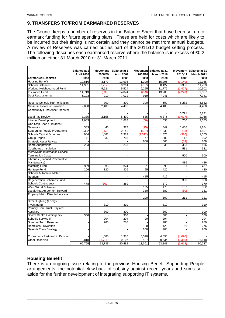#### **9. TRANSFERS TO/FROM EARMARKED RESERVES**

The Council keeps a number of reserves in the Balance Sheet that have been set up to earmark funding for future spending plans. These are held for costs which are likely to be incurred but their timing is not certain and they cannot be met from annual budgets. A review of Reserves was carried out as part of the 2011/12 budget setting process. The following describes each earmarked reserve where the balance is in excess of £0.2 million on either 31 March 2010 or 31 March 2011.

|                                       | <b>Balance at 1</b> | <b>Movement</b> | <b>Balance at 1</b> |         | Movement Balance at 31 |          | Movement Balance at 31 |
|---------------------------------------|---------------------|-----------------|---------------------|---------|------------------------|----------|------------------------|
|                                       | April 2008          | 2008/09         | <b>April 2009</b>   | 2009/10 | <b>March 2010</b>      | 2010/11  | <b>March 2011</b>      |
| <b>Earmarked Reserves</b>             | £000                | £000            | £000                | £000    | £000                   | £000     | £000                   |
| <b>Housing Benefit</b>                | 10.816              | 3.179           | 13.995              | 1.300   | 15.295                 | (3.140)  | 12.155                 |
| <b>Schools Balances</b>               | 11,931              | (2,717)         | 9,214               | (787)   | 8,427                  | 3,306    | 11,733                 |
| Working Neighbourhood Fund            |                     | 5,524           | 5,524               | 6,255   | 11,779                 | (1, 477) | 10,302                 |
| <b>Insurance Fund</b>                 | 14,713              | (639)           | 14,074              | (293)   | 13,780                 | (4, 243) | 9,537                  |
| <b>Debt Restructuring</b>             | 6,103               | 919             | 7.022               | 919     | 7,941                  |          | 7,941                  |
| Reserve Schools Harmonisation         |                     | 300             | 300                 | 300     | 600                    | 5,282    | 5,882                  |
| Minimum Revenue Provision             | 2.000               | 2,400           | 4.400               |         | 4.400                  |          | 4.400                  |
| <b>Community Fund Asset Transfer</b>  |                     |                 |                     |         |                        |          |                        |
|                                       |                     |                 |                     |         |                        | 3,721    | 3,721                  |
| <b>Local Pay Review</b>               | 3,335               | 2,155           | 5,490               | 885     | 6,375                  | (3,617)  | 2,758                  |
| Intranet Development                  | 1.683               |                 | 1,683               | (50)    | 1.633                  | 750      | 2.383                  |
| One Stop Shop / Libraries IT          |                     |                 |                     |         |                        |          |                        |
| <b>Networks</b>                       | 333                 | 40              | 373                 | (25)    | 349                    | 1,436    | 1,784                  |
| <b>Supporting People Programme</b>    | 2,392               | (252)           | 2,140               | (507)   | 1.632                  | (81)     | 1,551                  |
| <b>Schools Capital Schemes</b>        | 904                 | 1,483           | 2,387               | (1,012) | 1,375                  | (320)    | 1,055                  |
| <b>Group Repair</b>                   | 171                 | 532             | 703                 | 177     | 880                    | 112      | 992                    |
| <b>Strategic Asset Review</b>         |                     |                 |                     | 866     | 866                    | (59)     | 808                    |
| Home Adaptations                      | 233                 |                 | 233                 |         | 233                    | 333      | 566                    |
| Cosyhomes Insulation                  |                     |                 |                     |         |                        | 531      | 531                    |
| Merseyside Information Service        |                     |                 |                     |         |                        |          |                        |
| <b>Termination Costs</b>              |                     |                 |                     |         |                        | 500      | 500                    |
| Libraries (Planned Preventative       |                     |                 |                     |         |                        |          |                        |
| Maintenance)                          |                     |                 |                     |         |                        | 486      | 486                    |
| <b>Matching Fund</b>                  | 339                 | 35              | 374                 | 21      | 395                    | 81       | 477                    |
| <b>Heritage Fund</b>                  | 206                 | 120             | 326                 | 95      | 420                    |          | 420                    |
| <b>Schools Automatic Meter</b>        |                     |                 |                     |         |                        |          |                        |
| Readers                               |                     |                 |                     | 415     | 415                    |          | 415                    |
| <b>Regeneration Schemes Fund</b>      |                     |                 |                     |         |                        | 388      | 388                    |
| <b>Schools Contingency</b>            | 478                 | (109)           | 369                 |         | 370                    |          | 370                    |
| <b>West Wirral Schemes</b>            |                     |                 |                     | 175     | 175                    | 157      | 332                    |
| Local Area Agreement Reward           |                     |                 |                     | 380     | 380                    | (50)     | 331                    |
| <b>Property Maint Disabled Access</b> |                     |                 |                     |         |                        |          |                        |
|                                       |                     |                 |                     | 100     | 100                    | 211      | 311                    |
| <b>Street Lighting (Energy</b>        |                     |                 |                     |         |                        |          |                        |
| Investment)                           |                     | 310             | 310                 |         | 310                    |          | 310                    |
| <b>Primary Care Trust Physical</b>    |                     |                 |                     |         |                        |          |                        |
| <b>Activities</b>                     |                     | 300             | 300                 |         | 300                    |          | 300                    |
| <b>Sports Centre Contingency</b>      | 300                 |                 | 300                 |         | 300                    |          | 300                    |
| <b>Schools Service IT</b>             |                     | 204             | 204                 | 90      | 294                    |          | 294                    |
| <b>Summer Term Reserve</b>            |                     | 280             | 280                 |         | 280                    |          | 280                    |
| <b>Homeless Prevention</b>            |                     |                 |                     | 120     | 120                    | 156      | 276                    |
| Seaside Town Strategy                 |                     |                 |                     | 200     | 200                    |          | 200                    |
|                                       |                     |                 |                     |         |                        |          |                        |
| <b>Connexions Partnership Pension</b> |                     | 1,380           | 1,380               | 3,310   | 4,690                  | (4,690)  |                        |
| <b>Other Reserves</b>                 | 10,818              | (1,711)         | 9,107               | 427     | 9,534                  | (3, 386) | 6,148                  |
|                                       | 66,755              | 13,733          | 80,488              | 13,361  | 93,848                 | (3,613)  | 90,237                 |

# **Housing Benefit**

There is an ongoing issue relating to the previous Housing Benefit Supporting People arrangements, the potential claw-back of subsidy against recent years and sums setaside for the further development of integrating supporting IT systems.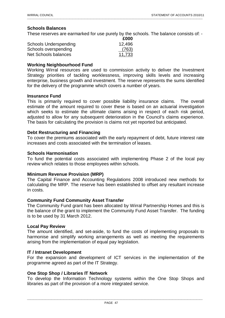# **Schools Balances**

These reserves are earmarked for use purely by the schools. The balance consists of: -

**£000**

|                              | LUUU   |
|------------------------------|--------|
| <b>Schools Underspending</b> | 12,496 |
| Schools overspending         | (763)  |
| Net Schools balances         | 11,733 |

## **Working Neighbourhood Fund**

Working Wirral resources are used to commission activity to deliver the Investment Strategy priorities of tackling worklessness, improving skills levels and increasing enterprise, business growth and investment. The reserve represents the sums identified for the delivery of the programme which covers a number of years.

## **Insurance Fund**

This is primarily required to cover possible liability insurance claims. The overall estimate of the amount required to cover these is based on an actuarial investigation which seeks to estimate the ultimate claims arising in respect of each risk period, adjusted to allow for any subsequent deterioration in the Council's claims experience. The basis for calculating the provision is claims not yet reported but anticipated.

#### **Debt Restructuring and Financing**

To cover the premiums associated with the early repayment of debt, future interest rate increases and costs associated with the termination of leases.

#### **Schools Harmonisation**

To fund the potential costs associated with implementing Phase 2 of the local pay review which relates to those employees within schools.

## **Minimum Revenue Provision (MRP)**

The Capital Finance and Accounting Regulations 2008 introduced new methods for calculating the MRP. The reserve has been established to offset any resultant increase in costs.

## **Community Fund Community Asset Transfer**

The Community Fund grant has been allocated by Wirral Partnership Homes and this is the balance of the grant to implement the Community Fund Asset Transfer. The funding is to be used by 31 March 2012.

## **Local Pay Review**

The amount identified, and set-aside, to fund the costs of implementing proposals to harmonise and simplify working arrangements as well as meeting the requirements arising from the implementation of equal pay legislation.

## **IT / Intranet Development**

For the expansion and development of ICT services in the implementation of the programme agreed as part of the IT Strategy.

## **One Stop Shop / Libraries IT Network**

To develop the Information Technology systems within the One Stop Shops and libraries as part of the provision of a more integrated service.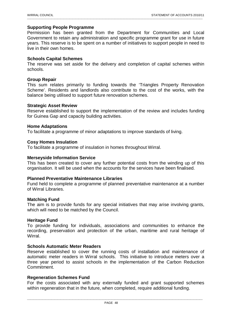# **Supporting People Programme**

Permission has been granted from the Department for Communities and Local Government to retain any administration and specific programme grant for use in future years. This reserve is to be spent on a number of initiatives to support people in need to live in their own homes.

## **Schools Capital Schemes**

The reserve was set aside for the delivery and completion of capital schemes within schools.

## **Group Repair**

This sum relates primarily to funding towards the 'Triangles Property Renovation Scheme'. Residents and landlords also contribute to the cost of the works, with the balance being utilised to support future renovation schemes.

## **Strategic Asset Review**

Reserve established to support the implementation of the review and includes funding for Guinea Gap and capacity building activities.

## **Home Adaptations**

To facilitate a programme of minor adaptations to improve standards of living.

## **Cosy Homes Insulation**

To facilitate a programme of insulation in homes throughout Wirral.

#### **Merseyside Information Service**

This has been created to cover any further potential costs from the winding up of this organisation. It will be used when the accounts for the services have been finalised.

# **Planned Preventative Maintenance Libraries**

Fund held to complete a programme of planned preventative maintenance at a number of Wirral Libraries.

#### **Matching Fund**

The aim is to provide funds for any special initiatives that may arise involving grants, which will need to be matched by the Council.

## **Heritage Fund**

To provide funding for individuals, associations and communities to enhance the recording, preservation and protection of the urban, maritime and rural heritage of Wirral.

## **Schools Automatic Meter Readers**

Reserve established to cover the running costs of installation and maintenance of automatic meter readers in Wirral schools. This initiative to introduce meters over a three year period to assist schools in the implementation of the Carbon Reduction Commitment.

## **Regeneration Schemes Fund**

For the costs associated with any externally funded and grant supported schemes within regeneration that in the future, when completed, require additional funding.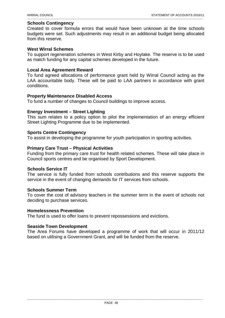## **Schools Contingency**

Created to cover formula errors that would have been unknown at the time schools budgets were set. Such adjustments may result in an additional budget being allocated from this reserve.

## **West Wirral Schemes**

To support regeneration schemes in West Kirby and Hoylake. The reserve is to be used as match funding for any capital schemes developed in the future.

## **Local Area Agreement Reward**

To fund agreed allocations of performance grant held by Wirral Council acting as the LAA accountable body. These will be paid to LAA partners in accordance with grant conditions.

## **Property Maintenance Disabled Access**

To fund a number of changes to Council buildings to improve access.

## **Energy Investment – Street Lighting**

This sum relates to a policy option to pilot the implementation of an energy efficient Street Lighting Programme due to be implemented.

## **Sports Centre Contingency**

To assist in developing the programme for youth participation in sporting activities.

## **Primary Care Trust – Physical Activities**

Funding from the primary care trust for health related schemes. These will take place in Council sports centres and be organised by Sport Development.

## **Schools Service IT**

The service is fully funded from schools contributions and this reserve supports the service in the event of changing demands for IT services from schools.

## **Schools Summer Term**

To cover the cost of advisory teachers in the summer term in the event of schools not deciding to purchase services.

## **Homelessness Prevention**

The fund is used to offer loans to prevent repossessions and evictions.

## **Seaside Town Development**

The Area Forums have developed a programme of work that will occur in 2011/12 based on utilising a Government Grant, and will be funded from the reserve.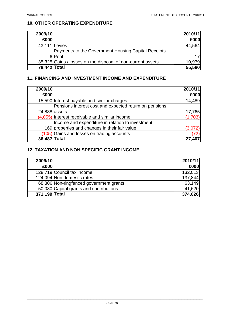#### **10. OTHER OPERATING EXPENDITURE**

| 2009/10       |                                                             | 2010/11 |
|---------------|-------------------------------------------------------------|---------|
| £000          |                                                             | £000    |
| 43,111 Levies |                                                             | 44,564  |
|               | Payments to the Government Housing Capital Receipts         |         |
|               | 6 Pool                                                      | 17      |
|               | 35,325 Gains / losses on the disposal of non-current assets | 10,979  |
| 78,442 Total  |                                                             | 55,560  |

# **11. FINANCING AND INVESTMENT INCOME AND EXPENDITURE**

| 2009/10         |                                                        | 2010/11 |
|-----------------|--------------------------------------------------------|---------|
| £000            |                                                        | £000    |
|                 | 15,590 Interest payable and similar charges            | 14,489  |
|                 | Pensions interest cost and expected return on pensions |         |
| $24,888$ assets |                                                        | 17,765  |
|                 | $(4,055)$ Interest receivable and similar income       | (1,703) |
|                 | Income and expenditure in relation to investment       |         |
|                 | 169 properties and changes in their fair value         | (3,072  |
|                 | $(105)$ Gains and losses on trading accounts           | (72)    |
| 36,487          | <b>Total</b>                                           |         |

# **12. TAXATION AND NON SPECIFIC GRANT INCOME**

| 2009/10       |                                         | 2010/11 |
|---------------|-----------------------------------------|---------|
| £000          |                                         | £000    |
|               | 128,719 Council tax income              | 132,013 |
|               | 124,094 Non domestic rates              | 137,844 |
|               | 68,306 Non-ringfenced government grants | 63,149  |
|               | 50,080 Capital grants and contributions | 41,620  |
| 371,199 Total |                                         | 374,626 |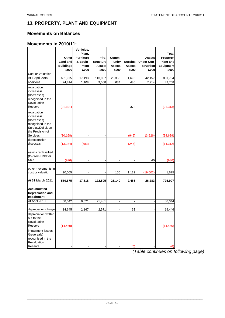#### **13. PROPERTY, PLANT AND EQUIPMENT**

# **Movements on Balances**

# **Movements in 2010/11:**

|                      |                  | Vehicles,                  |               |               |                |                   | <b>Total</b>     |
|----------------------|------------------|----------------------------|---------------|---------------|----------------|-------------------|------------------|
|                      | <b>Other</b>     | Plant.<br><b>Furniture</b> | Infra-        | Comm-         |                | <b>Assets</b>     | Property,        |
|                      | <b>Land and</b>  | & Equip-                   | structure     | unity         | <b>Surplus</b> | <b>Under Con-</b> | <b>Plant and</b> |
|                      | <b>Buildings</b> | ment                       | <b>Assets</b> | <b>Assets</b> | <b>Assets</b>  | struction         | <b>Equipment</b> |
|                      | £000             | £000                       | £000          | £000          | £000           | £000              | £000             |
| Cost or Valuation    |                  |                            |               |               |                |                   |                  |
| At 1 April 2010      | 601,975          | 17,493                     | 113,087       | 25,356        | 1,696          | 42,157            | 801,764          |
| additions            | 24,814           | 1,108                      | 9,508         | 634           | 480            | 7,214             | 43,758           |
| revaluation          |                  |                            |               |               |                |                   |                  |
| increases/           |                  |                            |               |               |                |                   |                  |
| (decreases)          |                  |                            |               |               |                |                   |                  |
| recognised in the    |                  |                            |               |               |                |                   |                  |
| Revaluation          |                  |                            |               |               |                |                   |                  |
| Reserve              | (21, 691)        |                            |               |               | 378            |                   | (21, 313)        |
| revaluation          |                  |                            |               |               |                |                   |                  |
| increases/           |                  |                            |               |               |                |                   |                  |
| (decreases)          |                  |                            |               |               |                |                   |                  |
| recognised in the    |                  |                            |               |               |                |                   |                  |
| Surplus/Deficit on   |                  |                            |               |               |                |                   |                  |
| the Provision of     |                  |                            |               |               |                |                   |                  |
| <b>Services</b>      | (30, 168)        |                            |               |               | (945)          | (3,526)           | (34, 639)        |
| derecognition -      |                  |                            |               |               |                |                   |                  |
| disposals            | (13, 284)        | (783)                      |               |               | (245)          |                   | (14, 312)        |
| assets reclassified  |                  |                            |               |               |                |                   |                  |
| (to)/from Held for   |                  |                            |               |               |                |                   |                  |
| Sale                 | (976)            |                            |               |               |                | 40                | (936)            |
|                      |                  |                            |               |               |                |                   |                  |
| other movements in   |                  |                            |               |               |                |                   |                  |
| cost or valuation    | 20,005           |                            |               | 150           | 1,122          | (19,602)          | 1,675            |
| At 31 March 2011     | 580,675          | 17,818                     | 122,595       | 26,140        | 2,486          | 26,283            | 775,997          |
|                      |                  |                            |               |               |                |                   |                  |
| Accumulated          |                  |                            |               |               |                |                   |                  |
| Depreciation and     |                  |                            |               |               |                |                   |                  |
| Impairment           |                  |                            |               |               |                |                   |                  |
| At April 2010        | 58,042           | 8,521                      | 21,481        |               |                |                   | 88,044           |
| depreciation charge  | 14,645           | 2,167                      | 2,571         |               | 63             |                   | 19,446           |
| depreciation written |                  |                            |               |               |                |                   |                  |
| out to the           |                  |                            |               |               |                |                   |                  |
| Revaluation          |                  |                            |               |               |                |                   |                  |
| Reserve              | (14, 460)        |                            |               |               |                |                   | (14, 460)        |
| impairment losses    |                  |                            |               |               |                |                   |                  |
| /(reversals)         |                  |                            |               |               |                |                   |                  |
| recognised in the    |                  |                            |               |               |                |                   |                  |
| <b>Revaluation</b>   |                  |                            |               |               |                |                   |                  |
| Reserve              |                  |                            |               |               | (6)            |                   | (6)              |

*(Table continues on following page)*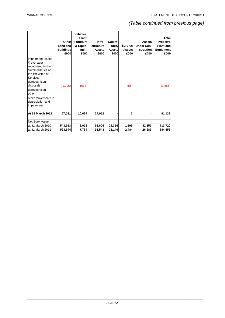#### *(Table continued from previous page)*

|                                                                              | Other<br><b>Land and</b><br><b>Buildings</b><br>£000 | Vehicles.<br>Plant.<br><b>Furniture</b><br>& Equip-<br>ment<br>£000 | Infra-<br>structure<br><b>Assets</b><br>£000 | Comm-<br>unity<br><b>Assets</b><br>£000 | Surplus<br><b>Assets</b><br>£000 | <b>Assets</b><br><b>Under Con-</b><br>struction<br>£000 | Totall<br>Property,<br><b>Plant and</b><br>Equipment<br>£000 |
|------------------------------------------------------------------------------|------------------------------------------------------|---------------------------------------------------------------------|----------------------------------------------|-----------------------------------------|----------------------------------|---------------------------------------------------------|--------------------------------------------------------------|
| impairment losses<br>/(reversals)<br>recognised in the<br>Surplus/Deficit on |                                                      |                                                                     |                                              |                                         |                                  |                                                         |                                                              |
| the Provision of<br>Services                                                 |                                                      |                                                                     |                                              |                                         |                                  |                                                         |                                                              |
| derecognition -<br>disposals                                                 | (1, 196)                                             | (634)                                                               |                                              |                                         | (55)                             |                                                         | (1,885)                                                      |
| derecognition -<br>other                                                     |                                                      |                                                                     |                                              |                                         |                                  |                                                         |                                                              |
| other movements in<br>depreciation and<br>impairment                         |                                                      |                                                                     |                                              |                                         |                                  |                                                         |                                                              |
| At 31 March 2011                                                             | 57,031                                               | 10,054                                                              | 24,052                                       |                                         | 2                                |                                                         | 91,139                                                       |
| Net Book Value                                                               |                                                      |                                                                     |                                              |                                         |                                  |                                                         |                                                              |
| at 31 March 2010                                                             | 543,933                                              | 8,972                                                               | 91,606                                       | 25,356                                  | 1,696                            | 42,157                                                  | 713,720                                                      |
| at 31 March 2011                                                             | 523,644                                              | 7,764                                                               | 98,543                                       | 26,140                                  | 2,484                            | 26,283                                                  | 684,858                                                      |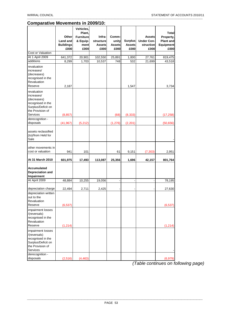# **Comparative Movements in 2009/10:**

|                                                                                                                                 | Other<br><b>Land and</b><br><b>Buildings</b><br>£000 | Vehicles,<br>Plant,<br><b>Furniture</b><br>& Equip-<br>ment<br>£000 | Infra-<br>structure<br><b>Assets</b><br>£000 | Comm-<br>unity<br><b>Assets</b><br>£000 | <b>Surplus</b><br><b>Assets</b><br>£000 | <b>Assets</b><br><b>Under Con-</b><br>struction<br>£000 | <b>Total</b><br>Property,<br><b>Plant and</b><br>Equipment<br>£000 |
|---------------------------------------------------------------------------------------------------------------------------------|------------------------------------------------------|---------------------------------------------------------------------|----------------------------------------------|-----------------------------------------|-----------------------------------------|---------------------------------------------------------|--------------------------------------------------------------------|
| Cost or Valuation                                                                                                               |                                                      |                                                                     |                                              |                                         |                                         |                                                         |                                                                    |
| At 1 April 2009                                                                                                                 | 641,372                                              | 20,901                                                              | 102,550                                      | 25,891                                  | 1,000                                   | 27,761                                                  | 819,475                                                            |
| additions                                                                                                                       | 8,299                                                | 1,703                                                               | 10,537                                       | 748                                     | 532                                     | 21,699                                                  | 43,518                                                             |
| revaluation<br>increases/<br>(decreases)<br>recognised in the<br>Revaluation<br>Reserve                                         | 2,187                                                |                                                                     |                                              |                                         | 1,547                                   |                                                         | 3,734                                                              |
| revaluation<br>increases/<br>(decreases)<br>recognised in the<br>Surplus/Deficit on<br>the Provision of<br>Services             | (8, 857)                                             |                                                                     |                                              | (68)                                    | (8, 333)                                |                                                         | (17, 258)                                                          |
| derecognition -                                                                                                                 |                                                      |                                                                     |                                              |                                         |                                         |                                                         |                                                                    |
| disposals                                                                                                                       | (41, 967)                                            | (5,212)                                                             |                                              | (1, 276)                                | (2,201)                                 |                                                         | (50, 656)                                                          |
| assets reclassified<br>(to)/from Held for<br>Sale                                                                               |                                                      |                                                                     |                                              |                                         |                                         |                                                         |                                                                    |
| other movements in<br>cost or valuation                                                                                         | 941                                                  | 101                                                                 |                                              | 61                                      | 9,151                                   | (7, 303)                                                | 2,951                                                              |
| At 31 March 2010                                                                                                                | 601,975                                              | 17,493                                                              | 113,087                                      | 25,356                                  | 1,696                                   | 42,157                                                  | 801,764                                                            |
| <b>Accumulated</b><br>Depreciation and<br>Impairment                                                                            |                                                      |                                                                     |                                              |                                         |                                         |                                                         |                                                                    |
| At April 2009                                                                                                                   | 48,884                                               | 10,255                                                              | 19,056                                       |                                         |                                         |                                                         | 78,195                                                             |
| depreciation charge                                                                                                             | 22,494                                               | 2,711                                                               | 2,425                                        |                                         |                                         |                                                         | 27,630                                                             |
| depreciation written<br>out to the<br>Revaluation<br>Reserve                                                                    | (6, 537)                                             |                                                                     |                                              |                                         |                                         |                                                         | (6, 537)                                                           |
| impairment losses<br>/(reversals)<br>recognised in the<br>Revaluation<br>Reserve                                                | (1, 214)                                             |                                                                     |                                              |                                         |                                         |                                                         | (1, 214)                                                           |
| impairment losses<br>/(reversals)<br>recognised in the<br>Surplus/Deficit on<br>the Provision of<br>Services<br>derecognition - |                                                      |                                                                     |                                              |                                         |                                         |                                                         |                                                                    |
| disposals                                                                                                                       | (2, 516)                                             | (4, 463)                                                            |                                              |                                         |                                         |                                                         | (6, 979)                                                           |
|                                                                                                                                 |                                                      |                                                                     |                                              |                                         |                                         |                                                         |                                                                    |

*(Table continues on following page)*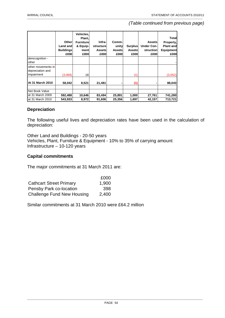#### *(Table continued from previous page)*

| derecognition -<br>other                               | Other<br><b>Land and</b><br><b>Buildings</b><br>£000 | Vehicles,<br>Plant.<br><b>Furniture</b><br>& Equip-<br>ment∣<br>£000 | Infra-<br>structure<br>Assets<br>£000 | Comm-l<br>unity<br><b>Assets</b><br>£000 | <b>Surplus</b><br><b>Assets</b><br>£000 | Assets<br><b>Under Con-</b><br>struction<br>£000 | Total<br>Property,<br><b>Plant and</b><br>Equipment<br>£000 |
|--------------------------------------------------------|------------------------------------------------------|----------------------------------------------------------------------|---------------------------------------|------------------------------------------|-----------------------------------------|--------------------------------------------------|-------------------------------------------------------------|
| other movements in<br>depreciation and<br>impairment   | (3,069)                                              | 18                                                                   |                                       |                                          | (1)                                     |                                                  | (3,052)                                                     |
| At 31 March 2010                                       | 58,042                                               | 8,521                                                                | 21,481                                |                                          | (1)                                     |                                                  | 88,043                                                      |
| Net Book Value<br>at 31 March 2009<br>at 31 March 2010 | 592,488<br>543,933                                   | 10,646<br>8,972                                                      | 83,494<br>91,606                      | 25,891<br>25,356                         | 1,000<br>1,697                          | 27,761<br>42,157                                 | 741,280<br>713,721                                          |

#### **Depreciation**

The following useful lives and depreciation rates have been used in the calculation of depreciation:

Other Land and Buildings - 20-50 years Vehicles, Plant, Furniture & Equipment - 10% to 35% of carrying amount Infrastructure – 10-120 years

#### **Capital commitments**

The major commitments at 31 March 2011 are:

|                                   | £000  |
|-----------------------------------|-------|
| <b>Cathcart Street Primary</b>    | 1,900 |
| Pensby Park co-location           | 398   |
| <b>Challenge Fund New Housing</b> | 2,400 |

Similar commitments at 31 March 2010 were £64.2 million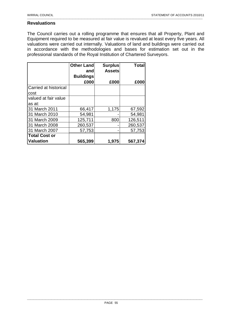#### **Revaluations**

The Council carries out a rolling programme that ensures that all Property, Plant and Equipment required to be measured at fair value is revalued at least every five years. All valuations were carried out internally. Valuations of land and buildings were carried out in accordance with the methodologies and bases for estimation set out in the professional standards of the Royal Institution of Chartered Surveyors.

|                       | <b>Other Land</b><br>and | <b>Surplus</b><br><b>Assets</b> | <b>Total</b> |
|-----------------------|--------------------------|---------------------------------|--------------|
|                       | <b>Buildings</b>         |                                 |              |
|                       | £000                     | £000                            | £000         |
| Carried at historical |                          |                                 |              |
| cost                  |                          |                                 |              |
| valued at fair value  |                          |                                 |              |
| as at:                |                          |                                 |              |
| 31 March 2011         | 66,417                   | 1,175                           | 67,592       |
| 31 March 2010         | 54,981                   |                                 | 54,981       |
| 31 March 2009         | 125,711                  | 800                             | 126,511      |
| 31 March 2008         | 260,537                  |                                 | 260,537      |
| 31 March 2007         | 57,753                   |                                 | 57,753       |
| <b>Total Cost or</b>  |                          |                                 |              |
| <b>Valuation</b>      | 565,399                  | 1,975                           | 567,374      |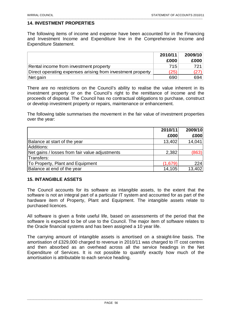# **14. INVESTMENT PROPERTIES**

The following items of income and expense have been accounted for in the Financing and Investment Income and Expenditure line in the Comprehensive Income and Expenditure Statement.

|                                                            | 2010/11 | 2009/10 |
|------------------------------------------------------------|---------|---------|
|                                                            | £000    | £000    |
| Rental income from investment property                     | 715     | 721     |
| Direct operating expenses arising from investment property | (25)    |         |
| Net gain                                                   | 690     | 694     |

There are no restrictions on the Council's ability to realise the value inherent in its investment property or on the Council's right to the remittance of income and the proceeds of disposal. The Council has no contractual obligations to purchase, construct or develop investment property or repairs, maintenance or enhancement.

The following table summarises the movement in the fair value of investment properties over the year:

|                                                | 2010/11 | 2009/10 |
|------------------------------------------------|---------|---------|
|                                                | £000    | £000    |
| Balance at start of the year                   | 13,402  | 14,041  |
| Additions:                                     |         |         |
| Net gains / losses from fair value adjustments | 2,382   | (863)   |
| Transfers:                                     |         |         |
| To Property, Plant and Equipment               | (1,679) | 224     |
| Balance at end of the year                     | 14,105  | 13.402  |

# **15. INTANGIBLE ASSETS**

The Council accounts for its software as intangible assets, to the extent that the software is not an integral part of a particular IT system and accounted for as part of the hardware item of Property, Plant and Equipment. The intangible assets relate to purchased licences.

All software is given a finite useful life, based on assessments of the period that the software is expected to be of use to the Council. The major item of software relates to the Oracle financial systems and has been assigned a 10 year life.

The carrying amount of intangible assets is amortised on a straight-line basis. The amortisation of £329,000 charged to revenue in 2010/11 was charged to IT cost centres and then absorbed as an overhead across all the service headings in the Net Expenditure of Services. It is not possible to quantify exactly how much of the amortisation is attributable to each service heading.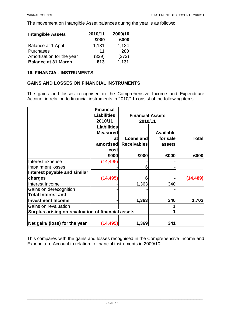The movement on Intangible Asset balances during the year is as follows:

| <b>Intangible Assets</b>   | 2010/11 | 2009/10 |
|----------------------------|---------|---------|
|                            | £000    | £000    |
| Balance at 1 April         | 1,131   | 1,124   |
| Purchases                  | 11      | 280     |
| Amortisation for the year  | (329)   | (273)   |
| <b>Balance at 31 March</b> | 813     | 1,131   |

# **16. FINANCIAL INSTRUMENTS**

# **GAINS AND LOSSES ON FINANCIAL INSTRUMENTS**

The gains and losses recognised in the Comprehensive Income and Expenditure Account in relation to financial instruments in 2010/11 consist of the following items:

|                                                    | <b>Financial</b>   |                         |                  |           |
|----------------------------------------------------|--------------------|-------------------------|------------------|-----------|
|                                                    | <b>Liabilities</b> | <b>Financial Assets</b> |                  |           |
|                                                    | 2010/11            | 2010/11                 |                  |           |
|                                                    | <b>Liabilities</b> |                         |                  |           |
|                                                    | <b>Measured</b>    |                         | <b>Available</b> |           |
|                                                    | at                 | Loans and               | for sale         | Total     |
|                                                    | amortised          | <b>Receivables</b>      | assets           |           |
|                                                    | cost               |                         |                  |           |
|                                                    | £000               | £000                    | £000             | £000      |
| Interest expense                                   | (14, 495)          |                         |                  |           |
| <b>Impairment losses</b>                           |                    | 6                       |                  |           |
| Interest payable and similar                       |                    |                         |                  |           |
| charges                                            | (14, 495)          | 6                       |                  | (14, 489) |
| Interest Income                                    |                    | 1,363                   | 340              |           |
| Gains on derecognition                             |                    |                         |                  |           |
| <b>Total Interest and</b>                          |                    |                         |                  |           |
| <b>Investment Income</b>                           |                    | 1,363                   | 340              | 1,703     |
| Gains on revaluation                               |                    |                         |                  |           |
| Surplus arising on revaluation of financial assets |                    |                         |                  |           |
|                                                    |                    |                         |                  |           |
| Net gain/ (loss) for the year                      | (14,495)           | 1,369                   | 341              |           |

This compares with the gains and losses recognised in the Comprehensive Income and Expenditure Account in relation to financial instruments in 2009/10: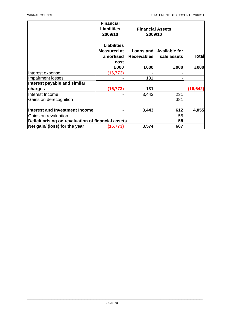|                                                    | <b>Financial</b><br><b>Liabilities</b><br>2009/10 | <b>Financial Assets</b><br>2009/10 |                                     |              |
|----------------------------------------------------|---------------------------------------------------|------------------------------------|-------------------------------------|--------------|
|                                                    | Liabilities<br>Measured at<br>amortised<br>cost   | Loans and<br><b>Receivables</b>    | <b>Available for</b><br>sale assets | <b>Total</b> |
|                                                    | £000                                              | £000                               | £000                                | £000         |
| Interest expense                                   | (16, 773)                                         |                                    |                                     |              |
| <b>Impairment losses</b>                           |                                                   | 131                                |                                     |              |
| Interest payable and similar                       |                                                   |                                    |                                     |              |
| charges                                            | (16, 773)                                         | 131                                |                                     | (16, 642)    |
| Interest Income                                    |                                                   | 3,443                              | 231                                 |              |
| Gains on derecognition                             |                                                   |                                    | 381                                 |              |
| <b>Interest and Investment Income</b>              |                                                   | 3,443                              | 612                                 | 4,055        |
| Gains on revaluation                               |                                                   |                                    | 55                                  |              |
| Deficit arising on revaluation of financial assets | 55                                                |                                    |                                     |              |
| Net gain/ (loss) for the year                      | (16, 773)                                         | 3,574                              | 667                                 |              |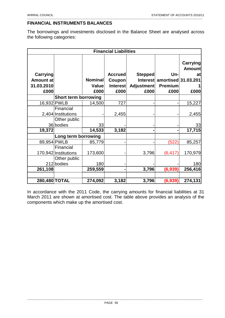#### **FINANCIAL INSTRUMENTS BALANCES**

The borrowings and investments disclosed in the Balance Sheet are analysed across the following categories:

|                                                    |                                                 |                                 | <b>Financial Liabilities</b>                        |                                                  |                                                      |                                         |
|----------------------------------------------------|-------------------------------------------------|---------------------------------|-----------------------------------------------------|--------------------------------------------------|------------------------------------------------------|-----------------------------------------|
| Carrying<br><b>Amount at</b><br>31.03.2010<br>£000 |                                                 | <b>Nominal</b><br>Value<br>£000 | <b>Accrued</b><br><b>Coupon</b><br>Interest<br>£000 | <b>Stepped</b><br>Interest<br>Adjustment<br>£000 | Un-<br>amortised 31.03.201<br><b>Premium</b><br>£000 | Carrying<br><b>Amount</b><br>at<br>£000 |
|                                                    | Short term borrowing                            |                                 |                                                     |                                                  |                                                      |                                         |
|                                                    | 16,932 PWLB                                     | 14,500                          | 727                                                 |                                                  |                                                      | 15,227                                  |
|                                                    | Financial<br>2,404 Institutions<br>Other public |                                 | 2,455                                               |                                                  |                                                      | 2,455                                   |
|                                                    | 36 bodies                                       | 33                              |                                                     |                                                  |                                                      | 33                                      |
| 19,372                                             |                                                 | 14,533                          | 3,182                                               |                                                  |                                                      | 17,715                                  |
|                                                    | Long term borrowing                             |                                 |                                                     |                                                  |                                                      |                                         |
| 89,954 PWLB                                        |                                                 | 85,779                          |                                                     |                                                  | (522)                                                | 85,257                                  |
|                                                    | Financial<br>170,942 Institutions               | 173,600                         |                                                     | 3,796                                            | (6, 417)                                             | 170,979                                 |
|                                                    | Other public                                    |                                 |                                                     |                                                  |                                                      |                                         |
|                                                    | 212 bodies                                      | 180                             |                                                     |                                                  |                                                      | 180                                     |
| 261,108                                            |                                                 | 259,559                         |                                                     | 3,796                                            | (6,939)                                              | 256,416                                 |
| 280,480 TOTAL                                      |                                                 | 274,092                         | 3,182                                               | 3,796                                            | (6,939)                                              | 274,131                                 |

In accordance with the 2011 Code, the carrying amounts for financial liabilities at 31 March 2011 are shown at amortised cost. The table above provides an analysis of the components which make up the amortised cost.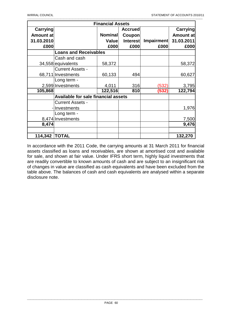| <b>Financial Assets</b> |                                            |                |                          |            |                              |
|-------------------------|--------------------------------------------|----------------|--------------------------|------------|------------------------------|
| Carrying<br>Amount at   |                                            | <b>Nominal</b> | <b>Accrued</b><br>Coupon |            | Carrying<br><b>Amount at</b> |
| 31.03.2010              |                                            | Value          | <b>Interest</b>          | Impairment | 31.03.2011                   |
| £000                    |                                            | £000           | £000                     | £000       | £000                         |
|                         | <b>Loans and Receivables</b>               |                |                          |            |                              |
|                         | Cash and cash                              |                |                          |            |                              |
|                         | 34,558 equivalents                         | 58,372         |                          |            | 58,372                       |
|                         | <b>Current Assets -</b>                    |                |                          |            |                              |
|                         | 68,711 Investments                         | 60,133         | 494                      |            | 60,627                       |
|                         | Long term -                                |                |                          |            |                              |
|                         | 2,599 Investments                          | 4,011          | 316                      | (532)      | 3,795                        |
| 105,868                 |                                            | 122,516        | 810                      | (532)      | 122,794                      |
|                         | <b>Available for sale financial assets</b> |                |                          |            |                              |
|                         | <b>Current Assets -</b>                    |                |                          |            |                              |
|                         | Investments                                |                |                          |            | 1,976                        |
|                         | Long term -                                |                |                          |            |                              |
|                         | 8,474 Investments                          |                |                          |            | 7,500                        |
| 8,474                   |                                            |                |                          |            | 9,476                        |
|                         |                                            |                |                          |            |                              |
| 114,342 TOTAL           |                                            |                |                          |            | 132,270                      |

In accordance with the 2011 Code, the carrying amounts at 31 March 2011 for financial assets classified as loans and receivables, are shown at amortised cost and available for sale, and shown at fair value. Under IFRS short term, highly liquid investments that are readily convertible to known amounts of cash and are subject to an insignificant risk of changes in value are classified as cash equivalents and have been excluded from the table above. The balances of cash and cash equivalents are analysed within a separate disclosure note.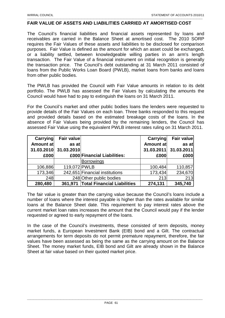#### **FAIR VALUE OF ASSETS AND LIABILITIES CARRIED AT AMORTISED COST**

The Council's financial liabilities and financial assets represented by loans and receivables are carried in the Balance Sheet at amortised cost. The 2010 SORP requires the Fair Values of these assets and liabilities to be disclosed for comparison purposes. Fair Value is defined as the amount for which an asset could be exchanged, or a liability settled, between knowledgeable willing parties in an arm's length transaction. The Fair Value of a financial instrument on initial recognition is generally the transaction price. The Council's debt outstanding at 31 March 2011 consisted of loans from the Public Works Loan Board (PWLB), market loans from banks and loans from other public bodies.

The PWLB has provided the Council with Fair Value amounts in relation to its debt portfolio. The PWLB has assessed the Fair Values by calculating the amounts the Council would have had to pay to extinguish the loans on 31 March 2011.

For the Council's market and other public bodies loans the lenders were requested to provide details of the Fair Values on each loan. Three banks responded to this request and provided details based on the estimated breakage costs of the loans. In the absence of Fair Values being provided by the remaining lenders, the Council has assessed Fair Value using the equivalent PWLB interest rates ruling on 31 March 2011.

| <b>Carrying</b> | Fair value   |                                    | Carrying         | <b>Fair value</b>     |
|-----------------|--------------|------------------------------------|------------------|-----------------------|
| Amount at       | as at        |                                    | <b>Amount at</b> | as at                 |
| 31.03.2010      | 31.03.2010   |                                    |                  | 31.03.2011 31.03.2011 |
| £000            |              | £000 Financial Liabilities:        | £000             | £000                  |
|                 |              | <b>Borrowings</b>                  |                  |                       |
| 106,886         | 119,072 PWLB |                                    | 100,484          | 110,857               |
| 173,346         |              | 242,651 Financial institutions     | 173,434          | 234,670               |
| 248             |              | 248 Other public bodies            | 213              | 213                   |
| 280,480         | 361.971      | <b>Total Financial Liabilities</b> | 274,131          | 345,740               |

The fair value is greater than the carrying value because the Council's loans include a number of loans where the interest payable is higher than the rates available for similar loans at the Balance Sheet date. This requirement to pay interest rates above the current market loan rates increases the amount that the Council would pay if the lender requested or agreed to early repayment of the loans.

In the case of the Council's investments, these consisted of term deposits, money market funds, a European Investment Bank (EIB) bond and a Gilt. The contractual arrangements for term deposits do not permit premature repayment, therefore, the fair values have been assessed as being the same as the carrying amount on the Balance Sheet. The money market funds, EIB bond and Gilt are already shown in the Balance Sheet at fair value based on their quoted market price.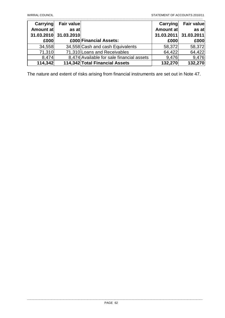| Carrying<br>Amount at | Fair value<br>as at<br>31.03.2010 31.03.2010 |                                           | Carrying<br>Amount at | <b>Fair value</b><br>as at<br>31.03.2011 31.03.2011 |
|-----------------------|----------------------------------------------|-------------------------------------------|-----------------------|-----------------------------------------------------|
| £000                  |                                              | £000 Financial Assets:                    | £000                  | £000                                                |
| 34,558                |                                              | 34,558 Cash and cash Equivalents          | 58,372                | 58,372                                              |
| 71,310                |                                              | 71,310 Loans and Receivables              | 64,422                | 64,422                                              |
| 8,474                 |                                              | 8,474 Available for sale financial assets | 9,476                 | 9,476                                               |
| 114,342               |                                              | 114,342 Total Financial Assets            | 132,270               | 132,270                                             |

The nature and extent of risks arising from financial instruments are set out in Note 47.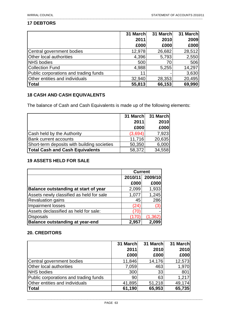#### **17 DEBTORS**

|                                       | 31 March | 31 March | 31 March |
|---------------------------------------|----------|----------|----------|
|                                       | 2011     | 2010     | 2009     |
|                                       | £000     | £000     | £000     |
| Central government bodies             | 12,978   | 26,682   | 28,512   |
| Other local authorities               | 4,396    | 5,793    | 2,550    |
| <b>NHS</b> bodies                     | 500      | 70       | 506      |
| <b>Collection Fund</b>                | 4,988    | 5,255    | 14,297   |
| Public corporations and trading funds | 11       |          | 3,630    |
| <b>Other entities and individuals</b> | 32,940   | 28,353   | 20,495   |
| Total                                 | 55,813   | 66,153   | 69,990   |

# **18 CASH AND CASH EQUIVALENTS**

The balance of Cash and Cash Equivalents is made up of the following elements:

|                                             |         | 31 March 31 March |
|---------------------------------------------|---------|-------------------|
|                                             | 2011    | 2010              |
|                                             | £000    | £000              |
| Cash held by the Authority                  | (3,694) | 7,923             |
| <b>Bank current accounts</b>                | 11,716  | 20,635            |
| Short-term deposits with building societies | 50,350  | 6,000             |
| <b>Total Cash and Cash Equivalents</b>      | 58,372  | 34,558            |

# **19 ASSETS HELD FOR SALE**

|                                          | <b>Current</b> |          |
|------------------------------------------|----------------|----------|
|                                          | 2010/11        | 2009/10  |
|                                          | £000           | £000     |
| Balance outstanding at start of year     | 2,099          | 1,933    |
| Assets newly classified as held for sale | 1,077          | 1,245    |
| <b>Revaluation gains</b>                 | 45             | 286      |
| <b>Impairment losses</b>                 | (24)           | (3)      |
| Assets declassified as held for sale:    | 70)            |          |
| Disposals                                | 170            | (1, 362) |
| <b>Balance outstanding at year-end</b>   | 2,957          | 2,099    |

# **20. CREDITORS**

|                                       | 31 March<br>2011<br>£000 | 31 March<br>2010<br>£000 | 31 March<br>2010<br>£000 |
|---------------------------------------|--------------------------|--------------------------|--------------------------|
| Central government bodies             | 11,846                   | 14,176                   | 12,573                   |
| <b>Other local authorities</b>        | 7,059                    | 463                      | 1,970                    |
| <b>NHS</b> bodies                     | 300                      | 33                       | 801                      |
| Public corporations and trading funds | 90                       | 63                       | 1,217                    |
| Other entities and individuals        | 41,895                   | 51,218                   | 49,174                   |
| Total                                 | 61,190                   | 65,953                   | 65,735                   |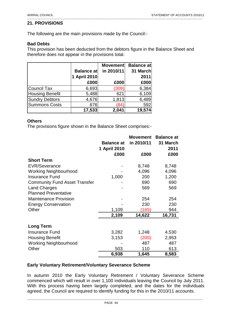#### **21. PROVISIONS**

The following are the main provisions made by the Council:-

# **Bad Debts**

This provision has been deducted from the debtors figure in the Balance Sheet and therefore does not appear in the provisions total.

|                        |                   | <b>Movement</b> | <b>Balance at</b> |
|------------------------|-------------------|-----------------|-------------------|
|                        | <b>Balance at</b> | in 2010/11      | 31 March          |
|                        | 1 April 2010      |                 | 2011              |
|                        | £000              | £000            | £000              |
| Council Tax            | 6,693             | (309)           | 6,384             |
| <b>Housing Benefit</b> | 5,488             | 621             | 6,109             |
| <b>Sundry Debtors</b>  | 4,676             | 1,813           | 6,489             |
| <b>Summons Costs</b>   | 676               | (84)            | 592               |
|                        | 17,533            | 2,041           | 19,574            |

## **Others**

The provisions figure shown in the Balance Sheet comprises:-

|                                      |                   | Movement   | <b>Balance at</b> |
|--------------------------------------|-------------------|------------|-------------------|
|                                      | <b>Balance at</b> | in 2010/11 | 31 March          |
|                                      | 1 April 2010      |            | 2011              |
|                                      | £000              | £000       | £000              |
| <b>Short Term</b>                    |                   |            |                   |
| <b>EVR/Severance</b>                 |                   | 8,748      | 8,748             |
| <b>Working Neighbourhood</b>         |                   | 4,096      | 4,096             |
| <b>Insurance Fund</b>                | 1,000             | 200        | 1,200             |
| <b>Community Fund Asset Transfer</b> |                   | 690        | 690               |
| <b>Land Charges</b>                  |                   | 569        | 569               |
| <b>Planned Preventative</b>          |                   |            |                   |
| <b>Maintenance Provision</b>         |                   | 254        | 254               |
| <b>Energy Conservation</b>           |                   | 230        | 230               |
| Other                                | 1,109             | (165)      | 944               |
|                                      | 2,109             | 14,622     | 16,731            |
| <b>Long Term</b>                     |                   |            |                   |
| <b>Insurance Fund</b>                | 3,282             | 1,248      | 4,530             |
| <b>Housing Benefit</b>               | 3,153             | (200)      | 2,953             |
| <b>Working Neighbourhood</b>         |                   | 487        | 487               |
| Other                                | 503               | 110        | 613               |
|                                      | 6,938             | 1,645      | 8,583             |

## **Early Voluntary Retirement/Voluntary Severance Scheme**

In autumn 2010 the Early Voluntary Retirement / Voluntary Severance Scheme commenced which will result in over 1,100 individuals leaving the Council by July 2011. With this process having been largely completed, and the dates for the individuals agreed, the Council are required to identify funding for this in the 2010/11 accounts.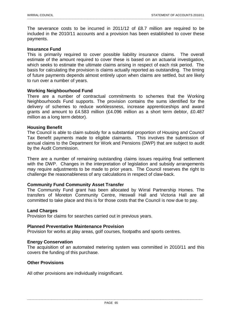The severance costs to be incurred in 2011/12 of £8.7 million are required to be included in the 2010/11 accounts and a provision has been established to cover these payments.

## **Insurance Fund**

This is primarily required to cover possible liability insurance claims. The overall estimate of the amount required to cover these is based on an actuarial investigation, which seeks to estimate the ultimate claims arising in respect of each risk period. The basis for calculating the provision is claims actually reported as outstanding. The timing of future payments depends almost entirely upon when claims are settled, but are likely to run over a number of years.

## **Working Neighbourhood Fund**

There are a number of contractual commitments to schemes that the Working Neighbourhoods Fund supports. The provision contains the sums identified for the delivery of schemes to reduce worklessness, increase apprenticeships and award grants and amount to £4.583 million (£4.096 million as a short term debtor, £0.487 million as a long term debtor).

## **Housing Benefit**

The Council is able to claim subsidy for a substantial proportion of Housing and Council Tax Benefit payments made to eligible claimants. This involves the submission of annual claims to the Department for Work and Pensions (DWP) that are subject to audit by the Audit Commission.

There are a number of remaining outstanding claims issues requiring final settlement with the DWP. Changes in the interpretation of legislation and subsidy arrangements may require adjustments to be made to prior years. The Council reserves the right to challenge the reasonableness of any calculations in respect of claw-back.

## **Community Fund Community Asset Transfer**

The Community Fund grant has been allocated by Wirral Partnership Homes. The transfers of Moreton Community Centre, Heswall Hall and Victoria Hall are all committed to take place and this is for those costs that the Council is now due to pay.

## **Land Charges**

Provision for claims for searches carried out in previous years.

## **Planned Preventative Maintenance Provision**

Provision for works at play areas, golf courses, footpaths and sports centres.

# **Energy Conservation**

The acquisition of an automated metering system was committed in 2010/11 and this covers the funding of this purchase.

# **Other Provisions**

All other provisions are individually insignificant.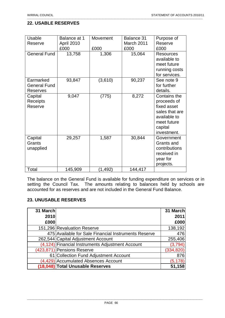#### **22. USABLE RESERVES**

| <b>Usable</b><br>Reserve                            | Balance at 1<br>April 2010 | Movement | Balance 31<br>March 2011 | Purpose of<br>Reserve                                                                                                 |
|-----------------------------------------------------|----------------------------|----------|--------------------------|-----------------------------------------------------------------------------------------------------------------------|
|                                                     | £000                       | £000     | £000                     | £000                                                                                                                  |
| <b>General Fund</b>                                 | 13,758                     | 1,306    | 15,064                   | <b>Resources</b><br>available to<br>meet future<br>running costs<br>for services.                                     |
| Earmarked<br><b>General Fund</b><br><b>Reserves</b> | 93,847                     | (3,610)  | 90,237                   | See note 9<br>for further<br>details.                                                                                 |
| Capital<br>Receipts<br>Reserve                      | 9,047                      | (775)    | 8,272                    | Contains the<br>proceeds of<br>fixed asset<br>sales that are<br>available to<br>meet future<br>capital<br>investment. |
| Capital<br>Grants<br>unapplied                      | 29,257                     | 1,587    | 30,844                   | Government<br>Grants and<br>contributions<br>received in<br>year for<br>projects.                                     |
| Total                                               | 145,909                    | (1, 492) | 144,417                  |                                                                                                                       |

The balance on the General Fund is available for funding expenditure on services or in setting the Council Tax. The amounts relating to balances held by schools are accounted for as reserves and are not included in the General Fund Balance.

# **23. UNUSABLE RESERVES**

| 31 March |                                                      | 31 March   |
|----------|------------------------------------------------------|------------|
| 2010     |                                                      | 2011       |
| £000     |                                                      | £000       |
|          | 151,296 Revaluation Reserve                          | 138,192    |
|          | 475 Available for Sale Financial Instruments Reserve | 476        |
|          | 262,544 Capital Adjustment Account                   | 255,406    |
|          | (4,124) Financial Instruments Adjustment Account     | (3,794)    |
|          | (423,871) Pensions Reserve                           | (334, 820) |
|          | 61 Collection Fund Adjustment Account                | 876        |
|          | (4,429) Accumulated Absences Account                 | (5,178)    |
|          | (18,048) Total Unusable Reserves                     | 51,158     |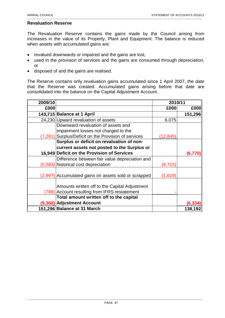# **Revaluation Reserve**

The Revaluation Reserve contains the gains made by the Council arising from increases in the value of its Property, Plant and Equipment. The balance is reduced when assets with accumulated gains are:

- revalued downwards or impaired and the gains are lost,
- used in the provision of services and the gains are consumed through depreciation, or
- disposed of and the gains are realised.

The Reserve contains only revaluation gains accumulated since 1 April 2007, the date that the Reserve was created. Accumulated gains arising before that date are consolidated into the balance on the Capital Adjustment Account.

| 2009/10 |                                                      | 2010/11   |          |
|---------|------------------------------------------------------|-----------|----------|
| £000    |                                                      | £000      | £000     |
|         | 143,715 Balance at 1 April                           |           | 151,296  |
|         | 24,230 Upward revaluation of assets                  | 6,075     |          |
|         | Downward revaluation of assets and                   |           |          |
|         | impairment losses not charged to the                 |           |          |
|         | (7,281) Surplus/Deficit on the Provision of services | (12, 845) |          |
|         | Surplus or deficit on revaluation of non-            |           |          |
|         | current assets not posted to the Surplus or          |           |          |
|         | 16,949 Deficit on the Provision of Services          |           | (6,770)  |
|         | Difference between fair value depreciation and       |           |          |
|         | $(5,583)$ historical cost depreciation               | (4, 715)  |          |
|         |                                                      |           |          |
|         | (2,997) Accumulated gains on assets sold or scrapped | (1,619)   |          |
|         |                                                      |           |          |
|         | Amounts written off to the Capital Adjustment        |           |          |
| (788)   | Account resulting from IFRS restatement              |           |          |
|         | Total amount written off to the capital              |           |          |
|         | (9,368) Adjustment Account                           |           | (6, 334) |
|         | 151,296 Balance at 31 March                          |           | 138,192  |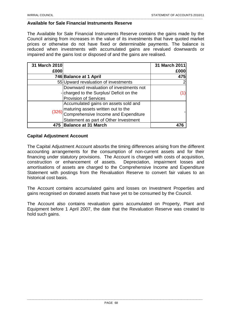#### **Available for Sale Financial Instruments Reserve**

The Available for Sale Financial Instruments Reserve contains the gains made by the Council arising from increases in the value of its investments that have quoted market prices or otherwise do not have fixed or determinable payments. The balance is reduced when investments with accumulated gains are revalued downwards or impaired and the gains lost or disposed of and the gains are realised.

| 31 March 2010 |                                                                                                                                                             | 31 March 2011 |
|---------------|-------------------------------------------------------------------------------------------------------------------------------------------------------------|---------------|
| £000          |                                                                                                                                                             | £000          |
|               | 746 Balance at 1 April                                                                                                                                      | 475           |
|               | 55 Upward revaluation of investments                                                                                                                        |               |
|               | Downward revaluation of investments not                                                                                                                     |               |
|               | - charged to the Surplus/ Deficit on the<br><b>Provision of Services</b>                                                                                    |               |
| (326)         | Accumulated gains on assets sold and<br>maturing assets written out to the<br>Comprehensive Income and Expenditure<br>Statement as part of Other Investment |               |
| 475           | <b>Balance at 31 March</b>                                                                                                                                  |               |

## **Capital Adjustment Account**

The Capital Adjustment Account absorbs the timing differences arising from the different accounting arrangements for the consumption of non-current assets and for their financing under statutory provisions. The Account is charged with costs of acquisition, construction or enhancement of assets. Depreciation, impairment losses and amortisations of assets are charged to the Comprehensive Income and Expenditure Statement with postings from the Revaluation Reserve to convert fair values to an historical cost basis.

The Account contains accumulated gains and losses on Investment Properties and gains recognised on donated assets that have yet to be consumed by the Council.

The Account also contains revaluation gains accumulated on Property, Plant and Equipment before 1 April 2007, the date that the Revaluation Reserve was created to hold such gains.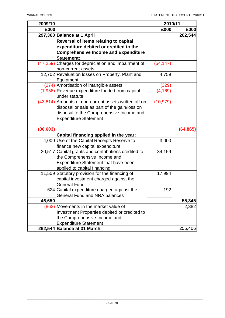| 2009/10   |                                                  | 2010/11   |           |
|-----------|--------------------------------------------------|-----------|-----------|
| £000      |                                                  | £000      | £000      |
|           | 297,360 Balance at 1 April                       |           | 262,544   |
|           | Reversal of items relating to capital            |           |           |
|           | expenditure debited or credited to the           |           |           |
|           | <b>Comprehensive Income and Expenditure</b>      |           |           |
|           | <b>Statement:</b>                                |           |           |
| (47, 259) | Charges for depreciation and impairment of       | (54, 147) |           |
|           | non-current assets                               |           |           |
|           | 12,702 Revaluation losses on Property, Plant and | 4,759     |           |
|           | Equipment                                        |           |           |
|           | (274) Amortisation of intangible assets          | (329)     |           |
|           | (1,958) Revenue expenditure funded from capital  | (4, 169)  |           |
|           | under statute                                    |           |           |
| (43, 814) | Amounts of non-current assets written off on     | (10, 979) |           |
|           | disposal or sale as part of the gain/loss on     |           |           |
|           | disposal to the Comprehensive Income and         |           |           |
|           | <b>Expenditure Statement</b>                     |           |           |
|           |                                                  |           |           |
| (80, 603) |                                                  |           | (64, 865) |
|           | Capital financing applied in the year:           |           |           |
|           | 4,000 Use of the Capital Receipts Reserve to     | 3,000     |           |
|           | finance new capital expenditure                  |           |           |
| 30,517    | Capital grants and contributions credited to     | 34,159    |           |
|           | the Comprehensive Income and                     |           |           |
|           | <b>Expenditure Statement that have been</b>      |           |           |
|           | applied to capital financing                     |           |           |
| 11,509    | Statutory provision for the financing of         | 17,994    |           |
|           | capital investment charged against the           |           |           |
|           | <b>General Fund</b>                              |           |           |
|           | 624 Capital expenditure charged against the      | 192       |           |
|           | <b>General Fund and NRA balances</b>             |           |           |
| 46,650    |                                                  |           | 55,345    |
|           | (863) Movements in the market value of           |           | 2,382     |
|           | Investment Properties debited or credited to     |           |           |
|           | the Comprehensive Income and                     |           |           |
|           | <b>Expenditure Statement</b>                     |           |           |
|           | 262,544 Balance at 31 March                      |           | 255,406   |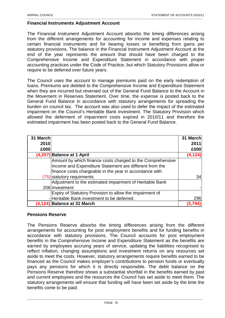## **Financial Instruments Adjustment Account**

The Financial Instrument Adjustment Account absorbs the timing differences arising from the different arrangements for accounting for income and expenses relating to certain financial instruments and for bearing losses or benefiting from gains per statutory provisions. The balance in the Financial Instrument Adjustment Account at the end of the year represents the amount that should have been charged to the Comprehensive Income and Expenditure Statement in accordance with proper accounting practices under the Code of Practice, but which Statutory Provisions allow or require to be deferred over future years.

The Council uses the account to manage premiums paid on the early redemption of loans. Premiums are debited to the Comprehensive Income and Expenditure Statement when they are incurred but reversed out of the General Fund Balance to the Account in the Movement in Reserves Statement. Over time, the expense is posted back to the General Fund Balance in accordance with statutory arrangements for spreading the burden on council tax. The account was also used to defer the impact of the estimated impairment on the Council's Heritable Bank investment. The Statutory Provision which allowed the deferment of impairment costs expired in 2010/11 and therefore the estimated impairment has been posted back to the General Fund Balance.

| 31 March |                                                            | 31 March |
|----------|------------------------------------------------------------|----------|
| 2010     |                                                            | 2011     |
| £000     |                                                            | £000     |
|          | (4,257) Balance at 1 April                                 | (4, 124) |
|          | Amount by which finance costs charged to the Comprehensive |          |
|          | Income and Expenditure Statement are different from the    |          |
|          | finance costs chargeable in the year in accordance with    |          |
|          | (75) statutory requirments                                 | 34       |
|          | Adjustment to the estimated impairment of Heritable Bank   |          |
|          | 208 Investment                                             |          |
|          | Expiry of Statutory Provision to allow the impairment of   |          |
|          | Heritable Bank investment to be deferred.                  | 296      |
|          | (4,124) Balance at 31 March                                |          |

## **Pensions Reserve**

The Pensions Reserve absorbs the timing differences arising from the different arrangements for accounting for post employment benefits and for funding benefits in accordance with statutory provisions. The Council accounts for post employment benefits in the Comprehensive Income and Expenditure Statement as the benefits are earned by employees accruing years of service, updating the liabilities recognised to reflect inflation, changing assumptions and investment returns on any resources set aside to meet the costs. However, statutory arrangements require benefits earned to be financed as the Council makes employer's contributions to pension funds or eventually pays any pensions for which it is directly responsible. The debit balance on the Pensions Reserve therefore shows a substantial shortfall in the benefits earned by past and current employees and the resources the Council has set aside to meet them. The statutory arrangements will ensure that funding will have been set aside by the time the benefits come to be paid.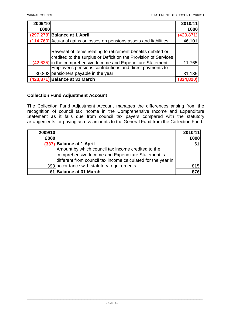| 2009/10<br>£000 |                                                                                                                                 | 2010/11<br>£000 |
|-----------------|---------------------------------------------------------------------------------------------------------------------------------|-----------------|
|                 | $(297,278)$ Balance at 1 April                                                                                                  | (423,871)       |
|                 | (114,760) Actuarial gains or losses on pensions assets and liabilities                                                          | 46,101          |
|                 | Reversal of items relating to retirement benefits debited or<br>credited to the surplus or Deficit on the Provision of Services |                 |
|                 | $(42,635)$ in the comprehensive Income and Expenditure Statement                                                                | 11,765          |
|                 | Employer's pensions contributions and direct payments to                                                                        |                 |
|                 | 30,802 pensioners payable in the year                                                                                           | 31,185          |
|                 | (423,871) Balance at 31 March                                                                                                   |                 |

# **Collection Fund Adjustment Account**

The Collection Fund Adjustment Account manages the differences arising from the recognition of council tax income in the Comprehensive Income and Expenditure Statement as it falls due from council tax payers compared with the statutory arrangements for paying across amounts to the General Fund from the Collection Fund.

| 2009/10 |                                                              | 2010/11 |
|---------|--------------------------------------------------------------|---------|
| £000    |                                                              | £000    |
|         | (337) Balance at 1 April                                     | 61      |
|         | Amount by which council tax income credited to the           |         |
|         | comprehensive Income and Expenditure Statement is            |         |
|         | different from council tax income calculated for the year in |         |
|         | 398 accordance with statutory requirements                   | 815     |
|         | 61 Balance at 31 March                                       | 876     |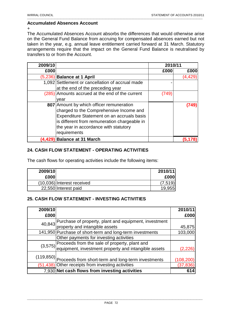# **Accumulated Absences Account**

#### +

The Accumulated Absences Account absorbs the differences that would otherwise arise on the General Fund Balance from accruing for compensated absences earned but not taken in the year, e.g. annual leave entitlement carried forward at 31 March. Statutory arrangements require that the impact on the General Fund Balance is neutralised by transfers to or from the Account.

| 2009/10 |                                                   | 2010/11 |        |
|---------|---------------------------------------------------|---------|--------|
| £000    |                                                   | £000    | £000   |
|         | (5,236) Balance at 1 April                        |         | (4,429 |
|         | 1,092 Settlement or cancellation of accrual made  |         |        |
|         | at the end of the preceding year                  |         |        |
|         | $(285)$ Amounts accrued at the end of the current | (749)   |        |
|         | year                                              |         |        |
|         | 807 Amount by which officer remuneration          |         |        |
|         | charged to the Comprehensive Income and           |         |        |
|         | Expenditure Statement on an accruals basis        |         |        |
|         | is different from remuneration chargeable in      |         |        |
|         | the year in accordance with statutory             |         |        |
|         | requirements                                      |         |        |
|         | (4,429) Balance at 31 March                       |         |        |

# **24. CASH FLOW STATEMENT - OPERATING ACTIVITIES**

The cash flows for operating activities include the following items:

| 2009/10<br>£000 |                            | 2010/11<br>£000 |
|-----------------|----------------------------|-----------------|
|                 | (10,036) Interest received | (7,519)         |
|                 | 22,550 Interest paid       | 19,955          |

# **25. CASH FLOW STATEMENT - INVESTING ACTIVITIES**

| 2009/10    |                                                                                                               | 2010/11   |
|------------|---------------------------------------------------------------------------------------------------------------|-----------|
| £000       |                                                                                                               | £000      |
|            | 40,843 Purchase of property, plant and equipment, investment<br>property and intangible assets                |           |
|            |                                                                                                               | 45,875    |
|            | 141,950 Purchase of short-term and long-term investments                                                      | 103,000   |
|            | Other payments for investing activities                                                                       |           |
|            | (3,575) Proceeds from the sale of property, plant and<br>equipment, investment property and intangible assets |           |
|            |                                                                                                               |           |
|            |                                                                                                               |           |
| (119, 850) | Proceeds from short-term and long-term investments                                                            | 108,200   |
|            | (51,438) Other receipts from investing activities                                                             | (37, 836) |
|            | 7,930 Net cash flows from investing activities                                                                |           |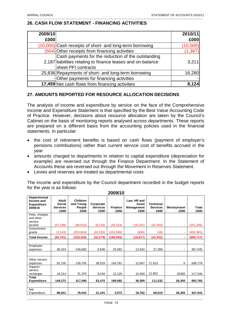# **26. CASH FLOW STATEMENT - FINANCING ACTIVITIES**

| 2009/10 |                                                             | 2010/11  |
|---------|-------------------------------------------------------------|----------|
| £000    |                                                             | £000     |
|         | (10,000) Cash receipts of short- and long-term borrowing    | (10,000) |
|         | $(564)$ Other receipts from financing activities            | (1, 367) |
|         | Cash payments for the reduction of the outstanding          |          |
|         | 2,187 liabilities relating to finance leases and on-balance | 3,211    |
|         | sheet PFI contracts                                         |          |
|         | 25,836 Repayments of short- and long-term borrowing         | 16,280   |
|         | -Other payments for financing activities                    |          |
|         | 17,459 Net cash flows from financing activities             |          |

# **27. AMOUNTS REPORTED FOR RESOURCE ALLOCATION DECISIONS**

The analysis of income and expenditure by service on the face of the Comprehensive Income and Expenditure Statement is that specified by the Best Value Accounting Code of Practice. However, decisions about resource allocation are taken by the Council's Cabinet on the basis of monitoring reports analysed across departments. These reports are prepared on a different basis from the accounting policies used in the financial statements. In particular:

- the cost of retirement benefits is based on cash flows (payment of employer's pensions contributions) rather than current service cost of benefits accrued in the year
- amounts charged to departments in relation to capital expenditure (depreciation for example) are reversed out through the Finance Department. In the Statement of Accounts these are reversed out through the Movement in Reserves Statement.
- Levies and reserves are treated as departmental costs

The income and expenditure by the Council department recorded in the budget reports for the year is as follows:

| 2009/10                                                     |                                                   |                                                |                                      |                        |                                            |                                      |                             |               |  |
|-------------------------------------------------------------|---------------------------------------------------|------------------------------------------------|--------------------------------------|------------------------|--------------------------------------------|--------------------------------------|-----------------------------|---------------|--|
| Departmental<br>Income and<br><b>Expenditure</b><br>2009/10 | Adult<br><b>Social</b><br><b>Services</b><br>£000 | <b>Children</b><br>and Young<br>People<br>£000 | Corporate<br><b>Services</b><br>£000 | <b>Finance</b><br>£000 | Law, HR and<br>Asset<br>Management<br>£000 | Technical<br><b>Services</b><br>£000 | <b>Merseytravel</b><br>£000 | Total<br>£000 |  |
| Fees, charges<br>and other<br>service                       |                                                   |                                                |                                      |                        |                                            |                                      |                             |               |  |
| income                                                      | (57, 188)                                         | (84, 614)                                      | (8, 126)                             | (43, 324)              | (16, 181)                                  | (41, 903)                            | $\blacksquare$              | (251, 336)    |  |
| Government<br>grants                                        | (3, 143)                                          | (253, 834)                                     | (24, 153)                            | (153, 596)             | (636)                                      | (19)                                 | $\blacksquare$              | (435, 381)    |  |
| <b>Total Income</b>                                         | (60, 331)                                         | (338, 448)                                     | (32, 279)                            | (196, 920)             | (16, 817)                                  | (41, 922)                            | $\blacksquare$              | (686, 717)    |  |
|                                                             |                                                   |                                                |                                      |                        |                                            |                                      |                             |               |  |
| Employee<br>expenses                                        | 38,324                                            | 246,682                                        | 8,508                                | 33,082                 | 13,534                                     | 27,306                               | $\blacksquare$              | 367,435       |  |
| Other service<br>expenses                                   | 91,735                                            | 139,705                                        | 38,529                               | 154,781                | 12,607                                     | 71,423                               | 0                           | 508,779       |  |
| Support<br>service<br>recharges                             | 18,314                                            | 31,104                                         | 6,434                                | 12,129                 | 10,458                                     | 12,803                               | 26305                       | 117,546       |  |
| <b>Total</b><br><b>Expenditure</b>                          | 148,372                                           | 417.490                                        | 53,470                               | 199.992                | 36,599                                     | 111,532                              | 26,305                      | 993,760       |  |
|                                                             |                                                   |                                                |                                      |                        |                                            |                                      |                             |               |  |
| <b>Net</b><br>Expenditure                                   | 88,041                                            | 79,042                                         | 21,191                               | 3,072                  | 19,782                                     | 69,610                               | 26,305                      | 307,043       |  |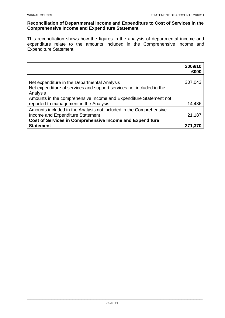### **Reconciliation of Departmental Income and Expenditure to Cost of Services in the Comprehensive Income and Expenditure Statement**

This reconciliation shows how the figures in the analysis of departmental income and expenditure relate to the amounts included in the Comprehensive Income and Expenditure Statement.

|                                                                                                                      | 2009/10<br>£000 |
|----------------------------------------------------------------------------------------------------------------------|-----------------|
|                                                                                                                      |                 |
| Net expenditure in the Departmental Analysis<br>Net expenditure of services and support services not included in the | 307,043         |
| Analysis                                                                                                             |                 |
| Amounts in the comprehensive Income and Expenditure Statement not                                                    |                 |
| reported to management in the Analysis                                                                               | 14,486          |
| Amounts included in the Analysis not included in the Comprehensive                                                   |                 |
| Income and Expenditure Statement                                                                                     | 21,187          |
| <b>Cost of Services in Comprehensive Income and Expenditure</b>                                                      |                 |
| <b>Statement</b>                                                                                                     | 271,370         |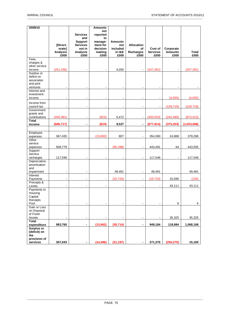| 2009/10           |                          |                              | <b>Amounts</b> |                |                          |                          |                |              |
|-------------------|--------------------------|------------------------------|----------------|----------------|--------------------------|--------------------------|----------------|--------------|
|                   |                          |                              | not            |                |                          |                          |                |              |
|                   |                          | <b>Services</b>              | reported       |                |                          |                          |                |              |
|                   |                          | and                          |                |                |                          |                          |                |              |
|                   |                          |                              | to             |                |                          |                          |                |              |
|                   |                          | <b>Support</b>               | manage-        | <b>Amounts</b> |                          |                          |                |              |
|                   | [Direct-                 | <b>Services</b>              | ment for       | not            | <b>Allocation</b>        |                          |                |              |
|                   | orate]                   | not in                       | decision       | included       | οf                       | Cost of                  | Corporate      |              |
|                   | <b>Analysis</b>          | <b>Analysis</b>              | making         | in I&E         | Recharges                | <b>Services</b>          | <b>Amounts</b> | <b>Total</b> |
|                   | £000                     | £000                         | £000           | £000           | £000                     | £000                     | £000           | £000         |
| Fees,             |                          |                              |                |                |                          |                          |                |              |
| charges &         |                          |                              |                |                |                          |                          |                |              |
| other service     |                          |                              |                |                |                          |                          |                |              |
| income            | (251, 336)               |                              |                | 4,055          | $\overline{\phantom{a}}$ | (247, 281)               |                | (247, 281)   |
| Surplus or        |                          |                              |                |                |                          |                          |                |              |
| deficit on        |                          |                              |                |                |                          |                          |                |              |
| associates        |                          |                              |                |                |                          |                          |                |              |
| and joint         |                          |                              |                |                |                          |                          |                |              |
| ventures          |                          |                              |                |                |                          |                          |                |              |
| Interest and      |                          |                              |                |                |                          |                          |                |              |
| investment        |                          |                              |                |                |                          |                          |                |              |
| income            | $\blacksquare$           | $\blacksquare$               | $\blacksquare$ | $\blacksquare$ | $\overline{\phantom{a}}$ | $\blacksquare$           | (4,055)        | (4,055)      |
| Income from       |                          |                              |                |                |                          |                          |                |              |
| council tax       |                          | ٠                            |                |                | $\overline{\phantom{a}}$ | $\overline{\phantom{a}}$ | (128, 719)     | (128, 719)   |
| Government        |                          |                              |                |                |                          |                          |                |              |
| grants and        |                          |                              |                |                |                          |                          |                |              |
| contributions     | (435, 381)               |                              | (624)          | 5,472          | $\overline{\phantom{a}}$ | (430, 533)               | (242, 480)     | (673, 013)   |
| <b>Total</b>      |                          |                              |                |                |                          |                          |                |              |
| Income            | (686, 717)               |                              | (624)          | 9,527          | $\overline{\phantom{a}}$ | (677, 814)               | (375, 254)     | (1,053,068)  |
|                   |                          |                              |                |                |                          |                          |                |              |
|                   |                          |                              |                |                |                          |                          |                |              |
| Employee          |                          |                              |                |                |                          |                          |                |              |
| expenses          | 367,435                  |                              | (13, 862)      | 807            | $\blacksquare$           | 354,380                  | 24,888         | 379,268      |
| Other             |                          |                              |                |                |                          |                          |                |              |
| service           |                          |                              |                |                |                          |                          |                |              |
| expenses          | 508,779                  |                              |                | (65, 288)      | $\blacksquare$           | 443,491                  | 64             | 443,555      |
| Support           |                          |                              |                |                |                          |                          |                |              |
| Service           |                          |                              |                |                |                          |                          |                |              |
| recharges         | 117,546                  |                              |                |                |                          | 117,546                  |                | 117,546      |
| Depreciation,     |                          |                              |                |                |                          |                          |                |              |
| amortisation      |                          |                              |                |                |                          |                          |                |              |
| and               |                          |                              |                |                |                          |                          |                |              |
| impairment        |                          |                              |                | 49,491         |                          | 49,491                   |                | 49,491       |
| Interest          |                          |                              |                |                |                          |                          |                |              |
| Payments          | ÷,                       | ٠                            |                | (15, 724)      | $\blacksquare$           | (15, 724)                | 15,590         | (134)        |
| Precepts &        |                          |                              |                |                |                          |                          |                |              |
| Levies            | $\overline{\phantom{a}}$ | $\qquad \qquad \blacksquare$ |                |                |                          |                          | 43,111         | 43,111       |
| Payments to       |                          |                              |                |                |                          |                          |                |              |
| Housing           |                          |                              |                |                |                          |                          |                |              |
| Capital           |                          |                              |                |                |                          |                          |                |              |
| Receipts          |                          |                              |                |                |                          |                          |                |              |
| Pool              |                          |                              |                |                |                          |                          | 6              | 6            |
| Gain or Loss      |                          |                              |                |                |                          |                          |                |              |
| on Disposal       |                          |                              |                |                |                          |                          |                |              |
| of Fixed          |                          |                              |                |                |                          |                          |                |              |
| Assets            | $\blacksquare$           | $\blacksquare$               |                |                | $\blacksquare$           |                          | 35,325         | 35,325       |
| <b>Total</b>      |                          |                              |                |                |                          |                          |                |              |
| expenditure       | 993,760                  |                              | (13, 862)      | (30, 714)      |                          | 949,184                  | 118,984        | 1,068,168    |
| <b>Surplus or</b> |                          |                              |                |                |                          |                          |                |              |
| (deficit) on      |                          |                              |                |                |                          |                          |                |              |
| the               |                          |                              |                |                |                          |                          |                |              |
| provision of      |                          |                              |                |                |                          |                          |                |              |
| services          | 307,043                  |                              | (14, 486)      | (21, 187)      |                          | 271,370                  | (256, 270)     | 15,100       |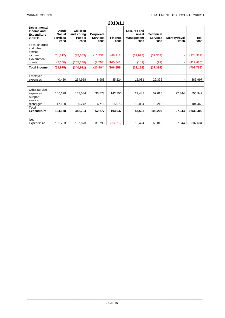| 2010/11                                                     |                                                   |                                                |                                      |                        |                                                   |                                      |                          |               |  |
|-------------------------------------------------------------|---------------------------------------------------|------------------------------------------------|--------------------------------------|------------------------|---------------------------------------------------|--------------------------------------|--------------------------|---------------|--|
| Departmental<br>Income and<br><b>Expenditure</b><br>2010/11 | Adult<br><b>Social</b><br><b>Services</b><br>£000 | <b>Children</b><br>and Young<br>People<br>£000 | Corporate<br><b>Services</b><br>£000 | <b>Finance</b><br>£000 | Law, HR and<br>Asset<br><b>Management</b><br>£000 | Technical<br><b>Services</b><br>£000 | Merseytravel<br>£000     | Total<br>£000 |  |
| Fees, charges<br>and other<br>service                       |                                                   |                                                |                                      |                        |                                                   |                                      |                          |               |  |
| income                                                      | (61, 317)                                         | (85, 663)                                      | (11, 731)                            | (46, 317)              | (31, 997)                                         | (37, 307)                            | $\overline{\phantom{a}}$ | (274,332)     |  |
| Government<br>grants                                        | (2,658)                                           | (255, 248)                                     | (8,753)                              | (160, 543)             | (142)                                             | (92)                                 | $\blacksquare$           | (427, 436)    |  |
| <b>Total Income</b>                                         | (63, 975)                                         | (340, 911)                                     | (20, 484)                            | (206, 859)             | (32, 139)                                         | (37, 399)                            |                          | (701,768)     |  |
|                                                             |                                                   |                                                |                                      |                        |                                                   |                                      |                          |               |  |
| Employee<br>expenses                                        | 40,420                                            | 254,958                                        | 8,988                                | 35,224                 | 15,031                                            | 29,376                               | $\blacksquare$           | 383,997       |  |
| Other service<br>expenses                                   | 106,628                                           | 157,584                                        | 36,573                               | 142,750                | 22,448                                            | 57,615                               | 27,344                   | 550,942       |  |
| Support<br>service<br>recharges                             | 17,130                                            | 36,242                                         | 6,716                                | 15,073                 | 10,084                                            | 19,218                               | $\overline{\phantom{a}}$ | 104,463       |  |
| <b>Total</b><br><b>Expenditure</b>                          | 164,178                                           | 448,784                                        | 52,277                               | 193,047                | 47,563                                            | 106,209                              | 27,344                   | 1,039,402     |  |
| Net<br>Expenditure                                          | 100,203                                           | 107,873                                        | 31,793                               | (13, 813)              | 15,424                                            | 68,810                               | 27,344                   | 337,634       |  |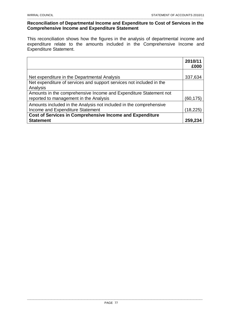### **Reconciliation of Departmental Income and Expenditure to Cost of Services in the Comprehensive Income and Expenditure Statement**

This reconciliation shows how the figures in the analysis of departmental income and expenditure relate to the amounts included in the Comprehensive Income and Expenditure Statement.

|                                                                      | 2010/11<br>£000 |
|----------------------------------------------------------------------|-----------------|
|                                                                      |                 |
| Net expenditure in the Departmental Analysis                         | 337,634         |
| Net expenditure of services and support services not included in the |                 |
| Analysis                                                             |                 |
| Amounts in the comprehensive Income and Expenditure Statement not    |                 |
| reported to management in the Analysis                               | (60,175)        |
| Amounts included in the Analysis not included in the comprehensive   |                 |
| Income and Expenditure Statement                                     | (18, 225)       |
| <b>Cost of Services in Comprehensive Income and Expenditure</b>      |                 |
| <b>Statement</b>                                                     | 259,234         |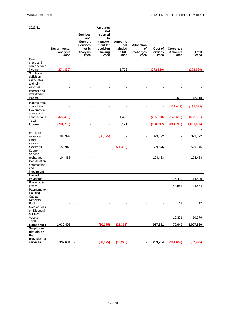| 2010/11           |                          |                              | <b>Amounts</b>           |                    |                          |                          |                             |             |
|-------------------|--------------------------|------------------------------|--------------------------|--------------------|--------------------------|--------------------------|-----------------------------|-------------|
|                   |                          |                              |                          |                    |                          |                          |                             |             |
|                   |                          | <b>Services</b>              | not<br>reported          |                    |                          |                          |                             |             |
|                   |                          |                              |                          |                    |                          |                          |                             |             |
|                   |                          | and                          | to                       |                    |                          |                          |                             |             |
|                   |                          | <b>Support</b>               | manage-                  | <b>Amounts</b>     |                          |                          |                             |             |
|                   |                          | <b>Services</b><br>not in    | ment for<br>decision     | not                | <b>Allocation</b><br>οf  | Cost of                  |                             |             |
|                   | Departmental             |                              | making                   | included<br>in I&E |                          | <b>Services</b>          | Corporate<br><b>Amounts</b> | Total       |
|                   | <b>Analysis</b><br>£000  | <b>Analysis</b><br>£000      | £000                     | £000               | Recharges<br>£000        | £000                     | £000                        | £000        |
| Fees,             |                          |                              |                          |                    |                          |                          |                             |             |
| charges &         |                          |                              |                          |                    |                          |                          |                             |             |
| other service     |                          |                              |                          |                    |                          |                          |                             |             |
| income            | (274, 332)               |                              |                          | 1,703              | $\blacksquare$           | (272, 629)               |                             | (272, 629)  |
| Surplus or        |                          |                              |                          |                    |                          |                          |                             |             |
| deficit on        |                          |                              |                          |                    |                          |                          |                             |             |
| associates        |                          |                              |                          |                    |                          |                          |                             |             |
| and joint         |                          |                              |                          |                    |                          |                          |                             |             |
| ventures          |                          |                              |                          |                    |                          |                          |                             |             |
| Interest and      |                          |                              |                          |                    |                          |                          |                             |             |
| investment        |                          |                              |                          |                    |                          |                          |                             |             |
| income            | $\blacksquare$           | $\overline{\phantom{a}}$     | $\overline{\phantom{a}}$ | $\blacksquare$     | $\overline{\phantom{a}}$ | $\blacksquare$           | 12,918                      | 12,918      |
|                   |                          |                              |                          |                    |                          |                          |                             |             |
| Income from       |                          |                              |                          |                    |                          |                          |                             |             |
| council tax       |                          |                              | $\blacksquare$           |                    | ٠                        | $\overline{\phantom{a}}$ | (132, 013)                  | (132, 013)  |
| Government        |                          |                              |                          |                    |                          |                          |                             |             |
| grants and        |                          |                              |                          |                    |                          |                          |                             |             |
| contributions     | (427, 436)               | $\qquad \qquad \blacksquare$ | $\overline{\phantom{a}}$ | 1,468              | $\blacksquare$           | (425, 968)               | (242, 613)                  | (668, 581)  |
| <b>Total</b>      |                          |                              |                          |                    |                          |                          |                             |             |
| <b>Income</b>     | (701, 768)               | $\blacksquare$               | $\blacksquare$           | 3,171              | $\blacksquare$           | (698, 597)               | (361, 708)                  | (1,060,305) |
|                   |                          |                              |                          |                    |                          |                          |                             |             |
| Employee          |                          |                              |                          |                    |                          |                          |                             |             |
| expenses          | 383,997                  |                              | (60, 175)                | $\blacksquare$     | $\blacksquare$           | 323,822                  |                             | 323,822     |
| Other             |                          |                              |                          |                    |                          |                          |                             |             |
| service           |                          |                              |                          |                    |                          |                          |                             |             |
| expenses          | 550,942                  |                              | $\overline{\phantom{a}}$ | (21, 396)          | $\blacksquare$           | 529,546                  |                             | 529,546     |
| Support           |                          |                              |                          |                    |                          |                          |                             |             |
| Service           |                          |                              |                          |                    |                          |                          |                             |             |
| recharges         | 104,463                  |                              |                          |                    |                          | 104,463                  |                             | 104,463     |
| Depreciation,     |                          |                              |                          |                    |                          |                          |                             |             |
| amortisation      |                          |                              |                          |                    |                          |                          |                             |             |
| and               |                          |                              |                          |                    |                          |                          |                             |             |
| impairment        | $\overline{a}$           |                              |                          |                    |                          |                          |                             |             |
| Interest          |                          |                              |                          |                    |                          |                          |                             |             |
| Payments          |                          |                              |                          |                    | $\blacksquare$           |                          | 14,489                      | 14,489      |
| Precepts &        |                          |                              |                          |                    |                          |                          |                             |             |
| Levies            | $\overline{\phantom{a}}$ |                              | $\overline{\phantom{a}}$ |                    |                          |                          | 44,564                      | 44,564      |
| Payments to       |                          |                              |                          |                    |                          |                          |                             |             |
| Housing           |                          |                              |                          |                    |                          |                          |                             |             |
| Capital           |                          |                              |                          |                    |                          |                          |                             |             |
| Receipts          |                          |                              |                          |                    |                          |                          |                             |             |
| Pool              | $\blacksquare$           | $\blacksquare$               |                          |                    |                          |                          | 17                          | 17          |
| Gain or Loss      |                          |                              |                          |                    |                          |                          |                             |             |
| on Disposal       |                          |                              |                          |                    |                          |                          |                             |             |
| of Fixed          |                          |                              |                          |                    |                          |                          |                             |             |
| Assets            | ٠                        | $\overline{\phantom{a}}$     |                          |                    | $\overline{\phantom{a}}$ |                          | 10,371                      | 10,979      |
| <b>Total</b>      |                          |                              |                          |                    |                          |                          |                             |             |
| expenditure       | 1,039,402                | $\blacksquare$               | (60, 175)                | (21, 396)          | $\blacksquare$           | 957,831                  | 70,049                      | 1,027,880   |
| <b>Surplus or</b> |                          |                              |                          |                    |                          |                          |                             |             |
| (deficit) on      |                          |                              |                          |                    |                          |                          |                             |             |
| the               |                          |                              |                          |                    |                          |                          |                             |             |
| provision of      |                          |                              |                          |                    |                          |                          |                             |             |
| services          | 337,634                  |                              | (60, 175)                | (18, 225)          |                          | 259,234                  | (291, 659)                  | (32, 425)   |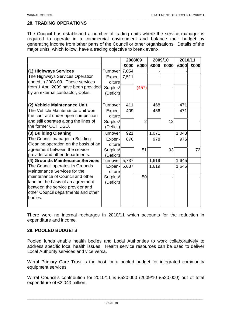#### **28. TRADING OPERATIONS**

The Council has established a number of trading units where the service manager is required to operate in a commercial environment and balance their budget by generating income from other parts of the Council or other organisations. Details of the major units, which follow, have a trading objective to break even:-

|                                       |                | 2008/09 |                | 2009/10 |      | 2010/11 |      |
|---------------------------------------|----------------|---------|----------------|---------|------|---------|------|
|                                       |                | £000    | £000           | £000    | £000 | £000    | £000 |
| (1) Highways Services                 | Turnover       | 7,054   |                |         |      |         |      |
| The Highways Services Operation       | Expen-         | 7,511   |                |         |      |         |      |
| ended in 2008-09. These services      | diture         |         |                |         |      |         |      |
| from 1 April 2009 have been provided  | Surplus/       |         | (457)          |         |      |         |      |
| by an external contractor, Colas.     | (Deficit)      |         |                |         |      |         |      |
| (2) Vehicle Maintenance Unit          | Turnover       | 411     |                | 468     |      | 471     |      |
| The Vehicle Maintenance Unit won      | Expen-         | 409     |                | 456     |      | 471     |      |
| the contract under open competition   | diture         |         |                |         |      |         |      |
| and still operates along the lines of | Surplus/       |         | $\overline{2}$ |         | 12   |         |      |
| the former CCT DSO.                   | (Deficit)      |         |                |         |      |         |      |
| (3) Building Cleaning                 | Turnover       | 921     |                | 1,071   |      | 1,048   |      |
| The Council manages a Building        | Expen-         | 870     |                | 978     |      | 976     |      |
| Cleaning operation on the basis of an | diture         |         |                |         |      |         |      |
| agreement between the service         | Surplus/       |         | 51             |         | 93   |         | 72   |
| provider and other departments.       | (Deficit)      |         |                |         |      |         |      |
| (4) Grounds Maintenance Services      | Turnover 5,737 |         |                | 1,619   |      | 1,645   |      |
| The Council operates its Grounds      | Expen-         | 5,687   |                | 1,619   |      | 1,645   |      |
| Maintenance Services for the          | diture         |         |                |         |      |         |      |
| maintenance of Council and other      | Surplus/       |         | 50             |         |      |         |      |
| land on the basis of an agreement     | (Deficit)      |         |                |         |      |         |      |
| between the service provider and      |                |         |                |         |      |         |      |
| other Council departments and other   |                |         |                |         |      |         |      |
| bodies.                               |                |         |                |         |      |         |      |
|                                       |                |         |                |         |      |         |      |

There were no internal recharges in 2010/11 which accounts for the reduction in expenditure and income.

# **29. POOLED BUDGETS**

Pooled funds enable health bodies and Local Authorities to work collaboratively to address specific local health issues. Health service resources can be used to deliver Local Authority services and vice versa.

Wirral Primary Care Trust is the host for a pooled budget for integrated community equipment services.

Wirral Council's contribution for 2010/11 is £520,000 (2009/10 £520,000) out of total expenditure of £2.043 million.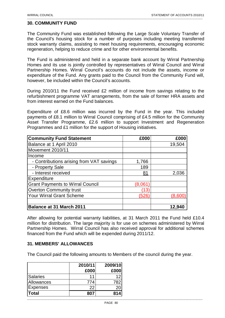### **30. COMMUNITY FUND**

The Community Fund was established following the Large Scale Voluntary Transfer of the Council's housing stock for a number of purposes including meeting transferred stock warranty claims, assisting to meet housing requirements, encouraging economic regeneration, helping to reduce crime and for other environmental benefits.

The Fund is administered and held in a separate bank account by Wirral Partnership Homes and its use is jointly controlled by representatives of Wirral Council and Wirral Partnership Homes. Wirral Council's accounts do not include the assets, income or expenditure of the Fund. Any grants paid to the Council from the Community Fund will, however, be included within the Council's accounts.

During 2010/11 the Fund received £2 million of income from savings relating to the refurbishment programme VAT arrangements, from the sale of former HRA assets and from interest earned on the Fund balances.

Expenditure of £8.6 million was incurred by the Fund in the year. This included payments of £8.1 million to Wirral Council comprising of £4.5 million for the Community Asset Transfer Programme, £2.6 million to support Investment and Regeneration Programmes and £1 million for the support of Housing initiatives.

| <b>Community Fund Statement</b>          | £000   | £000   |
|------------------------------------------|--------|--------|
| Balance at 1 April 2010                  |        | 19,504 |
| Movement 2010/11                         |        |        |
| Income                                   |        |        |
| - Contributions arising from VAT savings | 1,766  |        |
| - Property Sale                          | 189    |        |
| - Interest received                      | 81     | 2,036  |
| Expenditure                              |        |        |
| <b>Grant Payments to Wirral Council</b>  | (8,061 |        |
| <b>Overton Community trust</b>           | (13    |        |
| Your Wirral Grant Scheme                 | (526)  | 8.60C) |
|                                          |        |        |
| <b>Balance at 31 March 2011</b>          |        | 12,940 |

After allowing for potential warranty liabilities, at 31 March 2011 the Fund held £10.4 million for distribution. The large majority is for use on schemes administered by Wirral Partnership Homes. Wirral Council has also received approval for additional schemes financed from the Fund which will be expended during 2011/12.

### **31. MEMBERS' ALLOWANCES**

The Council paid the following amounts to Members of the council during the year.

|                 | 2010/11<br>£000 | 2009/10<br>£000 |
|-----------------|-----------------|-----------------|
| Salaries        | 11              | 12              |
| Allowances      | 774             | 782             |
| <b>Expenses</b> | 22              | 20              |
| <b>Total</b>    | 807             | 814             |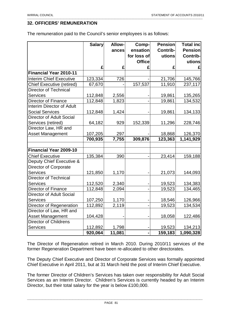#### **32. OFFICERS' REMUNERATION**

The remuneration paid to the Council's senior employees is as follows:

|                                  | <b>Salary</b> | <b>Allow-</b> | Comp-         | <b>Pension</b> | <b>Total inc</b> |
|----------------------------------|---------------|---------------|---------------|----------------|------------------|
|                                  |               | ances         | ensation      | Contrib-       | <b>Pension</b>   |
|                                  |               |               | for loss of   | utions         | Contrib-         |
|                                  |               |               | <b>Office</b> |                | utions           |
|                                  | £             | £             | £             | £              | £                |
| <b>Financial Year 2010-11</b>    |               |               |               |                |                  |
| <b>Interim Chief Executive</b>   | 123,334       | 726           |               | 21,706         | 145,766          |
| <b>Chief Executive (retired)</b> | 67,670        |               | 157,537       | 11,910         | 237,117          |
| <b>Director of Technical</b>     |               |               |               |                |                  |
| <b>Services</b>                  | 112,848       | 2,556         |               | 19,861         | 135,265          |
| Director of Finance              | 112,848       | 1,823         |               | 19,861         | 134,532          |
| <b>Interim Director of Adult</b> |               |               |               |                |                  |
| <b>Social Services</b>           | 112,848       | 1,424         |               | 19,861         | 134,133          |
| <b>Director of Adult Social</b>  |               |               |               |                |                  |
| Services (retired)               | 64,182        | 929           | 152,339       | 11,296         | 228,746          |
| Director Law, HR and             |               |               |               |                |                  |
| <b>Asset Management</b>          | 107,205       | 297           |               | 18,868         | 126,370          |
|                                  | 700,935       | 7,755         | 309,876       | 123,363        | 1,141,929        |
|                                  |               |               |               |                |                  |
| <b>Financial Year 2009-10</b>    |               |               |               |                |                  |
| <b>Chief Executive</b>           | 135,384       | 390           |               | 23,414         | 159,188          |
| Deputy Chief Executive &         |               |               |               |                |                  |
| Director of Corporate            |               |               |               |                |                  |
| <b>Services</b>                  | 121,850       | 1,170         |               | 21,073         | 144,093          |
| <b>Director of Technical</b>     |               |               |               |                |                  |
| <b>Services</b>                  | 112,520       | 2,340         |               | 19,523         | 134,383          |
| <b>Director of Finance</b>       | 112,848       | 2,094         |               | 19,523         | 134,465          |
| <b>Director of Adult Social</b>  |               |               |               |                |                  |
| <b>Services</b>                  | 107,250       | 1,170         |               | 18,546         | 126,966          |
| Director of Regeneration         | 112,892       | 2,119         |               | 19,523         | 134,534          |
| Director of Law, HR and          |               |               |               |                |                  |
| <b>Asset Management</b>          | 104,428       |               |               | 18,058         | 122,486          |
| <b>Director of Childrens</b>     |               |               |               |                |                  |
| <b>Services</b>                  | 112,892       | 1,798         |               | 19,523         | 134,213          |
|                                  | 920,064       | 11,081        |               | 159,183        | 1,090,328        |

The Director of Regeneration retired in March 2010. During 2010/11 services of the former Regeneration Department have been re-allocated to other directorates.

The Deputy Chief Executive and Director of Corporate Services was formally appointed Chief Executive in April 2011, but at 31 March held the post of Interim Chief Executive.

The former Director of Children's Services has taken over responsibility for Adult Social Services as an Interim Director. Children's Services is currently headed by an Interim Director, but their total salary for the year is below £100,000.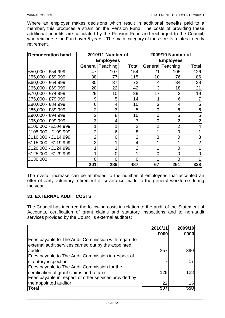Where an employer makes decisions which result in additional benefits paid to a member, this produces a strain on the Pension Fund. The costs of providing these additional benefits are calculated by the Pension Fund and recharged to the Council, who reimburse the Fund over 5 years. The main category of these costs relates to early retirement.

| <b>Remuneration band</b> | 2010/11 Number of |                  |                | 2009/10 Number of |                  |       |  |
|--------------------------|-------------------|------------------|----------------|-------------------|------------------|-------|--|
|                          |                   | <b>Employees</b> |                |                   | <b>Employees</b> |       |  |
|                          |                   | General Teaching | Total          |                   | General Teaching | Total |  |
| £50,000 - £54,999        | 47                | 107              | 154            | 21                | 105              | 126   |  |
| £55,000 - £59,999        | 38                | 77               | 115            | 10                | 76               | 86    |  |
| £60,000 - £64,999        | 35                | 37               | 72             | 4                 | 34               | 38    |  |
| £65,000 - £69,999        | 20                | 22               | 42             | 3                 | 18               | 21    |  |
| £70,000 - £74,999        | 29                | 10               | 39             | 17                | 2                | 19    |  |
| £75,000 - £79,999        | 9                 | 5                | 14             |                   | 6                |       |  |
| £80,000 - £84,999        | 6                 | 4                | 10             | $\overline{2}$    | 4                | 6     |  |
| £85,000 - £89,999        |                   | 3                | 5              | 0                 | 6                | 6     |  |
| £90,000 - £94,999        |                   | 8                | 10             | 0                 | 5                | 5     |  |
| £95,000 - £99,999        | 3                 | 4                |                | 0                 | $\overline{2}$   |       |  |
| £100,000 - £104,999      |                   |                  | $\overline{2}$ | $\overline{2}$    | $\overline{2}$   |       |  |
| £105,000 - £109,999      |                   | 6                | 8              | 1                 | 0                |       |  |
| £110,000 - £114,999      |                   | 0                | $\overline{2}$ | 3                 | 0                | 3     |  |
| £115,000 - £119,999      | 3                 |                  | 4              |                   | 1                |       |  |
| £120,000 - £124,999      |                   |                  | $\overline{2}$ |                   | 0                |       |  |
| £125,000 - £129,999      |                   | 0                |                | ი                 | 0                |       |  |
| £130,000 +               |                   | 0                | Ω              |                   | ი                |       |  |
|                          | 201               | 286              | 487            | 67                | 261              | 328   |  |

The overall increase can be attributed to the number of employees that accepted an offer of early voluntary retirement or severance made to the general workforce during the year.

# **33. EXTERNAL AUDIT COSTS**

The Council has incurred the following costs in relation to the audit of the Statement of Accounts, certification of grant claims and statutory inspections and to non-audit services provided by the Council's external auditors:

|                                                       | 2010/11 | 2009/10 |
|-------------------------------------------------------|---------|---------|
|                                                       | £000    | £000    |
| Fees payable to The Audit Commission with regard to   |         |         |
| external audit services carried out by the appointed  |         |         |
| auditor                                               | 357     | 390     |
| Fees payable to The Audit Commission in respect of    |         |         |
| statutory inspection                                  |         |         |
| Fees payable to The Audit Commission for the          |         |         |
| certification of grant claims and returns             | 128     | 128     |
| Fees payable in respect of other services provided by |         |         |
| the appointed auditor                                 | 22      | 15      |
| <b>Total</b>                                          | 507     | 550     |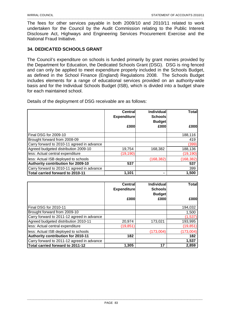The fees for other services payable in both 2009/10 and 2010/11 related to work undertaken for the Council by the Audit Commission relating to the Public Interest Disclosure Act, Highways and Engineering Services Procurement Exercise and the National Fraud Initiative.

# **34. DEDICATED SCHOOLS GRANT**

The Council's expenditure on schools is funded primarily by grant monies provided by the Department for Education, the Dedicated Schools Grant (DSG). DSG is ring fenced and can only be applied to meet expenditure properly included in the Schools Budget, as defined in the School Finance (England) Regulations 2008. The Schools Budget includes elements for a range of educational services provided on an authority-wide basis and for the Individual Schools Budget (ISB), which is divided into a budget share for each maintained school.

Details of the deployment of DSG receivable are as follows:

|                                            | <b>Central</b>     | <b>Individual</b> | Total      |
|--------------------------------------------|--------------------|-------------------|------------|
|                                            | <b>Expenditure</b> | <b>Schools</b>    |            |
|                                            |                    | <b>Budget</b>     |            |
|                                            | £000               | £000              | £000       |
| Final DSG for 2009-10                      |                    |                   | 188,116    |
| Brought forward from 2008-09               |                    |                   | 419        |
| Carry forward to 2010-11 agreed in advance |                    |                   | (399)      |
| Agreed budgeted distribution 2009-10       | 19,754             | 168,382           | 188,136    |
| less: Actual central expenditure           | (19, 190)          |                   | (19, 190)  |
| less: Actual ISB deployed to schools       |                    | (168, 382)        | (168, 382) |
| Authority contribution for 2009-10         | 537                |                   | 537        |
| Carry forward to 2010-11 agreed in advance |                    |                   | 399        |
| Total carried forward to 2010-11           | 1,101              |                   | 1,500      |

|                                            | <b>Central</b>     | <b>Individual</b> | Totall    |
|--------------------------------------------|--------------------|-------------------|-----------|
|                                            | <b>Expenditure</b> | <b>Schools</b>    |           |
|                                            |                    | <b>Budget</b>     |           |
|                                            | £000               | £000              | £000      |
| Final DSG for 2010-11                      |                    |                   | 194,032   |
| Brought forward from 2009-10               |                    |                   | 1,500     |
| Carry forward to 2011-12 agreed in advance |                    |                   | (1,537)   |
| Agreed budgeted distribution 2010-11       | 20,974             | 173.021           | 193,995   |
| less: Actual central expenditure           | (19, 851)          |                   | (19, 851) |
| less: Actual ISB deployed to schools       |                    | (173,004)         | (173,004) |
| Authority contribution for 2010-11         | 182                |                   | 182       |
| Carry forward to 2011-12 agreed in advance |                    |                   | 1,537     |
| Total carried forward to 2011-12           | 1,305              | 17                | 2,859     |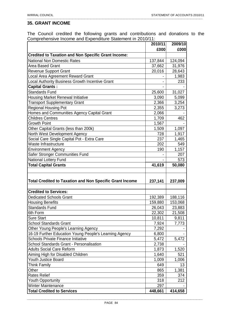#### **35. GRANT INCOME**

The Council credited the following grants and contributions and donations to the Comprehensive Income and Expenditure Statement in 2010/11:

|                                                                 | 2010/11 | 2009/10 |
|-----------------------------------------------------------------|---------|---------|
|                                                                 | £000    | £000    |
| <b>Credited to Taxation and Non Specific Grant Income:</b>      |         |         |
| <b>National Non Domestic Rates</b>                              | 137,844 | 124,094 |
| Area Based Grant                                                | 37,662  | 31,976  |
| <b>Revenue Support Grant</b>                                    | 20,016  | 28,643  |
| Local Area Agreement Reward Grant                               |         | 1,983   |
| Local Authority Business Growth Incentive Grant                 |         | 233     |
| <b>Capital Grants:</b>                                          |         |         |
| <b>Standards Fund</b>                                           | 25,600  | 31,027  |
| <b>Housing Market Renewal Initiative</b>                        | 3,090   | 5,099   |
| <b>Transport Supplementary Grant</b>                            | 2,366   | 3,254   |
| <b>Regional Housing Pot</b>                                     | 2,355   | 3,273   |
| Homes and Communities Agency Capital Grant                      | 2,066   |         |
| <b>Childres Centres</b>                                         | 1,709   | 462     |
| <b>Growth Point</b>                                             | 1,567   |         |
| Other Capital Grants (less than 200k)                           | 1,509   | 1,097   |
| North West Development Agency                                   | 728     | 1,917   |
| Social Care Single Capital Pot - Extra Care                     | 237     | 1,465   |
| Waste Infrastructure                                            | 202     | 549     |
| <b>Environment Agency</b>                                       | 190     | 1,157   |
| Safer Stronger Communities Fund                                 |         | 207     |
| National Lottery Fund                                           |         | 573     |
| <b>Total Capital Grants</b>                                     | 41,619  | 50,080  |
|                                                                 |         |         |
|                                                                 |         |         |
| <b>Total Credited to Taxation and Non Specific Grant Income</b> | 237,141 | 237,009 |
|                                                                 |         |         |
| <b>Credited to Services:</b>                                    |         |         |
| <b>Dedicated Schools Grant</b>                                  | 192,389 | 188,116 |
| <b>Housing Benefits</b>                                         | 159,880 | 153,068 |
| <b>Standards Fund</b>                                           | 26,043  | 23,883  |
| 6th Form                                                        | 22,302  | 21,508  |
| <b>Sure Start</b>                                               | 10,811  | 9,811   |
| <b>School Standards Grant</b>                                   | 7,924   | 7,773   |
| Other Young People's Learning Agency                            | 7,292   |         |
| 16-19 Further Education Young People's Learning Agency          | 6,800   |         |
| <b>Schools Private Finance Initiative</b>                       | 5,472   | 5,472   |
| School Standards Grant - Personalisation                        | 2,738   |         |
| <b>Adults Social Care Reform</b>                                | 1,873   | 1,520   |
| Aiming High for Disabled Children                               | 1,640   | 521     |
| Youth Justice Board                                             | 1,009   | 1,006   |
| <b>Think Family</b>                                             | 649     | 13      |
| Other                                                           | 865     | 1,381   |
| Rates Relief                                                    | 359     | 374     |
| Youth Opportunity                                               | 318     | 212     |
| <b>Winter Maintenance</b>                                       | 297     |         |
| <b>Total Credited to Services</b>                               | 448,661 | 414,658 |
|                                                                 |         |         |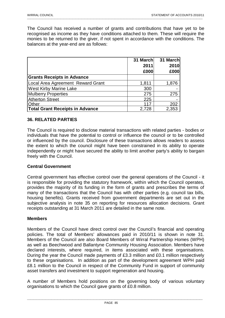The Council has received a number of grants and contributions that have yet to be recognised as income as they have conditions attached to them. These will require the monies to be returned to the giver, if not spent in accordance with the conditions. The balances at the year-end are as follows:

|                                        | 31 March | 31 March |
|----------------------------------------|----------|----------|
|                                        | 2011     | 2010     |
|                                        | £000     | £000     |
| <b>Grants Receipts in Advance</b>      |          |          |
| Local Area Agreement Reward Grant      | 1,811    | 1,876    |
| <b>West Kirby Marine Lake</b>          | 300      |          |
| <b>Mulberry Properties</b>             | 275      | 275      |
| <b>Atherton Street</b>                 | 225      |          |
| Other                                  | 117      | 202      |
| <b>Total Grant Receipts in Advance</b> | 2,728    | 2,353    |

# **36. RELATED PARTIES**

The Council is required to disclose material transactions with related parties - bodies or individuals that have the potential to control or influence the council or to be controlled or influenced by the council. Disclosure of these transactions allows readers to assess the extent to which the council might have been constrained in its ability to operate independently or might have secured the ability to limit another party's ability to bargain freely with the Council.

# **Central Government**

Central government has effective control over the general operations of the Council - it is responsible for providing the statutory framework, within which the Council operates, provides the majority of its funding in the form of grants and prescribes the terms of many of the transactions that the Council has with other parties (e.g. council tax bills, housing benefits). Grants received from government departments are set out in the subjective analysis in note 35 on reporting for resources allocation decisions. Grant receipts outstanding at 31 March 2011 are detailed in the same note.

# **Members**

Members of the Council have direct control over the Council's financial and operating policies. The total of Members' allowances paid in 2010/11 is shown in note 31. Members of the Council are also Board Members of Wirral Partnership Homes (WPH) as well as Beechwood and Ballantyne Community Housing Association. Members have declared interests, where required, in items associated with these organisations. During the year the Council made payments of £3.3 million and £0.1 million respectively to these organisations. In addition as part of the development agreement WPH paid £8.1 million to the Council in respect of the Community Fund in support of community asset transfers and investment to support regeneration and housing.

A number of Members hold positions on the governing body of various voluntary organisations to which the Council gave grants of £0.8 million.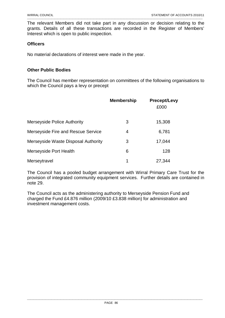The relevant Members did not take part in any discussion or decision relating to the grants. Details of all these transactions are recorded in the Register of Members' Interest which is open to public inspection.

# **Officers**

No material declarations of interest were made in the year.

# **Other Public Bodies**

The Council has member representation on committees of the following organisations to which the Council pays a levy or precept

|                                     | <b>Membership</b> | <b>Precept/Levy</b><br>£000 |
|-------------------------------------|-------------------|-----------------------------|
| <b>Merseyside Police Authority</b>  | 3                 | 15,308                      |
| Merseyside Fire and Rescue Service  | 4                 | 6,781                       |
| Merseyside Waste Disposal Authority | 3                 | 17,044                      |
| Merseyside Port Health              | 6                 | 128                         |
| Merseytravel                        | 1                 | 27,344                      |

The Council has a pooled budget arrangement with Wirral Primary Care Trust for the provision of integrated community equipment services. Further details are contained in note 29.

The Council acts as the administering authority to Merseyside Pension Fund and charged the Fund £4.876 million (2009/10 £3.838 million) for administration and investment management costs.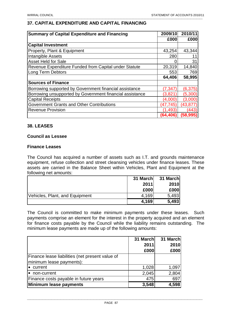# **37. CAPITAL EXPENDITURE AND CAPITAL FINANCING**

| <b>Summary of Capital Expenditure and Financing</b>      |           | 2010/11   |
|----------------------------------------------------------|-----------|-----------|
|                                                          | £000      | £000      |
| <b>Capital Investment</b>                                |           |           |
| Property, Plant & Equipment                              | 43,254    | 43,344    |
| Intangible Assets                                        | 280       | 11        |
| <b>Asset Held for Sale</b>                               |           | 31        |
| Revenue Expenditure Funded from Capital under Statute    | 20,319    | 14,840    |
| <b>Long Term Debtors</b>                                 | 553       | 769       |
|                                                          | 64,406    | 58,995    |
| <b>Sources of Finance</b>                                |           |           |
| Borrowing supported by Government financial assistance   | (7, 347)  | (6, 375)  |
| Borrowing unsupported by Government financial assistance | (3,821)   | (5,300)   |
| <b>Capital Receipts</b>                                  | (4,000)   | (3,000)   |
| <b>Government Grants and Other Contributions</b>         | (47,745)  | (43,877)  |
| <b>Revenue Provision</b>                                 | (1, 493)  | (443)     |
|                                                          | (64, 406) | (58, 995) |

# **38. LEASES**

### **Council as Lessee**

# **Finance Leases**

The Council has acquired a number of assets such as I.T. and grounds maintenance equipment, refuse collection and street cleansing vehicles under finance leases. These assets are carried in the Balance Sheet within Vehicles, Plant and Equipment at the following net amounts:

|                                | 31 March | 31 March |
|--------------------------------|----------|----------|
|                                | 2011     | 2010     |
|                                | £000     | £000     |
| Vehicles, Plant, and Equipment | 4,169    | 5,493    |
|                                | 4,169    | 5.493    |

The Council is committed to make minimum payments under these leases. Such payments comprise an element for the interest in the property acquired and an element for finance costs payable by the Council while the liability remains outstanding. The minimum lease payments are made up of the following amounts:

|                                                 | 31 March | 31 March |
|-------------------------------------------------|----------|----------|
|                                                 | 2011     | 2010     |
|                                                 | £000     | £000     |
| Finance lease liabilities (net present value of |          |          |
| minimum lease payments):                        |          |          |
| $\bullet$ current                               | 1,028    | 1,097    |
| $\bullet$ non-current                           | 2,045    | 2,804    |
| Finance costs payable in future years           | 475      | 697      |
| Minimum lease payments                          | 3,548    | 4,598    |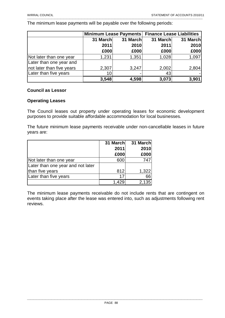The minimum lease payments will be payable over the following periods:

|                           | Minimum Lease Payments |       | <b>Finance Lease Liabilities</b> |          |  |
|---------------------------|------------------------|-------|----------------------------------|----------|--|
|                           | 31 March<br>31 March   |       | 31 March                         | 31 March |  |
|                           | 2011                   | 2010  | 2011                             | 2010     |  |
|                           | £000                   | £000  | £000                             | £000     |  |
| Not later than one year   | 1,231                  | 1,351 | 1,028                            | 1,097    |  |
| Later than one year and   |                        |       |                                  |          |  |
| not later than five years | 2,307                  | 3,247 | 2,002                            | 2,804    |  |
| Later than five years     | 10                     |       | 43                               |          |  |
|                           | 3,548                  | 4,598 | 3,073                            | 3,901    |  |

# **Council as Lessor**

# **Operating Leases**

The Council leases out property under operating leases for economic development purposes to provide suitable affordable accommodation for local businesses.

The future minimum lease payments receivable under non-cancellable leases in future years are:

|                                   | 31 March | 31 March |
|-----------------------------------|----------|----------|
|                                   | 2011     | 2010     |
|                                   | £000     | £000     |
| Not later than one year           | 600      | 747      |
| Later than one year and not later |          |          |
| than five years                   | 812      | 1,322    |
| Later than five years             | 17       | 66       |
|                                   |          |          |

The minimum lease payments receivable do not include rents that are contingent on events taking place after the lease was entered into, such as adjustments following rent reviews.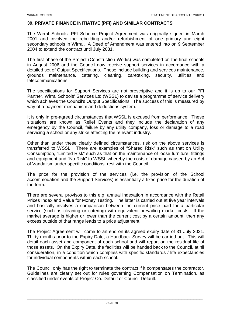### **39. PRIVATE FINANCE INITIATIVE (PFI) AND SIMILAR CONTRACTS**

The Wirral Schools' PFI Scheme Project Agreement was originally signed in March 2001 and involved the rebuilding and/or refurbishment of one primary and eight secondary schools in Wirral. A Deed of Amendment was entered into on 9 September 2004 to extend the contract until July 2031.

The first phase of the Project (Construction Works) was completed on the final schools in August 2006 and the Council now receive support services in accordance with a detailed set of Output Specifications. These include building and services maintenance, grounds maintenance, catering, cleaning, caretaking, security, utilities and telecommunications.

The specifications for Support Services are not prescriptive and it is up to our PFI Partner, Wirral Schools' Services Ltd (WSSL) to devise a programme of service delivery which achieves the Council's Output Specifications. The success of this is measured by way of a payment mechanism and deductions system.

It is only in pre-agreed circumstances that WSSL is excused from performance. These situations are known as Relief Events and they include the declaration of any emergency by the Council, failure by any utility company, loss or damage to a road servicing a school or any strike affecting the relevant industry.

Other than under these clearly defined circumstances, risk on the above services is transferred to WSSL. There are examples of "Shared Risk" such as that on Utility Consumption, "Limited Risk" such as that on the maintenance of loose furniture, fittings and equipment and "No Risk" to WSSL whereby the costs of damage caused by an Act of Vandalism under specific conditions, rest with the Council.

The price for the provision of the services (i.e. the provision of the School accommodation and the Support Services) is essentially a fixed price for the duration of the term.

There are several provisos to this e.g. annual indexation in accordance with the Retail Prices Index and Value for Money Testing. The latter is carried out at five year intervals and basically involves a comparison between the current price paid for a particular service (such as cleaning or catering) with equivalent prevailing market costs. If the market average is higher or lower than the current cost by a certain amount, then any excess outside of that range leads to a price adjustment.

The Project Agreement will come to an end on its agreed expiry date of 31 July 2031. Thirty months prior to the Expiry Date, a Handback Survey will be carried out. This will detail each asset and component of each school and will report on the residual life of those assets. On the Expiry Date, the facilities will be handed back to the Council, at nil consideration, in a condition which complies with specific standards / life expectancies for individual components within each school.

The Council only has the right to terminate the contract if it compensates the contractor. Guidelines are clearly set out for rules governing Compensation on Termination, as classified under events of Project Co. Default or Council Default.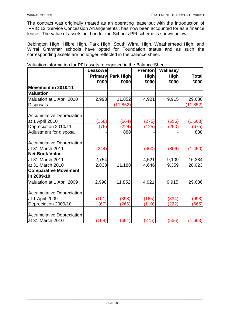The contract was originally treated as an operating lease but with the introduction of IFRIC 12 'Service Concession Arrangements', has now been accounted for as a finance lease. The value of assets held under the Schools PFI scheme is shown below:

Bebington High, Hilbre High, Park High, South Wirral High, Weatherhead High, and Wirral Grammar schools have opted for Foundation status and as such the corresponding assets are no longer reflected in the balance sheet.

|                                                      | Leasowe        |           | <b>Prenton</b> | Wallasey |              |
|------------------------------------------------------|----------------|-----------|----------------|----------|--------------|
|                                                      | <b>Primary</b> | Park High | <b>High</b>    | High     | <b>Total</b> |
|                                                      | £000           | £000      | £000           | £000     | £000         |
| Movement in 2010/11                                  |                |           |                |          |              |
| <b>Valuation</b>                                     |                |           |                |          |              |
| Valuation at 1 April 2010                            | 2,998          | 11,852    | 4,921          | 9,915    | 29,686       |
| <b>Disposals</b>                                     |                | (11, 852) |                |          | (11,852)     |
| <b>Accumulative Depreciation</b>                     |                |           |                |          |              |
| at 1 April 2010                                      | (168)          | (664)     | (275)          | (556)    | (1,663)      |
| Depreciation 2010/11                                 | (76)           | (224)     | (125)          | (250)    | (675)        |
| Adjustment for disposal                              |                | 888       |                |          | 888          |
| <b>Accumulative Depreciation</b>                     |                |           |                |          |              |
| at 31 March 2011                                     | (244)          |           | (400)          | (806)    | (1, 450)     |
| <b>Net Book Value</b>                                |                |           |                |          |              |
| at 31 March 2011                                     | 2,754          |           | 4,521          | 9,109    | 16,384       |
| at 31 March 2010                                     | 2,830          | 11,188    | 4,646          | 9,359    | 28,023       |
| <b>Comparative Movement</b>                          |                |           |                |          |              |
| in 2009-10                                           |                |           |                |          |              |
| Valuation at 1 April 2009                            | 2,998          | 11,852    | 4,921          | 9,915    | 29,686       |
| <b>Accumulative Depreciation</b>                     |                |           |                |          |              |
| at 1 April 2009                                      | (101)          | (398)     | (165)          | (334)    | (998)        |
| Depreciation 2009/10                                 | (67)           | (266)     | (110)          | (222)    | (665)        |
| <b>Accumulative Depreciation</b><br>at 31 March 2010 | (168)          | (664)     | (275)          | (556)    | (1,663)      |
|                                                      |                |           |                |          |              |

Valuation information for PFI assets recognised in the Balance Sheet: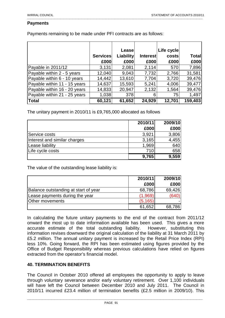#### **Payments**

Payments remaining to be made under PFI contracts are as follows:

|                              | <b>Services</b><br>£000 | Lease<br><b>Liability</b><br>£000 | Interest<br>£000 | Life cycle<br>costs<br>£000 | Total<br>£000 |
|------------------------------|-------------------------|-----------------------------------|------------------|-----------------------------|---------------|
| Payable in 2011/12           | 3,131                   | 2,081                             | 2,114            | 570                         | 7,896         |
| Payable within 2 - 5 years   | 12,040                  | 9,043                             | 7,732            | 2,766                       | 31,581        |
| Payable within 6 - 10 years  | 14,442                  | 13,610                            | 7,704            | 3,720                       | 39,476        |
| Payable within 11 - 15 years | 14,637                  | 15,593                            | 5,241            | 4,006                       | 39,477        |
| Payable within 16 - 20 years | 14,833                  | 20,947                            | 2,132            | 1,564                       | 39,476        |
| Payable within 21 - 25 years | 1,038                   | 378                               | 6                | 75                          | 1,497         |
| Total                        | 60,121                  | 61,652                            | 24,929           | 12,701                      | 159,403       |

The unitary payment in 2010/11 is £9,765,000 allocated as follows

|                              | 2010/11 | 2009/10 |
|------------------------------|---------|---------|
|                              | £000    | £000    |
| Service costs                | 3,921   | 3,806   |
| Interest and similar charges | 3,165   | 4,455   |
| Lease liability              | 1,969   | 640     |
| Life cycle costs             | 710     | 658     |
|                              | 9,765   | 9,559   |

The value of the outstanding lease liability is:

|                                      | 2010/11  | 2009/10 |
|--------------------------------------|----------|---------|
|                                      | £000     | £000    |
| Balance outstanding at start of year | 68,786   | 69,426  |
| Lease payments during the year       | (1,969)  | (64)    |
| <b>Other movements</b>               | (5, 165) |         |
|                                      | 61,652   | 68,786  |

In calculating the future unitary payments to the end of the contract from 2011/12 onward the most up to date information available has been used. This gives a more accurate estimate of the total outstanding liability. However, substituting this information revises downward the original calculation of the liability at 31 March 2011 by £5.2 million. The annual unitary payment is increased by the Retail Price Index (RPI) less 10%. Going forward, the RPI has been estimated using figures provided by the Office of Budget Responsibility whereas previous calculations have relied on figures extracted from the operator's financial model.

# **40. TERMINATION BENEFITS**

The Council in October 2010 offered all employees the opportunity to apply to leave through voluntary severance and/or early voluntary retirement. Over 1,100 individuals will have left the Council between December 2010 and July 2011. The Council in 2010/11 incurred £23.4 million of termination benefits (£2.5 million in 2009/10). This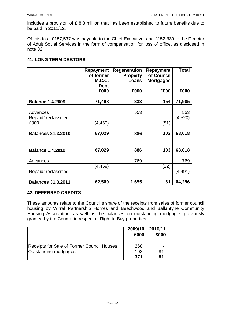includes a provision of £ 8.8 million that has been established to future benefits due to be paid in 2011/12.

Of this total £157,537 was payable to the Chief Executive, and £152,339 to the Director of Adult Social Services in the form of compensation for loss of office, as disclosed in note 32.

# **41. LONG TERM DEBTORS**

|                           | <b>Repayment</b> | <b>Regeneration</b> | <b>Repayment</b> | <b>Total</b> |
|---------------------------|------------------|---------------------|------------------|--------------|
|                           | of former        | <b>Property</b>     | of Council       |              |
|                           | <b>M.C.C.</b>    | Loans               | <b>Mortgages</b> |              |
|                           | <b>Debt</b>      |                     |                  |              |
|                           | £000             | £000                | £000             | £000         |
|                           |                  |                     |                  |              |
| <b>Balance 1.4.2009</b>   | 71,498           | 333                 | 154              | 71,985       |
|                           |                  |                     |                  |              |
| Advances                  |                  | 553                 |                  | 553          |
| Repaid/reclassified       |                  |                     |                  | (4,520)      |
| £000                      | (4,469)          |                     | (51)             |              |
|                           |                  |                     |                  |              |
| <b>Balances 31.3.2010</b> | 67,029           | 886                 | 103              | 68,018       |
|                           |                  |                     |                  |              |
|                           |                  |                     |                  |              |
| <b>Balance 1.4.2010</b>   | 67,029           | 886                 | 103              | 68,018       |
|                           |                  |                     |                  |              |
| Advances                  |                  | 769                 |                  | 769          |
|                           | (4, 469)         |                     | (22)             |              |
| Repaid/reclassified       |                  |                     |                  | (4,491)      |
|                           |                  |                     |                  |              |
| <b>Balances 31.3.2011</b> | 62,560           | 1,655               | 81               | 64,296       |

# **42. DEFERRED CREDITS**

These amounts relate to the Council's share of the receipts from sales of former council housing by Wirral Partnership Homes and Beechwood and Ballantyne Community Housing Association, as well as the balances on outstanding mortgages previously granted by the Council in respect of Right to Buy properties.

|                                                   | 2009/10 | 2010/11 |
|---------------------------------------------------|---------|---------|
|                                                   | £000    | £000    |
|                                                   |         |         |
| <b>Receipts for Sale of Former Council Houses</b> | 268     | -       |
| Outstanding mortgages                             | 103     |         |
|                                                   | 371     |         |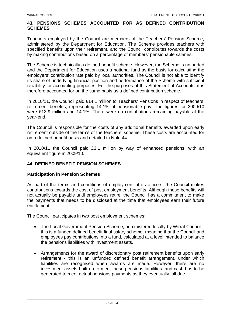### **43. PENSIONS SCHEMES ACCOUNTED FOR AS DEFINED CONTRIBUTION SCHEMES**

Teachers employed by the Council are members of the Teachers' Pension Scheme, administered by the Department for Education. The Scheme provides teachers with specified benefits upon their retirement, and the Council contributes towards the costs by making contributions based on a percentage of members' pensionable salaries.

The Scheme is technically a defined benefit scheme. However, the Scheme is unfunded and the Department for Education uses a notional fund as the basis for calculating the employers' contribution rate paid by local authorities. The Council is not able to identify its share of underlying financial position and performance of the Scheme with sufficient reliability for accounting purposes. For the purposes of this Statement of Accounts, it is therefore accounted for on the same basis as a defined contribution scheme.

In 2010/11, the Council paid £14.1 million to Teachers' Pensions in respect of teachers' retirement benefits, representing 14.1% of pensionable pay. The figures for 2009/10 were £13.9 million and 14.1%. There were no contributions remaining payable at the year-end.

The Council is responsible for the costs of any additional benefits awarded upon early retirement outside of the terms of the teachers' scheme. These costs are accounted for on a defined benefit basis and detailed in Note 44.

In 2010/11 the Council paid £3.1 million by way of enhanced pensions, with an equivalent figure in 2009/10.

# **44. DEFINED BENEFIT PENSION SCHEMES**

# **Participation in Pension Schemes**

As part of the terms and conditions of employment of its officers, the Council makes contributions towards the cost of post employment benefits. Although these benefits will not actually be payable until employees retire, the Council has a commitment to make the payments that needs to be disclosed at the time that employees earn their future entitlement.

The Council participates in two post employment schemes:

- The Local Government Pension Scheme, administered locally by Wirral Council this is a funded defined benefit final salary scheme, meaning that the Council and employees pay contributions into a fund, calculated at a level intended to balance the pensions liabilities with investment assets.
- Arrangements for the award of discretionary post retirement benefits upon early retirement - this is an unfunded defined benefit arrangement, under which liabilities are recognised when awards are made. However, there are no investment assets built up to meet these pensions liabilities, and cash has to be generated to meet actual pensions payments as they eventually fall due.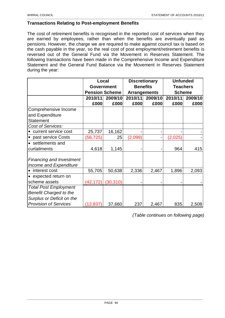#### **Transactions Relating to Post-employment Benefits**

The cost of retirement benefits is recognised in the reported cost of services when they are earned by employees, rather than when the benefits are eventually paid as pensions. However, the charge we are required to make against council tax is based on the cash payable in the year, so the real cost of post employment/retirement benefits is reversed out of the General Fund via the Movement in Reserves Statement. The following transactions have been made in the Comprehensive Income and Expenditure Statement and the General Fund Balance via the Movement in Reserves Statement during the year:

|                                 | Local     |                       | <b>Discretionary</b> |         | <b>Unfunded</b> |         |
|---------------------------------|-----------|-----------------------|----------------------|---------|-----------------|---------|
|                                 |           | <b>Government</b>     | <b>Benefits</b>      |         | <b>Teachers</b> |         |
|                                 |           | <b>Pension Scheme</b> | <b>Arrangements</b>  |         | <b>Scheme</b>   |         |
|                                 | 2010/11   | 2009/10               | 2010/11              | 2009/10 | 2010/11         | 2009/10 |
|                                 | £000      | £000                  | £000                 | £000    | £000            | £000    |
| Comprehensive Income            |           |                       |                      |         |                 |         |
| and Expenditure                 |           |                       |                      |         |                 |         |
| <b>Statement</b>                |           |                       |                      |         |                 |         |
| Cost of Services:               |           |                       |                      |         |                 |         |
| current service cost            | 25,737    | 16,162                |                      |         |                 |         |
| • past service Costs            | (56, 725) | 25                    | (2,099)              |         | (2,025)         |         |
| • settlements and               |           |                       |                      |         |                 |         |
| curtailments                    | 4,618     | 1,145                 |                      |         | 964             | 415     |
|                                 |           |                       |                      |         |                 |         |
| <b>Financing and Investment</b> |           |                       |                      |         |                 |         |
| <b>Income and Expenditure</b>   |           |                       |                      |         |                 |         |
| • interest cost                 | 55,705    | 50,638                | 2,336                | 2,467   | 1,896           | 2,093   |
| • expected return on            |           |                       |                      |         |                 |         |
| scheme assets                   | (42, 172) | (30, 310)             |                      |         |                 |         |
| <b>Total Post Employment</b>    |           |                       |                      |         |                 |         |
| <b>Benefit Charged to the</b>   |           |                       |                      |         |                 |         |
| Surplus or Deficit on the       |           |                       |                      |         |                 |         |
| <b>Provision of Services</b>    | (12, 837) | 37,660                | 237                  | 2,467   | 835             | 2,508   |

*(Table continues on following page)*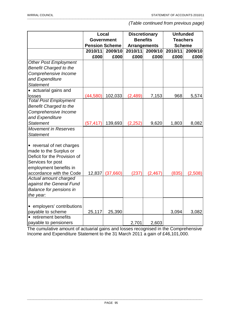*(Table continued from previous page)*

|                                                                                                                                                                                                                                                                    | Local<br><b>Government</b><br><b>Pension Scheme</b> |          | <b>Discretionary</b><br><b>Benefits</b><br><b>Arrangements</b> |          | <b>Unfunded</b><br><b>Teachers</b><br><b>Scheme</b> |         |
|--------------------------------------------------------------------------------------------------------------------------------------------------------------------------------------------------------------------------------------------------------------------|-----------------------------------------------------|----------|----------------------------------------------------------------|----------|-----------------------------------------------------|---------|
|                                                                                                                                                                                                                                                                    | 2010/11                                             | 2009/10  | 2010/11                                                        | 2009/10  | 2010/11                                             | 2009/10 |
|                                                                                                                                                                                                                                                                    | £000                                                | £000     | £000                                                           | £000     | £000                                                | £000    |
| <b>Other Post Employment</b>                                                                                                                                                                                                                                       |                                                     |          |                                                                |          |                                                     |         |
| <b>Benefit Charged to the</b>                                                                                                                                                                                                                                      |                                                     |          |                                                                |          |                                                     |         |
| Comprehensive Income                                                                                                                                                                                                                                               |                                                     |          |                                                                |          |                                                     |         |
| and Expenditure                                                                                                                                                                                                                                                    |                                                     |          |                                                                |          |                                                     |         |
| <b>Statement</b>                                                                                                                                                                                                                                                   |                                                     |          |                                                                |          |                                                     |         |
| • actuarial gains and                                                                                                                                                                                                                                              |                                                     |          |                                                                |          |                                                     |         |
| losses                                                                                                                                                                                                                                                             | (44, 580)                                           | 102,033  | (2,489)                                                        | 7,153    | 968                                                 | 5,574   |
| <b>Total Post Employment</b>                                                                                                                                                                                                                                       |                                                     |          |                                                                |          |                                                     |         |
| <b>Benefit Charged to the</b>                                                                                                                                                                                                                                      |                                                     |          |                                                                |          |                                                     |         |
| Comprehensive Income                                                                                                                                                                                                                                               |                                                     |          |                                                                |          |                                                     |         |
| and Expenditure                                                                                                                                                                                                                                                    |                                                     |          |                                                                |          |                                                     |         |
| <b>Statement</b>                                                                                                                                                                                                                                                   | (57, 417)                                           | 139,693  | (2, 252)                                                       | 9,620    | 1,803                                               | 8,082   |
| <b>Movement in Reserves</b>                                                                                                                                                                                                                                        |                                                     |          |                                                                |          |                                                     |         |
| <b>Statement</b>                                                                                                                                                                                                                                                   |                                                     |          |                                                                |          |                                                     |         |
| • reversal of net charges<br>made to the Surplus or<br>Deficit for the Provision of<br>Services for post<br>employment benefits in<br>accordance with the Code<br>Actual amount charged<br>against the General Fund<br><b>Balance for pensions in</b><br>the year: | 12,837                                              | (37,660) | (237)                                                          | (2, 467) | (835)                                               | (2,508) |
|                                                                                                                                                                                                                                                                    |                                                     |          |                                                                |          |                                                     |         |
| • employers' contributions<br>payable to scheme<br>• retirement benefits                                                                                                                                                                                           | 25,117                                              | 25,390   |                                                                |          | 3,094                                               | 3,082   |
| payable to pensioners                                                                                                                                                                                                                                              |                                                     |          | 2,701                                                          | 2,603    |                                                     |         |

The cumulative amount of actuarial gains and losses recognised in the Comprehensive Income and Expenditure Statement to the 31 March 2011 a gain of £46,101,000.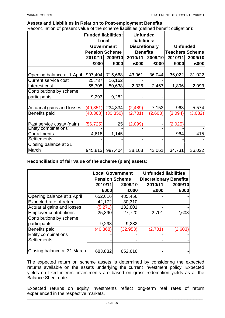|                             | <b>Funded liabilities:</b> |           | <b>Unfunded</b>      |         |                        |         |
|-----------------------------|----------------------------|-----------|----------------------|---------|------------------------|---------|
|                             | Local                      |           | liabilities:         |         |                        |         |
|                             | <b>Government</b>          |           | <b>Discretionary</b> |         | <b>Unfunded</b>        |         |
|                             | <b>Pension Scheme</b>      |           | <b>Benefits</b>      |         | <b>Teachers Scheme</b> |         |
|                             | 2010/11                    | 2009/10   | 2010/11              | 2009/10 | 2010/11                | 2009/10 |
|                             | £000                       | £000      | £000                 | £000    | £000                   | £000    |
|                             |                            |           |                      |         |                        |         |
| Opening balance at 1 April  | 997,404                    | 715,668   | 43,061               | 36,044  | 36,022                 | 31,022  |
| <b>Current service cost</b> | 25,737                     | 16,162    |                      |         |                        |         |
| Interest cost               | 55,705                     | 50,638    | 2,336                | 2,467   | 1,896                  | 2,093   |
| Contributions by scheme     |                            |           |                      |         |                        |         |
| participants                | 9,293                      | 9,282     |                      |         |                        |         |
|                             |                            |           |                      |         |                        |         |
| Actuarial gains and losses  | (49, 851)                  | 234,834   | (2,489)              | 7,153   | 968                    | 5,574   |
| <b>Benefits paid</b>        | (40,368)                   | (30, 350) | (2,701)              | (2,603) | (3,094)                | (3,082) |
|                             |                            |           |                      |         |                        |         |
| Past service costs/ (gain)  | (56, 725)                  | 25        | (2,099)              |         | (2,025)                |         |
| <b>Entity combinations</b>  |                            |           |                      |         |                        |         |
| <b>Curtailments</b>         | 4,618                      | 1,145     |                      |         | 964                    | 415     |
| <b>Settlements</b>          |                            |           |                      |         |                        |         |
| Closing balance at 31       |                            |           |                      |         |                        |         |
| March                       | 945,813                    | 997,404   | 38,108               | 43,061  | 34,731                 | 36,022  |

**Assets and Liabilities in Relation to Post-employment Benefits** Reconciliation of present value of the scheme liabilities (defined benefit obligation):

**Reconciliation of fair value of the scheme (plan) assets:**

|                               | <b>Local Government</b><br><b>Pension Scheme</b> |           | <b>Unfunded liabilities</b><br><b>Discretionary Benefits</b> |         |
|-------------------------------|--------------------------------------------------|-----------|--------------------------------------------------------------|---------|
|                               | 2010/11                                          | 2009/10   | 2010/11                                                      | 2009/10 |
|                               | £000                                             | £000      | £000                                                         | £000    |
| Opening balance at 1 April    | 652,616                                          | 485,456   |                                                              |         |
| Expected rate of return       | 42,172                                           | 30,310    |                                                              |         |
| Actuarial gains and losses    | (5,271)                                          | 132,801   |                                                              |         |
| <b>Employer contributions</b> | 25,390                                           | 27,720    | 2,701                                                        | 2,603   |
| Contributions by scheme       |                                                  |           |                                                              |         |
| participants                  | 9,293                                            | 9,282     |                                                              |         |
| <b>Benefits paid</b>          | (40, 368)                                        | (32, 953) | (2,701)                                                      | (2,603) |
| <b>Entity combinations</b>    |                                                  |           |                                                              |         |
| <b>Settlements</b>            |                                                  |           |                                                              |         |
| Closing balance at 31 March   | 683,832                                          | 652,616   |                                                              |         |

The expected return on scheme assets is determined by considering the expected returns available on the assets underlying the current investment policy. Expected yields on fixed interest investments are based on gross redemption yields as at the Balance Sheet date.

Expected returns on equity investments reflect long-term real rates of return experienced in the respective markets.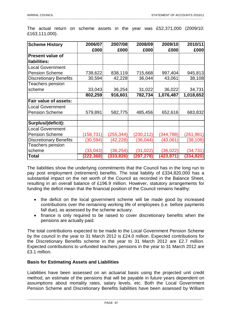| <b>Scheme History</b>         | 2006/07    | 2007/08    | 2008/09    | 2009/10    | 2010/11    |
|-------------------------------|------------|------------|------------|------------|------------|
|                               | £000       | £000       | £000       | £000       | £000       |
| <b>Present value of</b>       |            |            |            |            |            |
| liabilities:                  |            |            |            |            |            |
| <b>Local Government</b>       |            |            |            |            |            |
| <b>Pension Scheme</b>         | 738,622    | 838,119    | 715,668    | 997,404    | 945,813    |
| <b>Discretionary Benefits</b> | 30,594     | 42,228     | 36,044     | 43,061     | 38,108     |
| <b>Teachers pension</b>       |            |            |            |            |            |
| scheme                        | 33,043     | 36,254     | 31,022     | 36,022     | 34,731     |
|                               | 802,259    | 916,601    | 782,734    | 1,076,487  | 1,018,652  |
| <b>Fair value of assets:</b>  |            |            |            |            |            |
| <b>Local Government</b>       |            |            |            |            |            |
| <b>Pension Scheme</b>         | 579,891    | 582,775    | 485,456    | 652,616    | 683,832    |
|                               |            |            |            |            |            |
| Surplus/(deficit):            |            |            |            |            |            |
| <b>Local Government</b>       |            |            |            |            |            |
| <b>Pension Scheme</b>         | (158, 731) | (255, 344) | (230, 212) | (344, 788) | (261, 981) |
| <b>Discretionary Benefits</b> | (30, 594)  | (42, 228)  | (36, 044)  | (43,061)   | (38, 108)  |
| <b>Teachers pension</b>       |            |            |            |            |            |
| scheme                        | (33, 043)  | (36, 254)  | (31, 022)  | (36, 022)  | (34, 731)  |
| <b>Total</b>                  | (222, 368) | (333,826)  | (297,278)  | (423,87    | (334, 820) |

The actual return on scheme assets in the year was £52,371,000 (2009/10: £163,111,000).

The liabilities show the underlying commitments that the Council has in the long run to pay post employment (retirement) benefits. The total liability of £334,820,000 has a substantial impact on the net worth of the Council as recorded in the Balance Sheet, resulting in an overall balance of £196.9 million. However, statutory arrangements for funding the deficit mean that the financial position of the Council remains healthy:

- the deficit on the local government scheme will be made good by increased contributions over the remaining working life of employees (i.e. before payments fall due), as assessed by the scheme actuary.
- finance is only required to be raised to cover discretionary benefits when the pensions are actually paid.

The total contributions expected to be made to the Local Government Pension Scheme by the council in the year to 31 March 2012 is £24.0 million. Expected contributions for the Discretionary Benefits scheme in the year to 31 March 2012 are £2.7 million. Expected contributions to unfunded teachers pensions in the year to 31 March 2012 are £3.1 million.

# **Basis for Estimating Assets and Liabilities**

Liabilities have been assessed on an actuarial basis using the projected unit credit method, an estimate of the pensions that will be payable in future years dependent on assumptions about mortality rates, salary levels, etc. Both the Local Government Pension Scheme and Discretionary Benefits liabilities have been assessed by William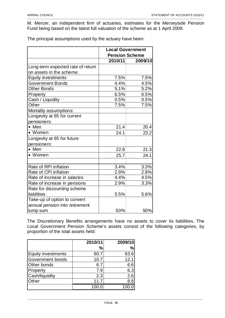M. Mercer, an independent firm of actuaries, estimates for the Merseyside Pension Fund being based on the latest full valuation of the scheme as at 1 April 2009.

The principal assumptions used by the actuary have been:

|                                   | <b>Local Government</b><br><b>Pension Scheme</b> |                   |
|-----------------------------------|--------------------------------------------------|-------------------|
|                                   | 2010/11                                          | 2009/10           |
| Long-term expected rate of return |                                                  |                   |
| on assets in the scheme:          |                                                  |                   |
| <b>Equity investments</b>         | 7.5%                                             | 7.5%              |
| Government Bonds                  | 4.4%                                             | 4.5%              |
| <b>Other Bonds</b>                | 5.1%                                             | 5.2%              |
| Property                          | 6.5%                                             | 6.5%              |
| Cash / Liquidity                  | 0.5%                                             | 0.5%              |
| Other                             | 7.5%                                             | 7.5%              |
| Mortality assumptions:            |                                                  |                   |
| Longevity at 65 for current       |                                                  |                   |
| pensioners:                       |                                                  |                   |
| Men                               | 21.4                                             | 20.4              |
| • Women                           | 24.1                                             | 23.2              |
| Longevity at 65 for future        |                                                  |                   |
| pensioners:                       |                                                  |                   |
| Men                               | 22.8                                             | <u>21.3</u>       |
| • Women                           | 25.7                                             | $\overline{24.1}$ |
|                                   |                                                  |                   |
| Rate of RPI inflation             | 3.4%                                             | 3.3%              |
| Rate of CPI inflation             | 2.9%                                             | 2.8%              |
| Rate of increase in salaries      | 4.4%                                             | 4.5%              |
| Rate of increase in pensions      | 2.9%                                             | 3.3%              |
| Rate for discounting scheme       |                                                  |                   |
| liabilities                       | 5.5%                                             | 5.6%              |
| Take-up of option to convert      |                                                  |                   |
| annual pension into retirement    |                                                  |                   |
| lump sum                          | 50%                                              | 50%               |

The Discretionary Benefits arrangements have no assets to cover its liabilities. The Local Government Pension Scheme's assets consist of the following categories, by proportion of the total assets held:

|                           | 2010/11       | 2009/10       |
|---------------------------|---------------|---------------|
|                           | $\frac{0}{0}$ | $\frac{0}{0}$ |
| <b>Equity investments</b> | 60.7          | 63.6          |
| Government bonds          | 10.7          | 12.1          |
| Other bonds               | 6.7           | 6.6           |
| Property                  | 7.9           | 6.3           |
| Cash/liquidity            | 2.3           | 2.6           |
| Other                     | 11.7          | 8.8           |
|                           |               |               |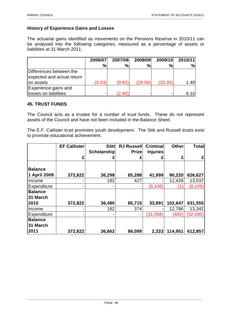# **History of Experience Gains and Losses**

The actuarial gains identified as movements on the Pensions Reserve in 2010/11 can be analysed into the following categories, measured as a percentage of assets or liabilities at 31 March 2011:

|                            | 2006/07 | 2007/08 | 2008/09 | 2009/10 | 2010/11 |
|----------------------------|---------|---------|---------|---------|---------|
|                            | $\%$    | %       | $\%$    | %       | %       |
| Differences between the    |         |         |         |         |         |
| expected and actual return |         |         |         |         |         |
| on assets                  | (0.03)  | (9.82)  | (29.56) | (20.35) | 1.49    |
| Experience gains and       |         |         |         |         |         |
| losses on liabilities      |         | (2.40)  |         |         | 6.10    |

# **45. TRUST FUNDS**

The Council acts as a trustee for a number of trust funds. These do not represent assets of the Council and have not been included in the Balance Sheet.

The E.F. Callister trust promotes youth development. The Stitt and Russell trusts exist to promote educational achievement.

|                | <b>EF Callister</b> | <b>Stitt</b>       | <b>RJ Russell</b> | <b>Criminal</b> | <b>Other</b> | <b>Total</b> |
|----------------|---------------------|--------------------|-------------------|-----------------|--------------|--------------|
|                |                     | <b>Scholarship</b> | <b>Prize</b>      | <b>Injuries</b> |              |              |
|                | £                   | £                  |                   |                 | £            |              |
|                |                     |                    |                   |                 |              |              |
| <b>Balance</b> |                     |                    |                   |                 |              |              |
| 1 April 2009   | 372,822             | 36,298             | 85,288            | 41,999          | 90,220       | 626,627      |
| Income         |                     | 182                | 427               |                 | 12,428       | 13,037       |
| Expenditure    |                     |                    |                   | (8, 108)        |              | (8, 109)     |
| <b>Balance</b> |                     |                    |                   |                 |              |              |
| 31 March       |                     |                    |                   |                 |              |              |
| 2010           | 372,822             | 36,480             | 85,715            | 33,891          | 102,647      | 631,555      |
| Income         |                     | 182                | 374               |                 | 12,786       | 13,342       |
| Expenditure    |                     |                    |                   | (31, 558)       | (482)        | (32, 040)    |
| <b>Balance</b> |                     |                    |                   |                 |              |              |
| 31 March       |                     |                    |                   |                 |              |              |
| 2011           | 372,822             | 36,662             | 86,089            | 2,333           | 114,951      | 612,857      |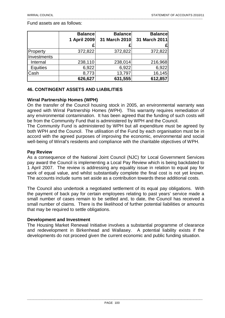### Fund assets are as follows:

|                 | <b>Balance</b> | <b>Balance</b> | <b>Balance</b> |  |  |
|-----------------|----------------|----------------|----------------|--|--|
|                 | 1 April 2009   | 31 March 2010  | 31 March 2011  |  |  |
|                 |                |                |                |  |  |
| Property        | 372,822        | 372,822        | 372,822        |  |  |
| Investments     |                |                |                |  |  |
| Internal        | 238,110        | 238,014        | 216,968        |  |  |
| <b>Equities</b> | 6,922          | 6,922          | 6,922          |  |  |
| Cash            | 8,773          | 13,797         | 16,145         |  |  |
|                 | 626,627        | 631,555        | 612,857        |  |  |

# **46. CONTINGENT ASSETS AND LIABILITIES**

# **Wirral Partnership Homes (WPH)**

On the transfer of the Council housing stock in 2005, an environmental warranty was agreed with Wirral Partnership Homes (WPH). This warranty requires remediation of any environmental contamination. It has been agreed that the funding of such costs will be from the Community Fund that is administered by WPH and the Council.

The Community Fund is administered by WPH but all expenditure must be agreed by both WPH and the Council. The utilisation of the Fund by each organisation must be in accord with the agreed purposes of improving the economic, environmental and social well-being of Wirral's residents and compliance with the charitable objectives of WPH.

# **Pay Review**

As a consequence of the National Joint Council (NJC) for Local Government Services pay award the Council is implementing a Local Pay Review which is being backdated to 1 April 2007. The review is addressing any equality issue in relation to equal pay for work of equal value, and whilst substantially complete the final cost is not yet known. The accounts include sums set aside as a contribution towards these additional costs.

The Council also undertook a negotiated settlement of its equal pay obligations. With the payment of back pay for certain employees relating to past years' service made a small number of cases remain to be settled and, to date, the Council has received a small number of claims. There is the likelihood of further potential liabilities or amounts that may be required to settle obligations.

### **Development and Investment**

The Housing Market Renewal Initiative involves a substantial programme of clearance and redevelopment in Birkenhead and Wallasey. A potential liability exists if the developments do not proceed given the current economic and public funding situation.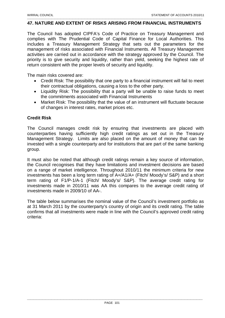#### **47. NATURE AND EXTENT OF RISKS ARISING FROM FINANCIAL INSTRUMENTS**

The Council has adopted CIPFA's Code of Practice on Treasury Management and complies with The Prudential Code of Capital Finance for Local Authorities. This includes a Treasury Management Strategy that sets out the parameters for the management of risks associated with Financial Instruments. All Treasury Management activities are carried out in accordance with the strategy approved by the Council. The priority is to give security and liquidity, rather than yield, seeking the highest rate of return consistent with the proper levels of security and liquidity.

The main risks covered are:

- Credit Risk: The possibility that one party to a financial instrument will fail to meet their contractual obligations, causing a loss to the other party.
- Liquidity Risk: The possibility that a party will be unable to raise funds to meet the commitments associated with Financial Instruments
- Market Risk: The possibility that the value of an instrument will fluctuate because of changes in interest rates, market prices etc.

# **Credit Risk**

The Council manages credit risk by ensuring that investments are placed with counterparties having sufficiently high credit ratings as set out in the Treasury Management Strategy. Limits are also placed on the amount of money that can be invested with a single counterparty and for institutions that are part of the same banking group.

It must also be noted that although credit ratings remain a key source of information, the Council recognises that they have limitations and investment decisions are based on a range of market intelligence. Throughout 2010/11 the minimum criteria for new investments has been a long term rating of A+/A1/A+ (Fitch/ Moody's/ S&P) and a short term rating of F1/P-1/A-1 (Fitch/ Moody's/ S&P). The average credit rating for investments made in 2010/11 was AA this compares to the average credit rating of investments made in 2009/10 of AA-.

The table below summarises the nominal value of the Council's investment portfolio as at 31 March 2011 by the counterparty's country of origin and its credit rating. The table confirms that all investments were made in line with the Council's approved credit rating criteria: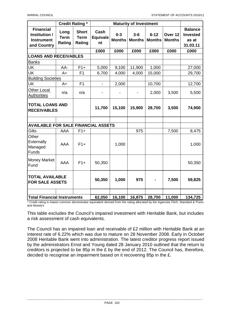|                                                                       |                               | <b>Credit Rating *</b>                | <b>Maturity of Investment</b> |                          |                        |                           |                          |                                                        |
|-----------------------------------------------------------------------|-------------------------------|---------------------------------------|-------------------------------|--------------------------|------------------------|---------------------------|--------------------------|--------------------------------------------------------|
| <b>Financial</b><br>Institution /<br><b>Instrument</b><br>and Country | Long<br><b>Term</b><br>Rating | <b>Short</b><br><b>Term</b><br>Rating | Cash<br><b>Equivale</b><br>nt | $0 - 3$<br><b>Months</b> | $3-6$<br><b>Months</b> | $6 - 12$<br><b>Months</b> | Over 12<br><b>Months</b> | <b>Balance</b><br><b>Invested</b><br>as at<br>31.03.11 |
|                                                                       |                               |                                       | £000                          | £000                     | £000                   | £000                      | £000                     | £000                                                   |
| <b>LOANS AND RECEIVABLES</b>                                          |                               |                                       |                               |                          |                        |                           |                          |                                                        |
| <b>Banks</b>                                                          |                               |                                       |                               |                          |                        |                           |                          |                                                        |
| UK                                                                    | AA-                           | $F1+$                                 | 5,000                         | 9,100                    | 11,900                 | 1,000                     |                          | 27,000                                                 |
| <b>UK</b>                                                             | $A+$                          | F <sub>1</sub>                        | 6,700                         | 4,000                    | 4,000                  | 15,000                    |                          | 29,700                                                 |
| <b>Building Societies</b>                                             |                               |                                       |                               |                          |                        |                           |                          |                                                        |
| <b>UK</b>                                                             | $A+$                          | F <sub>1</sub>                        |                               | 2,000                    |                        | 10,700                    |                          | 12,700                                                 |
| Other Local<br><b>Authorities</b>                                     | n/a                           | n/a                                   |                               |                          |                        | 2,000                     | 3,500                    | 5,500                                                  |
| <b>TOTAL LOANS AND</b><br><b>RECEIVABLES</b>                          |                               |                                       | 11,700                        | 15,100                   | 15,900                 | 28,700                    | 3,500                    | 74,900                                                 |
| <b>AVAILABLE FOR SALE FINANCIAL ASSETS</b>                            |                               |                                       |                               |                          |                        |                           |                          |                                                        |
| Gilts                                                                 | AAA                           | $F1+$                                 |                               |                          | 975                    |                           | 7,500                    | 8,475                                                  |
| Other<br><b>Externally</b><br>Managed<br>Funds                        | <b>AAA</b>                    | $F1+$                                 |                               | 1,000                    |                        |                           |                          | 1,000                                                  |
| Money Market<br>Fund                                                  | <b>AAA</b>                    | $F1+$                                 | 50,350                        |                          |                        |                           |                          | 50,350                                                 |
| <b>TOTAL AVAILABLE</b><br><b>FOR SALE ASSETS</b>                      |                               | 50,350                                | 1,000                         | 975                      |                        | 7,500                     | 59,825                   |                                                        |
| <b>Total Financial Instruments</b>                                    |                               |                                       | 62,050                        | 16,100                   | 16,875                 | 28,700                    | 11,000                   | 134,725                                                |

\* Credit rating is lowest common denominator equivalent derived from the rating allocated by the Agencies Fitch, Standard & Poors and Moody's

This table excludes the Council's impaired investment with Heritable Bank, but includes a risk assessment of cash equivalents.

The Council has an impaired loan and receivable of £2 million with Heritable Bank at an interest rate of 6.22% which was due to mature on 28 November 2008. Early in October 2008 Heritable Bank went into administration. The latest creditor progress report issued by the administrators Ernst and Young dated 28 January 2010 outlined that the return to creditors is projected to be 85p in the £ by the end of 2012. The Council has, therefore, decided to recognise an impairment based on it recovering 85p in the £.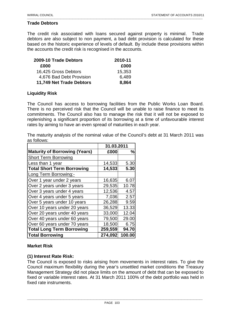#### **Trade Debtors**

The credit risk associated with loans secured against property is minimal. Trade debtors are also subject to non payment, a bad debt provision is calculated for these based on the historic experience of levels of default. By include these provisions within the accounts the credit risk is recognised in the accounts.

| 2009-10 Trade Debtors    | 2010-11 |
|--------------------------|---------|
| £000                     | £000    |
| 16,425 Gross Debtors     | 15,353  |
| 4,676 Bad Debt Provision | 6,489   |
| 11,749 Net Trade Debtors | 8,864   |

# **Liquidity Risk**

The Council has access to borrowing facilities from the Public Works Loan Board. There is no perceived risk that the Council will be unable to raise finance to meet its commitments. The Council also has to manage the risk that it will not be exposed to replenishing a significant proportion of its borrowing at a time of unfavourable interest rates by aiming to have an even spread of maturities in each year.

The maturity analysis of the nominal value of the Council's debt at 31 March 2011 was as follows:

|                                      | 31.03.2011 |        |  |
|--------------------------------------|------------|--------|--|
| <b>Maturity of Borrowing (Years)</b> | £000       | %      |  |
| Short Term Borrowing                 |            |        |  |
| Less than 1 year                     | 14,533     | 5.30   |  |
| <b>Total Short Term Borrowing</b>    | 14,533     | 5.30   |  |
| Long Term Borrowing:-                |            |        |  |
| Over 1 year under 2 years            | 16,635     | 6.07   |  |
| Over 2 years under 3 years           | 29,535     | 10.78  |  |
| Over 3 years under 4 years           | 12,536     | 4.57   |  |
| Over 4 years under 5 years           | 7,036      | 2.57   |  |
| Over 5 years under 10 years          | 26,288     | 9.59   |  |
| Over 10 years under 20 years         | 36,529     | 13.33  |  |
| Over 20 years under 40 years         | 33,000     | 12.04  |  |
| Over 40 years under 60 years         | 79,500     | 29.00  |  |
| Over 60 years under 70 years         | 18,500     | 6.75   |  |
| <b>Total Long Term Borrowing</b>     | 259,559    | 94.70  |  |
| <b>Total Borrowing</b>               | 274,092    | 100.00 |  |

## **Market Risk**

# **(1) Interest Rate Risk:**

The Council is exposed to risks arising from movements in interest rates. To give the Council maximum flexibility during the year's unsettled market conditions the Treasury Management Strategy did not place limits on the amount of debt that can be exposed to fixed or variable interest rates. At 31 March 2011 100% of the debt portfolio was held in fixed rate instruments.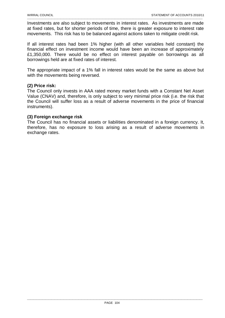Investments are also subject to movements in interest rates. As investments are made at fixed rates, but for shorter periods of time, there is greater exposure to interest rate movements. This risk has to be balanced against actions taken to mitigate credit risk.

If all interest rates had been 1% higher (with all other variables held constant) the financial effect on investment income would have been an increase of approximately £1,350,000. There would be no effect on interest payable on borrowings as all borrowings held are at fixed rates of interest.

The appropriate impact of a 1% fall in interest rates would be the same as above but with the movements being reversed.

# **(2) Price risk:**

The Council only invests in AAA rated money market funds with a Constant Net Asset Value (CNAV) and, therefore, is only subject to very minimal price risk (i.e. the risk that the Council will suffer loss as a result of adverse movements in the price of financial instruments).

# **(3) Foreign exchange risk**

The Council has no financial assets or liabilities denominated in a foreign currency. It, therefore, has no exposure to loss arising as a result of adverse movements in exchange rates.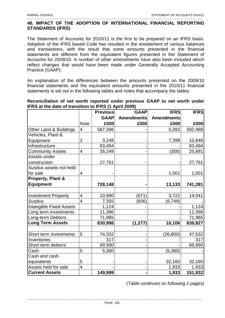### **48. IMPACT OF THE ADOPTION OF INTERNATIONAL FINANCIAL REPORTING STANDARDS (IFRS)**

The Statement of Accounts for 2010/11 is the first to be prepared on an IFRS basis. Adoption of the IFRS based Code has resulted in the restatement of various balances and transactions, with the result that some amounts presented in the financial statements are different from the equivalent figures presented in the Statement of Accounts for 2009/10. A number of other amendments have also been included which reflect changes that would have been made under Generally Accepted Accounting Practice (GAAP).

An explanation of the differences between the amounts presented on the 2009/10 financial statements and the equivalent amounts presented in the 2010/11 financial statements is set out in the following tables and notes that accompany the tables.

| Reconciliation of net worth reported under previous GAAP to net worth under |  |  |  |  |
|-----------------------------------------------------------------------------|--|--|--|--|
| IFRS at the date of transition to IFRS (1 April 2009)                       |  |  |  |  |

|                                |                | <b>Previous</b> | <b>GAAP</b>       | <b>IFRS</b>       | <b>IFRS</b> |
|--------------------------------|----------------|-----------------|-------------------|-------------------|-------------|
|                                |                | <b>GAAP</b>     | <b>Amendments</b> | <b>Amendments</b> |             |
|                                | <b>Note</b>    | £000            | £000              | £000              | £000        |
| Other Land & Buildings         | 4              | 587,396         |                   | 5,092             | 592,488     |
| Vehicles, Plant &              |                |                 |                   |                   |             |
| Equipment                      | $\overline{2}$ | 3,248           |                   | 7,398             | 10,646      |
| Infrastructure                 |                | 83,494          |                   |                   | 83,494      |
| <b>Community Assets</b>        | 4              | 26,249          |                   | (358)             | 25,891      |
| Assets under                   |                |                 |                   |                   |             |
| construction                   |                | 27,761          |                   |                   | 27,761      |
| Surplus assets not held        |                |                 |                   |                   |             |
| for sale                       | 4              |                 |                   | 1,001             | 1,001       |
| Property, Plant &              |                |                 |                   |                   |             |
| <b>Equipment</b>               |                | 728,148         |                   | 13,133            | 741,281     |
|                                |                |                 |                   |                   |             |
| <b>Investment Property</b>     | 4              | 10,990          | (671)             | 3,722             | 14,041      |
| <b>Surplus</b>                 | 4              | 7,355           | (606)             | (6, 749)          |             |
| <b>Intangible Fixed Assets</b> |                | 1,124           |                   |                   | 1,124       |
| Long term investments          |                | 11,396          |                   |                   | 11,396      |
| Long-term Debtors              |                | 71,985          |                   |                   | 71,985      |
| <b>Long Term Assets</b>        |                | 830,998         | (1, 277)          | 10,106            | 839,827     |
|                                |                |                 |                   |                   |             |
| Short term investments         | 5              | 74,332          |                   | (26, 800)         | 47,532      |
| Inventories                    |                | 317             |                   |                   | 317         |
| Short term debtors             |                | 69,990          |                   |                   | 69,990      |
| Cash                           | 5              | 5,360           |                   | (5,360)           |             |
| Cash and cash                  |                |                 |                   |                   |             |
| equivalents                    | 5              |                 |                   | 32,160            | 32,160      |
| Assets held for sale           | 4              |                 |                   | 1,933             | 1,933       |
| <b>Current Assets</b>          |                | 149,999         |                   | 1,933             | 151,932     |

*(Table continues on following 2 pages)*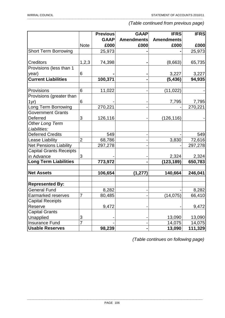*(Table continued from previous page)*

|                                |                | <b>Previous</b> | <b>GAAP</b>       | <b>IFRS</b>       | <b>IFRS</b> |
|--------------------------------|----------------|-----------------|-------------------|-------------------|-------------|
|                                |                | <b>GAAP</b>     | <b>Amendments</b> | <b>Amendments</b> |             |
|                                | <b>Note</b>    | £000            | £000              | £000              | £000        |
| <b>Short Term Borrowing</b>    |                | 25,973          |                   |                   | 25,973      |
|                                |                |                 |                   |                   |             |
| <b>Creditors</b>               | 1,2,3          | 74,398          |                   | (8,663)           | 65,735      |
| Provisions (less than 1        |                |                 |                   |                   |             |
| year)                          | 6              |                 |                   | 3,227             | 3,227       |
| <b>Current Liabilities</b>     |                | 100,371         |                   | (5, 436)          | 94,935      |
|                                |                |                 |                   |                   |             |
| Provisions                     | 6              | 11,022          |                   | (11, 022)         |             |
| Provisions (greater than       |                |                 |                   |                   |             |
| 1yr)                           | 6              |                 |                   | 7,795             | 7,795       |
| <b>Long Term Borrowing</b>     |                | 270,221         |                   |                   | 270,221     |
| <b>Government Grants</b>       |                |                 |                   |                   |             |
| Deferred                       | 3              | 126,116         |                   | (126, 116)        |             |
| <b>Other Long Term</b>         |                |                 |                   |                   |             |
| Liabilities:                   |                |                 |                   |                   |             |
| <b>Deferred Credits</b>        |                | 549             |                   |                   | 549         |
| Lease Liability                | $\overline{2}$ | 68,786          |                   | 3,830             | 72,616      |
| <b>Net Pensions Liability</b>  |                | 297,278         |                   |                   | 297,278     |
| <b>Capital Grants Receipts</b> |                |                 |                   |                   |             |
| in Advance                     | 3              |                 |                   | 2,324             | 2,324       |
| <b>Long Term Liabilities</b>   |                | 773,972         |                   | (123, 189)        | 650,783     |
|                                |                |                 |                   |                   |             |
| <b>Net Assets</b>              |                | 106,654         | (1, 277)          | 140,664           | 246,041     |
| <b>Represented By:</b>         |                |                 |                   |                   |             |
| <b>General Fund</b>            |                | 8,282           |                   |                   | 8,282       |
| <b>Earmarked reserves</b>      | 7              | 80,485          |                   | (14, 075)         | 66,410      |
| <b>Capital Receipts</b>        |                |                 |                   |                   |             |
| Reserve                        |                | 9,472           |                   |                   |             |
| <b>Capital Grants</b>          |                |                 |                   |                   | 9,472       |
| Unapplied                      | 3              |                 |                   | 13,090            | 13,090      |
| <b>Insurance Fund</b>          | $\overline{7}$ |                 |                   | 14,075            | 14,075      |
| <b>Usable Reserves</b>         |                | 98,239          |                   | 13,090            | 111,329     |

*(Table continues on following page)*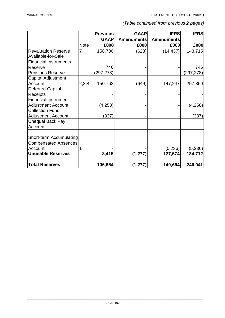*(Table continued from previous 2 pages)*

|                              |             | <b>Previous</b> | <b>GAAP</b>       | <b>IFRS</b>       | <b>IFRS</b> |
|------------------------------|-------------|-----------------|-------------------|-------------------|-------------|
|                              |             | <b>GAAP</b>     | <b>Amendments</b> | <b>Amendments</b> |             |
|                              | <b>Note</b> | £000            | £000              | £000              | £000        |
| <b>Revaluation Reserve</b>   | 7           | 158,780         | (628)             | (14,437)          | 143,715     |
| Available-for-Sale           |             |                 |                   |                   |             |
| <b>Financial Instruments</b> |             |                 |                   |                   |             |
| Reserve                      |             | 746             |                   |                   | 746         |
| <b>Pensions Reserve</b>      |             | (297, 278)      |                   |                   | (297, 278)  |
| Capital Adjustment           |             |                 |                   |                   |             |
| Account                      | 2,3,4       | 150,762         | (649)             | 147,247           | 297,360     |
| <b>Deferred Capital</b>      |             |                 |                   |                   |             |
| Receipts                     |             |                 |                   |                   |             |
| <b>Financial Instrument</b>  |             |                 |                   |                   |             |
| <b>Adjustment Account</b>    |             | (4,258)         |                   |                   | (4, 258)    |
| <b>Collection Fund</b>       |             |                 |                   |                   |             |
| <b>Adjustment Account</b>    |             | (337)           |                   |                   | (337)       |
| <b>Unequal Back Pay</b>      |             |                 |                   |                   |             |
| Account                      |             |                 |                   |                   |             |
|                              |             |                 |                   |                   |             |
| Short-term Accumulating      |             |                 |                   |                   |             |
| Compensated Absences         |             |                 |                   |                   |             |
| Account                      |             |                 |                   | (5, 236)          | (5,236)     |
| <b>Unusable Reserves</b>     |             | 8,415           | (1, 277)          | 127,574           | 134,712     |
| <b>Total Reserves</b>        |             | 106,654         | (1, 277)          | 140,664           | 246,041     |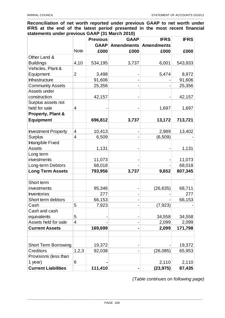**Reconciliation of net worth reported under previous GAAP to net worth under IFRS at the end of the latest period presented in the most recent financial statements under previous GAAP (31 March 2010)**

|                              |                | <b>Previous</b> | <b>GAAP</b> | <b>IFRS</b>           | <b>IFRS</b> |
|------------------------------|----------------|-----------------|-------------|-----------------------|-------------|
|                              |                | <b>GAAP</b>     |             | Amendments Amendments |             |
|                              | <b>Note</b>    | £000            | £000        | £000                  | £000        |
| Other Land &                 |                |                 |             |                       |             |
| <b>Buildings</b>             | 4,10           | 534,195         | 3,737       | 6,001                 | 543,933     |
| Vehicles, Plant &            |                |                 |             |                       |             |
| Equipment                    | $\overline{2}$ | 3,498           |             | 5,474                 | 8,972       |
| Infrastructure               |                | 91,606          |             |                       | 91,606      |
| <b>Community Assets</b>      |                | 25,356          |             |                       | 25,356      |
| Assets under                 |                |                 |             |                       |             |
| construction                 |                | 42,157          |             |                       | 42,157      |
| Surplus assets not           |                |                 |             |                       |             |
| held for sale                | 4              |                 |             | 1,697                 | 1,697       |
| <b>Property, Plant &amp;</b> |                |                 |             |                       |             |
| <b>Equipment</b>             |                | 696,812         | 3,737       | 13,172                | 713,721     |
|                              |                |                 |             |                       |             |
| <b>Investment Property</b>   | 4              | 10,413          |             | 2,989                 | 13,402      |
| <b>Surplus</b>               | 4              | 6,509           |             | (6, 509)              |             |
| Intangible Fixed             |                |                 |             |                       |             |
| <b>Assets</b>                |                | 1,131           |             |                       | 1,131       |
| Long term                    |                |                 |             |                       |             |
| investments                  |                | 11,073          |             |                       | 11,073      |
| Long-term Debtors            |                | 68,018          |             |                       | 68,018      |
| <b>Long Term Assets</b>      |                | 793,956         | 3,737       | 9,652                 | 807,345     |
|                              |                |                 |             |                       |             |
| Short term                   |                |                 |             |                       |             |
| investments                  |                | 95,346          |             | (26, 635)             | 68,711      |
| Inventories                  |                | 277             |             |                       | 277         |
| Short term debtors           |                | 66,153          |             |                       | 66,153      |
| Cash                         | 5              | 7,923           |             | (7, 923)              |             |
| Cash and cash                |                |                 |             |                       |             |
| equivalents                  | 5              |                 |             | 34,558                | 34,558      |
| Assets held for sale         | 4              |                 |             | 2,099                 | 2,099       |
| <b>Current Assets</b>        |                | 169,699         |             | 2,099                 | 171,798     |
|                              |                |                 |             |                       |             |
|                              |                |                 |             |                       |             |
| <b>Short Term Borrowing</b>  |                | 19,372          |             |                       | 19,372      |
| <b>Creditors</b>             | 1,2,3          | 92,038          |             | (26, 085)             | 65,953      |
| Provisions (less than        |                |                 |             |                       |             |
| 1 year)                      | 6              |                 |             | 2,110                 | 2,110       |
| <b>Current Liabilities</b>   |                | 111,410         |             | (23, 975)             | 87,435      |

*(Table continues on following page)*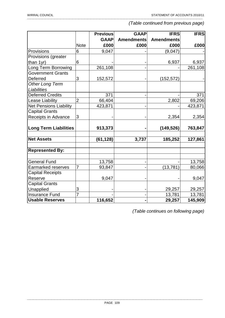*(Table continued from previous page)*

|                               |                | <b>Previous</b> | <b>GAAP</b>       | <b>IFRS</b>       | <b>IFRS</b> |
|-------------------------------|----------------|-----------------|-------------------|-------------------|-------------|
|                               |                | <b>GAAP</b>     | <b>Amendments</b> | <b>Amendments</b> |             |
|                               | <b>Note</b>    | £000            | £000              | £000              | £000        |
| Provisions                    | 6              | 9,047           |                   | (9,047)           |             |
| Provisions (greater           |                |                 |                   |                   |             |
| than $1yr$ )                  | 6              |                 |                   | 6,937             | 6,937       |
| Long Term Borrowing           |                | 261,108         |                   |                   | 261,108     |
| <b>Government Grants</b>      |                |                 |                   |                   |             |
| Deferred                      | 3              | 152,572         |                   | (152, 572)        |             |
| <b>Other Long Term</b>        |                |                 |                   |                   |             |
| Liabilities                   |                |                 |                   |                   |             |
| <b>Deferred Credits</b>       |                | 371             |                   |                   | 371         |
| Lease Liability               | $\overline{2}$ | 66,404          |                   | 2,802             | 69,206      |
| <b>Net Pensions Liability</b> |                | 423,871         |                   |                   | 423,871     |
| <b>Capital Grants</b>         |                |                 |                   |                   |             |
| Receipts in Advance           | 3              |                 |                   | 2,354             | 2,354       |
|                               |                |                 |                   |                   |             |
| <b>Long Term Liabilities</b>  |                | 913,373         |                   | (149, 526)        | 763,847     |
|                               |                |                 |                   |                   |             |
| <b>Net Assets</b>             |                | (61, 128)       | 3,737             | 185,252           | 127,861     |
| <b>Represented By:</b>        |                |                 |                   |                   |             |
|                               |                |                 |                   |                   |             |
| <b>General Fund</b>           |                | 13,758          |                   |                   | 13,758      |
| <b>Earmarked reserves</b>     | 7              | 93,847          |                   | (13, 781)         | 80,066      |
| <b>Capital Receipts</b>       |                |                 |                   |                   |             |
| Reserve                       |                | 9,047           |                   |                   | 9,047       |
| <b>Capital Grants</b>         |                |                 |                   |                   |             |
| Unapplied                     | 3              |                 |                   | 29,257            | 29,257      |
| <b>Insurance Fund</b>         | 7              |                 |                   | 13,781            | 13,781      |
| <b>Usable Reserves</b>        |                | 116,652         |                   | 29,257            | 145,909     |

*(Table continues on following page)*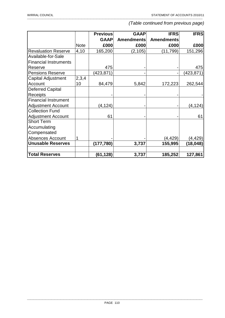*(Table continued from previous page)*

|                              |             | <b>Previous</b> | <b>GAAP</b>       | <b>IFRS</b>       | <b>IFRS</b> |
|------------------------------|-------------|-----------------|-------------------|-------------------|-------------|
|                              |             | <b>GAAP</b>     | <b>Amendments</b> | <b>Amendments</b> |             |
|                              | <b>Note</b> | £000            | £000              | £000              | £000        |
| <b>Revaluation Reserve</b>   | 4,10        | 165,200         | (2, 105)          | (11,799)          | 151,296     |
| Available-for-Sale           |             |                 |                   |                   |             |
| <b>Financial Instruments</b> |             |                 |                   |                   |             |
| Reserve                      |             | 475             |                   |                   | 475         |
| <b>Pensions Reserve</b>      |             | (423, 871)      |                   |                   | (423, 871)  |
| Capital Adjustment           | 2,3,4       |                 |                   |                   |             |
| Account                      | 10          | 84,479          | 5,842             | 172,223           | 262,544     |
| <b>Deferred Capital</b>      |             |                 |                   |                   |             |
| Receipts                     |             |                 |                   |                   |             |
| <b>Financial Instrument</b>  |             |                 |                   |                   |             |
| <b>Adjustment Account</b>    |             | (4, 124)        |                   |                   | (4, 124)    |
| <b>Collection Fund</b>       |             |                 |                   |                   |             |
| <b>Adjustment Account</b>    |             | 61              |                   |                   | 61          |
| <b>Short Term</b>            |             |                 |                   |                   |             |
| Accumulating                 |             |                 |                   |                   |             |
| Compensated                  |             |                 |                   |                   |             |
| <b>Absences Account</b>      |             |                 |                   | (4, 429)          | (4, 429)    |
| <b>Unusable Reserves</b>     |             | (177, 780)      | 3,737             | 155,995           | (18, 048)   |
| <b>Total Reserves</b>        |             | (61, 128)       | 3,737             | 185,252           | 127,861     |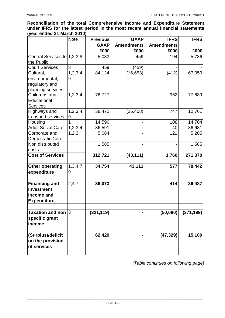**Reconciliation of the total Comprehensive Income and Expenditure Statement under IFRS for the latest period in the most recent annual financial statements (year ended 31 March 2010)**

|                                             | <b>Note</b> | <b>Previous</b> | <b>GAAP</b>       | <b>IFRS</b>       | <b>IFRS</b> |
|---------------------------------------------|-------------|-----------------|-------------------|-------------------|-------------|
|                                             |             | <b>GAAP</b>     | <b>Amendments</b> | <b>Amendments</b> |             |
|                                             |             | £000            | £000              | £000              | £000        |
| Central Services to $1,2,3,8$<br>the Public |             | 5,083           | 459               | 194               | 5,736       |
| <b>Court Services</b>                       | 8           | 459             | (459)             |                   |             |
| Cultural,                                   | 1,2,3,4,    | 84,124          | (16, 653)         | (412)             | 67,059      |
| environmental,                              | 9           |                 |                   |                   |             |
| regulatory and                              |             |                 |                   |                   |             |
| planning services                           |             |                 |                   |                   |             |
| Childrens and                               | 1,2,3,4     | 76,727          |                   | 962               | 77,689      |
| Educational                                 |             |                 |                   |                   |             |
| <b>Services</b>                             |             |                 |                   |                   |             |
| Highways and                                | 1,2,3,4,    | 38,472          | (26, 458)         | 747               | 12,761      |
| transport services                          | 9           |                 |                   |                   |             |
| Housing                                     |             | 14,596          |                   | 108               | 14,704      |
| <b>Adult Social Care</b>                    | 1,2,3,4     | 86,591          |                   | 40                | 86,631      |
| Corporate and                               | 1,2,3       | 5,084           |                   | 121               | 5,205       |
| Democratic Core                             |             |                 |                   |                   |             |
| Non distributed                             |             | 1,585           |                   |                   | 1,585       |
| costs                                       |             |                 |                   |                   |             |
| <b>Cost of Services</b>                     |             | 312,721         | (43, 111)         | 1,760             | 271,370     |
|                                             |             |                 |                   |                   |             |
| <b>Other operating</b>                      | 1,3,4,7,    | 34,754          | 43,111            | 577               | 78,442      |
| expenditure                                 | 9           |                 |                   |                   |             |
|                                             |             |                 |                   |                   |             |
| <b>Financing and</b>                        | 2,4,7       | 36,073          |                   | 414               | 36,487      |
| <b>Investment</b>                           |             |                 |                   |                   |             |
| Income and                                  |             |                 |                   |                   |             |
| <b>Expenditure</b>                          |             |                 |                   |                   |             |
|                                             |             |                 |                   |                   |             |
| Taxation and non $ 3 $                      |             | (321, 119)      |                   | (50,080)          | (371, 199)  |
| specific grant                              |             |                 |                   |                   |             |
| income                                      |             |                 |                   |                   |             |
|                                             |             |                 |                   |                   |             |
| (Surplus)/deficit                           |             | 62,429          |                   | (47, 329)         | 15,100      |
| on the provision                            |             |                 |                   |                   |             |
| of services                                 |             |                 |                   |                   |             |
|                                             |             |                 |                   |                   |             |

*(Table continues on following page)*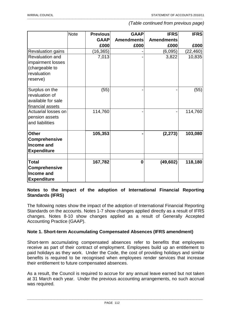*(Table continued from previous page)*

|                                                                                   | <b>Note</b> | <b>Previous</b> | <b>GAAP</b>       | <b>IFRS</b>       | <b>IFRS</b> |
|-----------------------------------------------------------------------------------|-------------|-----------------|-------------------|-------------------|-------------|
|                                                                                   |             | <b>GAAP</b>     | <b>Amendments</b> | <b>Amendments</b> |             |
|                                                                                   |             | £000            | £000              | £000              | £000        |
| <b>Revaluation gains</b>                                                          |             | (16, 365)       |                   | (6,095)           | (22, 460)   |
| Revaluation and<br>impairment losses<br>(chargeable to<br>revaluation<br>reserve) |             | 7,013           |                   | 3,822             | 10,835      |
| Surplus on the<br>revaluation of<br>available for sale<br>financial assets        |             | (55)            |                   |                   | (55)        |
| Actuarial losses on<br>pension assets<br>and liabilities                          |             | 114,760         |                   |                   | 114,760     |
| <b>Other</b><br>Comprehensive<br>Income and<br><b>Expenditure</b>                 |             | 105,353         |                   | (2, 273)          | 103,080     |
| <b>Total</b><br><b>Comprehensive</b><br>Income and<br><b>Expenditure</b>          |             | 167,782         | $\bf{0}$          | (49, 602)         | 118,180     |

## **Notes to the Impact of the adoption of International Financial Reporting Standards (IFRS)**

The following notes show the impact of the adoption of International Financial Reporting Standards on the accounts. Notes 1-7 show changes applied directly as a result of IFRS changes. Notes 8-10 show changes applied as a result of Generally Accepted Accounting Practice (GAAP).

## **Note 1. Short-term Accumulating Compensated Absences (IFRS amendment)**

Short-term accumulating compensated absences refer to benefits that employees receive as part of their contract of employment. Employees build up an entitlement to paid holidays as they work. Under the Code, the cost of providing holidays and similar benefits is required to be recognised when employees render services that increase their entitlement to future compensated absences.

As a result, the Council is required to accrue for any annual leave earned but not taken at 31 March each year. Under the previous accounting arrangements, no such accrual was required.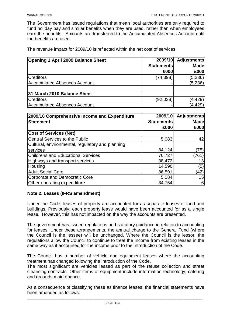The Government has issued regulations that mean local authorities are only required to fund holiday pay and similar benefits when they are used, rather than when employees earn the benefits. Amounts are transferred to the Accumulated Absences Account until the benefits are used.

The revenue impact for 2009/10 is reflected within the net cost of services.

| <b>Opening 1 April 2009 Balance Sheet</b> | 2009/10           | <b>Adjustments</b> |
|-------------------------------------------|-------------------|--------------------|
|                                           | <b>Statements</b> | <b>Made</b>        |
|                                           | £000              | £000               |
| <b>Creditors</b>                          | (74, 398)         | (5,236)            |
| Accumulated Absences Account              |                   | (5,236)            |
|                                           |                   |                    |
| 31 March 2010 Balance Sheet               |                   |                    |
| <b>Creditors</b>                          | (92,038)          | (4, 429)           |
| Accumulated Absences Account              |                   | (4, 429)           |

| 2009/10 Comprehensive Income and Expenditure     | 2009/10           | Adjustments |
|--------------------------------------------------|-------------------|-------------|
| <b>Statement</b>                                 | <b>Statements</b> | <b>Made</b> |
|                                                  | £000              | £000        |
| <b>Cost of Services (Net)</b>                    |                   |             |
| Central Services to the Public                   | 5,083             | 42          |
| Cultural, environmental, regulatory and planning |                   |             |
| services                                         | 84,124            | (75)        |
| <b>Childrens and Educational Services</b>        | 76,727            | (761)       |
| Highways and transport services                  | 38,472            | 13          |
| <b>Housing</b>                                   | 14,596            | (5)         |
| <b>Adult Social Care</b>                         | 86,591            | (42)        |
| Corporate and Democratic Core                    | 5,084             | 15          |
| <b>Other operating expenditure</b>               | 34,754            | 6           |

#### **Note 2. Leases (IFRS amendment)**

Under the Code, leases of property are accounted for as separate leases of land and buildings. Previously, each property lease would have been accounted for as a single lease. However, this has not impacted on the way the accounts are presented.

The government has issued regulations and statutory guidance in relation to accounting for leases. Under these arrangements, the annual charge to the General Fund (where the Council is the lessee) will be unchanged. Where the Council is the lessor, the regulations allow the Council to continue to treat the income from existing leases in the same way as it accounted for the income prior to the introduction of the Code.

The Council has a number of vehicle and equipment leases where the accounting treatment has changed following the introduction of the Code.

The most significant are vehicles leased as part of the refuse collection and street cleansing contracts. Other items of equipment include information technology, catering and grounds maintenance.

As a consequence of classifying these as finance leases, the financial statements have been amended as follows: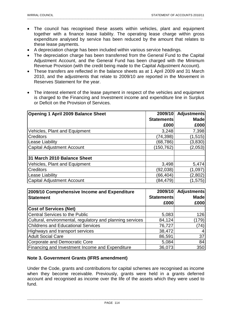The council has recognised these assets within vehicles, plant and equipment together with a finance lease liability. The operating lease charge within gross expenditure analysed by service has been reduced by the amount that relates to these lease payments.

- A depreciation charge has been included within various service headings.
- The depreciation charge has been transferred from the General Fund to the Capital Adjustment Account, and the General Fund has been charged with the Minimum Revenue Provision (with the credit being made to the Capital Adjustment Account).
- These transfers are reflected in the balance sheets as at 1 April 2009 and 31 March 2010, and the adjustments that relate to 2009/10 are reported in the Movement in Reserves Statement for the year.
- The interest element of the lease payment in respect of the vehicles and equipment is charged to the Financing and Investment income and expenditure line in Surplus or Deficit on the Provision of Services.

| Opening 1 April 2009 Balance Sheet   | 2009/10           | Adjustments |
|--------------------------------------|-------------------|-------------|
|                                      | <b>Statements</b> | <b>Made</b> |
|                                      | £000              | £000        |
| <b>Vehicles, Plant and Equipment</b> | 3,248             | 7,398       |
| <b>Creditors</b>                     | (74,398)          | (1, 515)    |
| <b>Lease Liability</b>               | (68, 786)         | (3,830)     |
| <b>Capital Adjustment Account</b>    | 150,762)          | (2,053)     |
| 31 March 2010 Balance Sheet          |                   |             |
| <b>Vehicles, Plant and Equipment</b> | 3,498             | 5,474       |
| <b>Creditors</b>                     | (92, 038)         | (1,097)     |
| <b>Lease Liability</b>               | (66, 404)         | (2,802)     |
| <b>Capital Adjustment Account</b>    | (84,479)          | (1,575)     |

| 2009/10 Comprehensive Income and Expenditure              | 2009/10           | <b>Adjustments</b> |
|-----------------------------------------------------------|-------------------|--------------------|
| Statement                                                 | <b>Statements</b> | <b>Made</b>        |
|                                                           | £000              | £000               |
| <b>Cost of Services (Net)</b>                             |                   |                    |
| Central Services to the Public                            | 5,083             | 126                |
| Cultural, environmental, regulatory and planning services | 84,124            | (179)              |
| <b>Childrens and Educational Services</b>                 | 76,727            | (74)               |
| Highways and transport services                           | 38,472            |                    |
| <b>Adult Social Care</b>                                  | 86,591            | 37                 |
| Corporate and Democratic Core                             | 5,084             | 84                 |
| Financing and Investment Income and Expenditure           | 36,073            | 350                |

## **Note 3. Government Grants (IFRS amendment)**

Under the Code, grants and contributions for capital schemes are recognised as income when they become receivable. Previously, grants were held in a grants deferred account and recognised as income over the life of the assets which they were used to fund.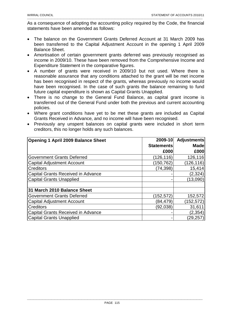As a consequence of adopting the accounting policy required by the Code, the financial statements have been amended as follows:

- The balance on the Government Grants Deferred Account at 31 March 2009 has been transferred to the Capital Adjustment Account in the opening 1 April 2009 Balance Sheet.
- Amortisation of certain government grants deferred was previously recognised as income in 2009/10. These have been removed from the Comprehensive Income and Expenditure Statement in the comparative figures.
- A number of grants were received in 2009/10 but not used. Where there is reasonable assurance that any conditions attached to the grant will be met income has been recognised in respect of the grants, whereas previously no income would have been recognised. In the case of such grants the balance remaining to fund future capital expenditure is shown as Capital Grants Unapplied.
- There is no change to the General Fund Balance, as capital grant income is transferred out of the General Fund under both the previous and current accounting policies.
- Where grant conditions have yet to be met these grants are included as Capital Grants Received in Advance, and no income will have been recognised.
- Previously any unspent balances on capital grants were included in short term creditors, this no longer holds any such balances.

| <b>Opening 1 April 2009 Balance Sheet</b> | 2009-10           | <b>Adjustments</b> |
|-------------------------------------------|-------------------|--------------------|
|                                           | <b>Statements</b> | <b>Made</b>        |
|                                           | £000              | £000               |
| <b>Government Grants Deferred</b>         | (126,116)         | 126,116            |
| <b>Capital Adjustment Account</b>         | (150,762)         | (126, 116)         |
| <b>Creditors</b>                          | (74, 398)         | 15,414             |
| <b>Capital Grants Received in Advance</b> |                   | (2, 324)           |
| <b>Capital Grants Unapplied</b>           |                   | (13,090)           |
| 31 March 2010 Balance Sheet               |                   |                    |
| <b>Government Grants Deferred</b>         | (152,572)         | 152,572            |
| <b>Capital Adjustment Account</b>         | (84,479)          | (152, 572)         |
| <b>Creditors</b>                          | (92,038)          | 31,611             |
| <b>Capital Grants Received in Advance</b> |                   | (2, 354)           |
| <b>Capital Grants Unapplied</b>           |                   | (29, 257)          |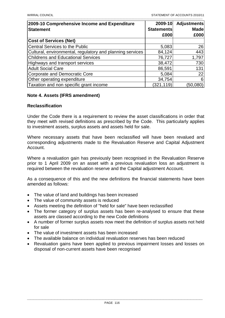| 2009-10 Comprehensive Income and Expenditure<br><b>Statement</b> | 2009-10<br><b>Statements</b><br>£000 | Adjustments<br><b>Made</b><br>£000 |
|------------------------------------------------------------------|--------------------------------------|------------------------------------|
| <b>Cost of Services (Net)</b>                                    |                                      |                                    |
| <b>Central Services to the Public</b>                            | 5,083                                | 26                                 |
| Cultural, environmental, regulatory and planning services        | 84,124                               | 443                                |
| <b>Childrens and Educational Services</b>                        | 76,727                               | 1,797                              |
| <b>Highways and transport services</b>                           | 38,472                               | 730                                |
| <b>Adult Social Care</b>                                         | 86,591                               | 131                                |
| Corporate and Democratic Core                                    | 5,084                                | 22                                 |
| Other operating expenditure                                      | 34,754                               | 6                                  |
| Taxation and non specific grant income                           | (321,119)                            | (50,080                            |

## **Note 4. Assets (IFRS amendment)**

## **Reclassification**

Under the Code there is a requirement to review the asset classifications in order that they meet with revised definitions as prescribed by the Code. This particularly applies to investment assets, surplus assets and assets held for sale.

Where necessary assets that have been reclassified will have been revalued and corresponding adjustments made to the Revaluation Reserve and Capital Adjustment Account.

Where a revaluation gain has previously been recognised in the Revaluation Reserve prior to 1 April 2009 on an asset with a previous revaluation loss an adjustment is required between the revaluation reserve and the Capital adjustment Account.

As a consequence of this and the new definitions the financial statements have been amended as follows:

- The value of land and buildings has been increased
- The value of community assets is reduced
- Assets meeting the definition of "held for sale" have been reclassified
- The former category of surplus assets has been re-analysed to ensure that these assets are classed according to the new Code definitions
- A number of former surplus assets now meet the definition of surplus assets not held for sale
- The value of investment assets has been increased
- The available balance on individual revaluation reserves has been reduced
- Revaluation gains have been applied to previous impairment losses and losses on disposal of non-current assets have been recognised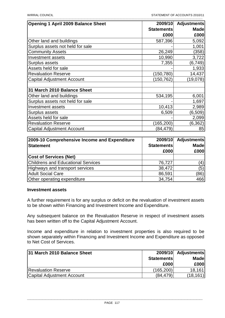| <b>Opening 1 April 2009 Balance Sheet</b> | 2009/10           | <b>Adjustments</b> |  |
|-------------------------------------------|-------------------|--------------------|--|
|                                           | <b>Statements</b> | <b>Made</b>        |  |
|                                           | £000              | £000               |  |
| Other land and buildings                  | 587,396           | 5,092              |  |
| Surplus assets not held for sale          |                   | 1,001              |  |
| <b>Community Assets</b>                   | 26,249            | (358)              |  |
| <b>Investment assets</b>                  | 10,990            | 3,722              |  |
| Surplus assets                            | 7,355             | (6, 749)           |  |
| Assets held for sale                      |                   | 1,933              |  |
| <b>Revaluation Reserve</b>                | (150,780)         | 14,437             |  |
| <b>Capital Adjustment Account</b>         | (150,762)         | (19,078)           |  |
| 31 March 2010 Balance Sheet               |                   |                    |  |
| Other land and buildings                  | 534,195           | 6,001              |  |
| Surplus assets not held for sale          |                   | 1,697              |  |
| <b>Investment assets</b>                  | 10,413            | 2,989              |  |
| Surplus assets                            | 6,509             | (6,509)            |  |
| Assets held for sale                      |                   | 2,099              |  |
| <b>Revaluation Reserve</b>                | (165, 200)        | (6, 362)           |  |
| <b>Capital Adjustment Account</b>         | (84,479)          | 85                 |  |

| 2009-10 Comprehensive Income and Expenditure<br>Statement | 2009/10<br><b>Statements</b><br>£000 | Adjustments<br><b>Made</b><br>£000 |
|-----------------------------------------------------------|--------------------------------------|------------------------------------|
| <b>Cost of Services (Net)</b>                             |                                      |                                    |
| <b>Childrens and Educational Services</b>                 | 76,727                               | (4)                                |
| Highways and transport services                           | 38,472                               | (5)                                |
| <b>Adult Social Care</b>                                  | 86,591                               | (86)                               |
| Other operating expenditure                               | 34,754                               | 466                                |

#### **Investment assets**

A further requirement is for any surplus or deficit on the revaluation of investment assets to be shown within Financing and Investment Income and Expenditure.

Any subsequent balance on the Revaluation Reserve in respect of investment assets has been written off to the Capital Adjustment Account.

Income and expenditure in relation to investment properties is also required to be shown separately within Financing and Investment Income and Expenditure as opposed to Net Cost of Services.

| 31 March 2010 Balance Sheet | 2009/10<br><b>Adjustments</b> |             |
|-----------------------------|-------------------------------|-------------|
|                             | <b>Statements</b>             | <b>Made</b> |
|                             | £000                          | £000        |
| <b>Revaluation Reserve</b>  | (165, 200)                    | 18,161      |
| Capital Adjustment Account  | (84, 479)                     | (18, 161)   |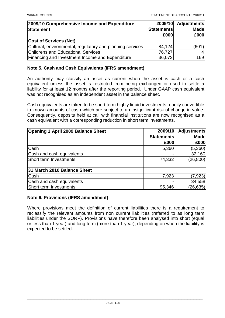| 2009/10 Comprehensive Income and Expenditure<br>Statement | 2009/10<br><b>Statements</b><br>£000 | Adjustments<br><b>Made</b><br>£000 |  |
|-----------------------------------------------------------|--------------------------------------|------------------------------------|--|
| <b>Cost of Services (Net)</b>                             |                                      |                                    |  |
| Cultural, environmental, regulatory and planning services | 84,124                               | (601)                              |  |
| <b>Childrens and Educational Services</b>                 | 76,727                               |                                    |  |
| <b>Financing and Investment Income and Expenditure</b>    | 36,073                               | 169                                |  |

#### **Note 5. Cash and Cash Equivalents (IFRS amendment)**

An authority may classify an asset as current when the asset is cash or a cash equivalent unless the asset is restricted from being exchanged or used to settle a liability for at least 12 months after the reporting period. Under GAAP cash equivalent was not recognised as an independent asset in the balance sheet.

Cash equivalents are taken to be short term highly liquid investments readily convertible to known amounts of cash which are subject to an insignificant risk of change in value. Consequently, deposits held at call with financial institutions are now recognised as a cash equivalent with a corresponding reduction in short term investments.

| <b>Opening 1 April 2009 Balance Sheet</b> | 2009/10           | Adjustments |  |
|-------------------------------------------|-------------------|-------------|--|
|                                           | <b>Statements</b> | <b>Made</b> |  |
|                                           | £000              | £000        |  |
| Cash                                      | 5,360             | (5,360)     |  |
| Cash and cash equivalents                 |                   | 32,160      |  |
| Short term Investments                    | 74,332            | (26, 800)   |  |
| 31 March 2010 Balance Sheet               |                   |             |  |
| Cash                                      | 7,923             | (7, 923)    |  |
| Cash and cash equivalents                 |                   | 34,558      |  |
| Short term Investments                    | 95,346            | (26, 635)   |  |

#### **Note 6. Provisions (IFRS amendment)**

Where provisions meet the definition of current liabilities there is a requirement to reclassify the relevant amounts from non current liabilities (referred to as long term liabilities under the SORP). Provisions have therefore been analysed into short (equal or less than 1 year) and long term (more than 1 year), depending on when the liability is expected to be settled.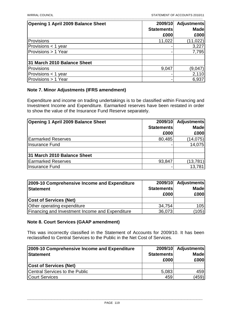| <b>Opening 1 April 2009 Balance Sheet</b> | 2009/10           | <b>Adjustments</b> |  |
|-------------------------------------------|-------------------|--------------------|--|
|                                           | <b>Statements</b> | <b>Made</b>        |  |
|                                           | £000              | £000               |  |
| Provisions                                | 11,022            | (11, 022)          |  |
| Provisions < 1 year                       |                   | 3,227              |  |
| Provisions > 1 Year                       |                   | 7,795              |  |
| 31 March 2010 Balance Sheet               |                   |                    |  |
| Provisions                                | 9,047             | (9,047             |  |
| Provisions < 1 year                       |                   | 2,110              |  |
| Provisions > 1 Year                       |                   | 6,937              |  |

# **Note 7. Minor Adjustments (IFRS amendment)**

Expenditure and income on trading undertakings is to be classified within Financing and Investment Income and Expenditure. Earmarked reserves have been restated in order to show the value of the Insurance Fund Reserve separately.

| <b>Opening 1 April 2009 Balance Sheet</b> | 2009/10           | <b>Adjustments</b> |
|-------------------------------------------|-------------------|--------------------|
|                                           | <b>Statements</b> | <b>Made</b>        |
|                                           | £000              | £000               |
| <b>Earmarked Reserves</b>                 | 80,485            | (14, 075)          |
| <b>Insurance Fund</b>                     |                   | 14,075             |
|                                           |                   |                    |
| 31 March 2010 Balance Sheet               |                   |                    |
| <b>Earmarked Reserves</b>                 | 93,847            | (13,781)           |
| Insurance Fund                            |                   | 13,781             |

| 2009-10 Comprehensive Income and Expenditure<br>Statement | 2009/10<br><b>Statements</b><br>£000 | <b>Adjustments</b><br><b>Made</b><br>£000 |  |
|-----------------------------------------------------------|--------------------------------------|-------------------------------------------|--|
| <b>Cost of Services (Net)</b>                             |                                      |                                           |  |
| Other operating expenditure                               | 34,754                               | 105                                       |  |
| <b>Financing and Investment Income and Expenditure</b>    | 36,073                               | (105)                                     |  |

## **Note 8. Court Services (GAAP amendment)**

This was incorrectly classified in the Statement of Accounts for 2009/10. It has been reclassified to Central Services to the Public in the Net Cost of Services.

| 2009-10 Comprehensive Income and Expenditure | 2009/10           | <b>Adjustments</b> |
|----------------------------------------------|-------------------|--------------------|
| Statement                                    | <b>Statements</b> | <b>Made</b>        |
|                                              | £000              | £000               |
| <b>Cost of Services (Net)</b>                |                   |                    |
| Central Services to the Public               | 5,083             | 459                |
| <b>Court Services</b>                        | 459               | (459)              |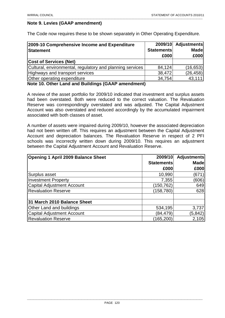#### **Note 9. Levies (GAAP amendment)**

The Code now requires these to be shown separately in Other Operating Expenditure.

| 2009-10 Comprehensive Income and Expenditure<br>Statement | 2009/10<br><b>Statements</b><br>£000 | <b>Adjustments</b><br><b>Made</b><br>£000 |
|-----------------------------------------------------------|--------------------------------------|-------------------------------------------|
| <b>Cost of Services (Net)</b>                             |                                      |                                           |
| Cultural, environmental, regulatory and planning services | 84,124                               | (16, 653)                                 |
| Highways and transport services                           | 38,472                               | (26, 458)                                 |
| Other operating expenditure                               | 34,754                               | 43,111                                    |

**Note 10. Other Land and Buildings (GAAP amendment)**

A review of the asset portfolio for 2009/10 indicated that investment and surplus assets had been overstated. Both were reduced to the correct valuation. The Revaluation Reserve was correspondingly overstated and was adjusted. The Capital Adjustment Account was also overstated and reduced accordingly by the accumulated impairment associated with both classes of asset.

A number of assets were impaired during 2009/10, however the associated depreciation had not been written off. This requires an adjustment between the Capital Adjustment Account and depreciation balances. The Revaluation Reserve in respect of 2 PFI schools was incorrectly written down during 2009/10. This requires an adjustment between the Capital Adjustment Account and Revaluation Reserve.

| <b>Opening 1 April 2009 Balance Sheet</b> | 2009/10           | <b>Adjustments</b> |  |
|-------------------------------------------|-------------------|--------------------|--|
|                                           | <b>Statements</b> | <b>Made</b>        |  |
|                                           | £000              | £000               |  |
| Surplus asset                             | 10,990            | (671)              |  |
| <b>Investment Property</b>                | 7,355             | (606)              |  |
| <b>Capital Adjustment Account</b>         | (150, 762)        | 649                |  |
| <b>Revaluation Reserve</b>                | (158,780)         | 628                |  |
|                                           |                   |                    |  |
| 31 March 2010 Balance Sheet               |                   |                    |  |
| <b>Other Land and buildings</b>           | 534,195           | 3,737              |  |
| <b>Capital Adjustment Account</b>         | (84, 479)         | (5, 842)           |  |
| <b>Revaluation Reserve</b>                | (165, 200)        | 2,105              |  |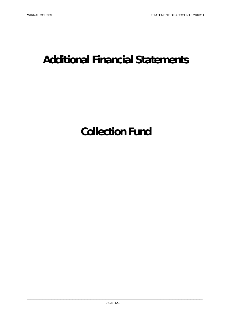# **Additional Financial Statements**

# **Collection Fund**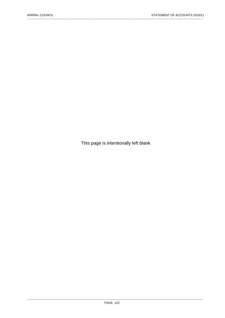This page is intentionally left blank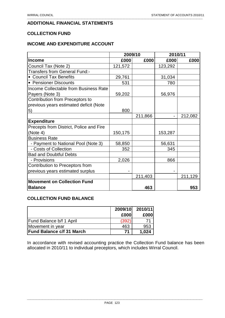#### **ADDITIONAL FINANCIAL STATEMENTS**

# **COLLECTION FUND**

# **INCOME AND EXPENDITURE ACCOUNT**

|                                              | 2009/10 |         | 2010/11 |         |
|----------------------------------------------|---------|---------|---------|---------|
| <b>Income</b>                                | £000    | £000    | £000    | £000    |
| Council Tax (Note 2)                         | 121,572 |         | 123,292 |         |
| <b>Transfers from General Fund:-</b>         |         |         |         |         |
| • Council Tax Benefits                       | 29,761  |         | 31,034  |         |
| • Pensioner Discounts                        | 531     |         | 780     |         |
| <b>Income Collectable from Business Rate</b> |         |         |         |         |
| Payers (Note 3)                              | 59,202  |         | 56,976  |         |
| Contribution from Preceptors to              |         |         |         |         |
| previous years estimated deficit (Note       |         |         |         |         |
| 5)                                           | 800     |         |         |         |
|                                              |         | 211,866 |         | 212,082 |
| <b>Expenditure</b>                           |         |         |         |         |
| Precepts from District, Police and Fire      |         |         |         |         |
| (Note 4)                                     | 150,175 |         | 153,287 |         |
| <b>Business Rate</b>                         |         |         |         |         |
| - Payment to National Pool (Note 3)          | 58,850  |         | 56,631  |         |
| - Costs of Collection                        | 352     |         | 345     |         |
| <b>Bad and Doubtful Debts</b>                |         |         |         |         |
| - Provisions                                 | 2,026   |         | 866     |         |
| Contribution to Preceptors from              |         |         |         |         |
| previous years estimated surplus             |         |         |         |         |
|                                              |         | 211,403 |         | 211,129 |
| <b>Movement on Collection Fund</b>           |         |         |         |         |
| <b>Balance</b>                               |         | 463     |         | 953     |

# **COLLECTION FUND BALANCE**

|                                  | 2009/10 | 2010/11 |
|----------------------------------|---------|---------|
|                                  | £000    | £000    |
| <b>Fund Balance b/f 1 April</b>  | (392)   |         |
| Movement in year                 | 463     | 953     |
| <b>Fund Balance c/f 31 March</b> | 71      | 1.024   |

In accordance with revised accounting practice the Collection Fund balance has been allocated in 2010/11 to individual preceptors, which includes Wirral Council.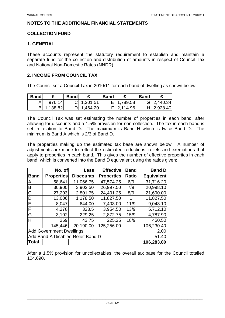#### **NOTES TO THE ADDITIONAL FINANCIAL STATEMENTS**

#### **COLLECTION FUND**

#### **1. GENERAL**

These accounts represent the statutory requirement to establish and maintain a separate fund for the collection and distribution of amounts in respect of Council Tax and National Non-Domestic Rates (NNDR).

## **2. INCOME FROM COUNCIL TAX**

The Council set a Council Tax in 2010/11 for each band of dwelling as shown below:

| <b>Band</b> |        | Band |                        | <b>Band</b> |             | <b>Band</b> |         |
|-------------|--------|------|------------------------|-------------|-------------|-------------|---------|
| Α           | 976.14 |      | 1.51<br>่ <b>ว</b> ุก1 |             | 789.58      | G.          | .440.34 |
|             | 138.82 |      | .464.20                |             | $.96^\circ$ |             | .928.40 |

The Council Tax was set estimating the number of properties in each band, after allowing for discounts and a 1.5% provision for non-collection. The tax in each band is set in relation to Band D. The maximum is Band H which is twice Band D. The minimum is Band A which is 2/3 of Band D.

The properties making up the estimated tax base are shown below. A number of adjustments are made to reflect the estimated reductions, reliefs and exemptions that apply to properties in each band. This gives the number of effective properties in each band, which is converted into the Band D equivalent using the ratios given:

|                                 | No. of                            | Less             | <b>Effective</b>  | <b>Band</b>  | <b>Band D</b>     |
|---------------------------------|-----------------------------------|------------------|-------------------|--------------|-------------------|
| <b>Band</b>                     | <b>Properties</b>                 | <b>Discounts</b> | <b>Properties</b> | <b>Ratio</b> | <b>Equivalent</b> |
| A                               | 58,641                            | 11,066.75        | 47,574.25         | 6/9          | 31,716.20         |
| B                               | 30,900                            | 3,902.50         | 26,997.50         | 7/9          | 20,998.10         |
| C                               | 27,203                            | 2,801.75         | 24,401.25         | 8/9          | 21,690.00         |
| D                               | 13,006                            | 1,178.50         | 11,827.50         |              | 11,827.50         |
| E                               | 8,047                             | 644.00           | 7,403.00          | 11/9         | 9,048.10          |
| F                               | 4,278                             | 323.5            | 3,954.50          | 13/9         | 5,712.10          |
| G                               | 3,102                             | 229.25           | 2,872.75          | 15/9         | 4,787.90          |
| Н                               | 269                               | 43.75            | 225.25            | 18/9         | 450.50            |
|                                 | 145,446                           | 20,190.00        | 125,256.00        |              | 106,230.40        |
| <b>Add Government Dwellings</b> |                                   |                  | 2.00              |              |                   |
|                                 | Add Band A Disabled Relief Band D |                  |                   |              | 51.40             |
| <b>Total</b>                    |                                   |                  |                   |              | 106,283.80        |

After a 1.5% provision for uncollectables, the overall tax base for the Council totalled 104,690.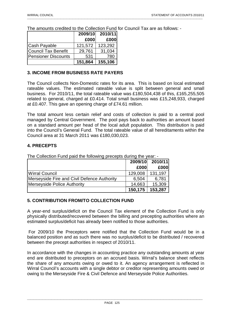The amounts credited to the Collection Fund for Council Tax are as follows: -

|                            | 2009/10 | 2010/11 |
|----------------------------|---------|---------|
|                            | £000    | £000    |
| Cash Payable               | 121,572 | 123,292 |
| Council Tax Benefit        | 29,761  | 31,034  |
| <b>Pensioner Discounts</b> | 531     | 780     |
|                            | 151,864 | 155,106 |

## **3. INCOME FROM BUSINESS RATE PAYERS**

The Council collects Non-Domestic rates for its area. This is based on local estimated rateable values. The estimated rateable value is split between general and small business. For 2010/11, the total rateable value was £180,504,438 of this, £165,255,505 related to general, charged at £0.414. Total small business was £15,248,933, charged at £0.407. This gave an opening charge of £74.61 million.

The total amount less certain relief and costs of collection is paid to a central pool managed by Central Government. The pool pays back to authorities an amount based on a standard amount per head of the local adult population. This distribution is paid into the Council's General Fund. The total rateable value of all hereditaments within the Council area at 31 March 2011 was £180,030,023.

## **4. PRECEPTS**

The Collection Fund paid the following precepts during the year: -

|                                             | 2009/10 | 2010/11 |
|---------------------------------------------|---------|---------|
|                                             | £000    | £000    |
| <b>Wirral Council</b>                       | 129,008 | 131,197 |
| Merseyside Fire and Civil Defence Authority | 6,504   | 6,781   |
| Merseyside Police Authority                 | 14,663  | 15,309  |
|                                             | 150,175 | 153,287 |

#### **5. CONTRIBUTION FROM/TO COLLECTION FUND**

A year-end surplus/deficit on the Council Tax element of the Collection Fund is only physically distributed/recovered between the billing and precepting authorities where an estimated surplus/deficit has already been notified to those authorities.

 For 2009/10 the Preceptors were notified that the Collection Fund would be in a balanced position and as such there was no surplus/deficit to be distributed / recovered between the precept authorities in respect of 2010/11.

In accordance with the changes in accounting practice any outstanding amounts at year end are distributed to preceptors on an accrued basis. Wirral's balance sheet reflects the share of any amounts owing or owed to it. An agency arrangement is reflected in Wirral Council's accounts with a single debtor or creditor representing amounts owed or owing to the Merseyside Fire & Civil Defence and Merseyside Police Authorities.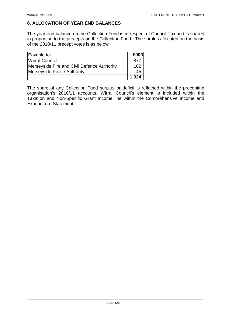#### **6. ALLOCATION OF YEAR END BALANCES**

The year end balance on the Collection Fund is in respect of Council Tax and is shared in proportion to the precepts on the Collection Fund. The surplus allocated on the basis of the 2010/11 precept votes is as below.

| Payable to:                                 | £000  |
|---------------------------------------------|-------|
| <b>Wirral Council</b>                       | -877  |
| Merseyside Fire and Civil Defence Authority | 102   |
| Merseyside Police Authority                 | 45    |
|                                             | 1.024 |

The share of any Collection Fund surplus or deficit is reflected within the precepting organisation's 2010/11 accounts. Wirral Council's element is included within the Taxation and Non-Specific Grant Income line within the Comprehensive Income and Expenditure Statement.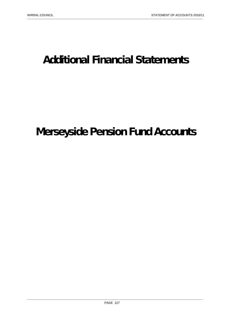# **Additional Financial Statements**

# **Merseyside Pension Fund Accounts**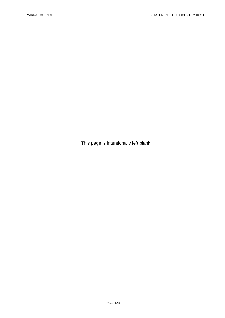This page is intentionally left blank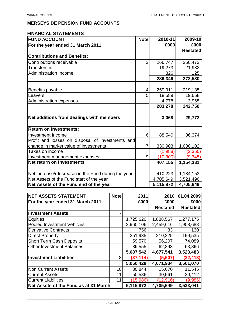# **MERSEYSIDE PENSION FUND ACCOUNTS**

#### **FINANCIAL STATEMENTS**

| <b>FUND ACCOUNT</b>                                 | <b>Note</b>    | 2010-11   | 2009-10         |
|-----------------------------------------------------|----------------|-----------|-----------------|
| For the year ended 31 March 2011                    |                | £000      | £000            |
|                                                     |                |           | <b>Restated</b> |
| <b>Contributions and Benefits:</b>                  |                |           |                 |
| Contributions receivable                            | 3              | 266,747   | 250,473         |
| Transfers in                                        |                | 19,273    | 21,932          |
| <b>Administration Income</b>                        |                | 326       | 125             |
|                                                     |                | 286,346   | 272,530         |
|                                                     |                |           |                 |
| Benefits payable                                    | $\overline{4}$ | 259,911   | 219,135         |
| Leavers                                             | 5              | 18,589    | 19,658          |
| Administration expenses                             |                | 4,778     | 3,965           |
|                                                     |                | 283,278   | 242,758         |
|                                                     |                |           |                 |
| Net additions from dealings with members            |                | 3,068     | 29,772          |
|                                                     |                |           |                 |
| <b>Return on Investments:</b>                       |                |           |                 |
| <b>Investment Income</b>                            | 6              | 88,540    | 86,374          |
| Profit and losses on disposal of investments and    |                |           |                 |
| change in market value of investments               | 7              | 330,903   | 1,080,102       |
| Taxes on income                                     |                | (1,988)   | (2, 350)        |
| Investment management expenses                      | 9              | (10, 300) | (9, 745)        |
| Net return on Investments                           |                | 407,155   | 1,154,381       |
|                                                     |                |           |                 |
| Net increase/(decrease) in the Fund during the year |                | 410,223   | 1,184,153       |
| Net Assets of the Fund start of the year            |                | 4,705,649 | 3,521,496       |
| Net Assets of the Fund end of the year              |                | 5,115,872 | 4,705,649       |

| <b>NET ASSETS STATEMENT</b>           | <b>Note</b> | 2011      | 2010            | 01.04.2009      |
|---------------------------------------|-------------|-----------|-----------------|-----------------|
| For the year ended 31 March 2011      |             | £000      | £000            | £000            |
|                                       |             |           | <b>Restated</b> | <b>Restated</b> |
| <b>Investment Assets</b>              |             |           |                 |                 |
| <b>Equities</b>                       |             | 1,725,620 | 1,888,567       | 1,277,175       |
| <b>Pooled Investment Vehicles</b>     |             | 2,960,106 | 2,459,616       | 1,908,688       |
| <b>Derivative Contracts</b>           |             | 756       | 33              | 130             |
| <b>Direct Property</b>                |             | 251,935   | 210,225         | 199,535         |
| <b>Short Term Cash Deposits</b>       |             | 59,570    | 56,207          | 74,089          |
| <b>Other Investment Balances</b>      |             | 89,555    | 62,893          | 63,866          |
|                                       |             | 5,087,542 | 4,677,541       | 3,523,483       |
| <b>Investment Liabilities</b>         | 8           | (37, 114) | (5,607)         | (22, 413)       |
|                                       |             | 5,050,428 | 4,671,934       | 3,501,070       |
| <b>Non Current Assets</b>             | 10          | 30,844    | 15,670          | 11,545          |
| <b>Current Assets</b>                 | 11          | 50,586    | 30,961          | 30,412          |
| <b>Current Liabilities</b>            | 11          | (15,986)  | (12, 916)       | (9,986)         |
| Net Assets of the Fund as at 31 March |             | 5,115,872 | 4,705,649       | 3,533,041       |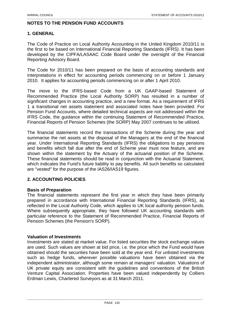#### **NOTES TO THE PENSION FUND ACCOUNTS**

#### **1. GENERAL**

The Code of Practice on Local Authority Accounting in the United Kingdom 2010/11 is the first to be based on International Financial Reporting Standards (IFRS). It has been developed by the CIPFA/LASAAC Code Board under the oversight of the Financial Reporting Advisory Board.

The Code for 2010/11 has been prepared on the basis of accounting standards and interpretations in effect for accounting periods commencing on or before 1 January 2010. It applies for accounting periods commencing on or after 1 April 2010.

The move to the IFRS-based Code from a UK GAAP-based Statement of Recommended Practice (the Local Authority SORP) has resulted in a number of significant changes in accounting practice, and a new format. As a requirement of IFRS 1 a transitional net assets statement and associated notes have been provided. For Pension Fund Accounts, where detailed technical aspects are not addressed within the IFRS Code, the guidance within the continuing Statement of Recommended Practice, Financial Reports of Pension Schemes (the SORP) May 2007 continues to be utilised.

The financial statements record the transactions of the Scheme during the year and summarise the net assets at the disposal of the Managers at the end of the financial year. Under International Reporting Standards (IFRS) the obligations to pay pensions and benefits which fall due after the end of Scheme year must now feature, and are shown within the statement by the Actuary of the actuarial position of the Scheme. These financial statements should be read in conjunction with the Actuarial Statement, which indicates the Fund's future liability to pay benefits. All such benefits so calculated are "vested" for the purpose of the IAS26/IAS19 figures.

## **2. ACCOUNTING POLICIES**

#### **Basis of Preparation**

The financial statements represent the first year in which they have been primarily prepared in accordance with International Financial Reporting Standards (IFRS), as reflected in the Local Authority Code, which applies to UK local authority pension funds. Where subsequently appropriate, they have followed UK accounting standards with particular reference to the Statement of Recommended Practice, Financial Reports of Pension Schemes (the Pension's SORP).

#### **Valuation of Investments**

Investments are stated at market value. For listed securities the stock exchange values are used. Such values are shown at bid price, i.e. the price which the Fund would have obtained should the securities have been sold at the year end. For unlisted investments such as hedge funds, wherever possible valuations have been obtained via the independent administrator, although some remain at managers' valuation. Valuations of UK private equity are consistent with the guidelines and conventions of the British Venture Capital Association. Properties have been valued independently by Colliers Erdman Lewis, Chartered Surveyors as at 31 March 2011.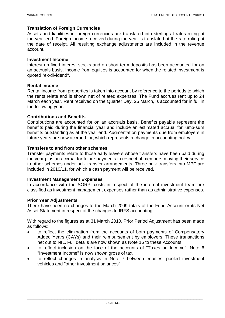#### **Translation of Foreign Currencies**

Assets and liabilities in foreign currencies are translated into sterling at rates ruling at the year end. Foreign income received during the year is translated at the rate ruling at the date of receipt. All resulting exchange adjustments are included in the revenue account.

#### **Investment Income**

Interest on fixed interest stocks and on short term deposits has been accounted for on an accruals basis. Income from equities is accounted for when the related investment is quoted "ex-dividend".

#### **Rental Income**

Rental income from properties is taken into account by reference to the periods to which the rents relate and is shown net of related expenses. The Fund accrues rent up to 24 March each year. Rent received on the Quarter Day, 25 March, is accounted for in full in the following year.

#### **Contributions and Benefits**

Contributions are accounted for on an accruals basis. Benefits payable represent the benefits paid during the financial year and include an estimated accrual for lump-sum benefits outstanding as at the year end. Augmentation payments due from employers in future years are now accrued for, which represents a change in accounting policy.

#### **Transfers to and from other schemes**

Transfer payments relate to those early leavers whose transfers have been paid during the year plus an accrual for future payments in respect of members moving their service to other schemes under bulk transfer arrangements. Three bulk transfers into MPF are included in 2010/11, for which a cash payment will be received.

#### **Investment Management Expenses**

In accordance with the SORP, costs in respect of the internal investment team are classified as investment management expenses rather than as administrative expenses.

#### **Prior Year Adjustments**

There have been no changes to the March 2009 totals of the Fund Account or its Net Asset Statement in respect of the changes to IRFS accounting.

With regard to the figures as at 31 March 2010, Prior Period Adjustment has been made as follows:

- to reflect the elimination from the accounts of both payments of Compensatory Added Years (CAYs) and their reimbursement by employers. These transactions net out to NIL. Full details are now shown as Note 16 to these Accounts.
- to reflect inclusion on the face of the accounts of "Taxes on Income", Note 6 "Investment Income" is now shown gross of tax.
- to reflect changes in analysis in Note 7 between equities, pooled investment vehicles and "other investment balances"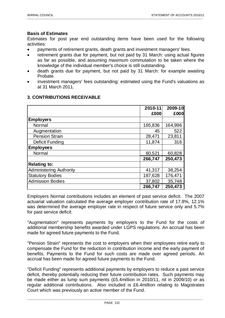# **Basis of Estimates**

Estimates for post year end outstanding items have been used for the following activities:

- payments of retirement grants, death grants and investment managers' fees.
- retirement grants due for payment, but not paid by 31 March: using actual figures as far as possible, and assuming maximum commutation to be taken where the knowledge of the individual member's choice is still outstanding.
- death grants due for payment, but not paid by 31 March: for example awaiting Probate.
- investment managers' fees outstanding: estimated using the Fund's valuations as at 31 March 2011.

|                                | 2010-11 | 2009-10 |
|--------------------------------|---------|---------|
|                                | £000    | £000    |
| <b>Employers</b>               |         |         |
| Normal                         | 165,836 | 164,996 |
| Augmentation                   | 45      | 522     |
| <b>Pension Strain</b>          | 28,471  | 23,811  |
| Deficit Funding                | 11,874  | 316     |
| <b>Employees</b>               |         |         |
| Normal                         | 60,521  | 60,828  |
|                                | 266,747 | 250,473 |
| <b>Relating to:</b>            |         |         |
| <b>Administering Authority</b> | 41,317  | 38,254  |
| <b>Statutory Bodies</b>        | 187,628 | 176,471 |
| <b>Admission Bodies</b>        | 37,802  | 35,748  |
|                                | 266,747 | 250,473 |

# **3. CONTRIBUTIONS RECEIVABLE**

Employers Normal contributions includes an element of past service deficit. The 2007 actuarial valuation calculated the average employer contribution rate of 17.8%, 12.1% was determined the average employer rate in respect of future service only and 5.7% for past service deficit.

"Augmentation" represents payments by employers to the Fund for the costs of additional membership benefits awarded under LGPS regulations. An accrual has been made for agreed future payments to the Fund.

"Pension Strain" represents the cost to employers when their employees retire early to compensate the Fund for the reduction in contribution income and the early payment of benefits. Payments to the Fund for such costs are made over agreed periods. An accrual has been made for agreed future payments to the Fund.

"Deficit Funding" represents additional payments by employers to reduce a past service deficit, thereby potentially reducing their future contribution rates. Such payments may be made either as lump sum payments (£5.4million in 2010/11, nil in 2009/10) or as regular additional contributions. Also included is £6.4million relating to Magistrates Court which was previously an active member of the Fund.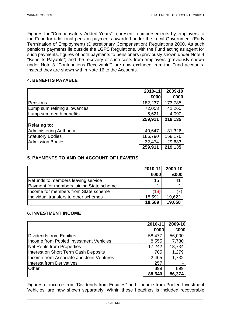Figures for "Compensatory Added Years" represent re-imbursements by employers to the Fund for additional pension payments awarded under the Local Government (Early Termination of Employment) (Discretionary Compensation) Regulations 2000. As such pensions payments lie outside the LGPS Regulations, with the Fund acting as agent for such payments, figures of both payments to pensioners (previously shown under Note 4 "Benefits Payable") and the recovery of such costs from employers (previously shown under Note 3 "Contributions Receivable") are now excluded from the Fund accounts. Instead they are shown within Note 16 to the Accounts.

# **4. BENEFITS PAYABLE**

|                                | 2010-11 | 2009-10 |
|--------------------------------|---------|---------|
|                                | £000    | £000    |
| <b>Pensions</b>                | 182,237 | 173,785 |
| Lump sum retiring allowances   | 72,053  | 41,260  |
| Lump sum death benefits        | 5,621   | 4,090   |
|                                | 259,911 | 219,135 |
| <b>Relating to:</b>            |         |         |
| <b>Administering Authority</b> | 40,647  | 31,326  |
| <b>Statutory Bodies</b>        | 186,790 | 158,176 |
| <b>Admission Bodies</b>        | 32,474  | 29,633  |
|                                | 259,911 | 219,135 |

# **5. PAYMENTS TO AND ON ACCOUNT OF LEAVERS**

|                                          | 2010-11 | 2009-10 |
|------------------------------------------|---------|---------|
|                                          | £000    | £000    |
| Refunds to members leaving service       | 15      | 41      |
| Payment for members joining State scheme |         |         |
| Income for members from State scheme     | (18)    |         |
| Individual transfers to other schemes    | 18,591  | 19,622  |
|                                          | 18,589  | 19,658  |

## **6. INVESTMENT INCOME**

|                                          | 2010-11 | 2009-10 |
|------------------------------------------|---------|---------|
|                                          | £000    | £000    |
| Dividends from Equities                  | 58,477  | 56,000  |
| Income from Pooled Investment Vehicles   | 8,555   | 7,730   |
| <b>Net Rents from Properties</b>         | 17,242  | 18,734  |
| Interest on Short Term Cash Deposits     | 705     | 1,279   |
| Income from Associate and Joint Ventures | 2,405   | 1,732   |
| <b>Interest from Derivatives</b>         | 257     |         |
| <b>Other</b>                             | 899     | 899     |
|                                          | 88,540  | 86,374  |

Figures of income from 'Dividends from Equities" and "Income from Pooled Investment Vehicles' are now shown separately. Within these headings is included recoverable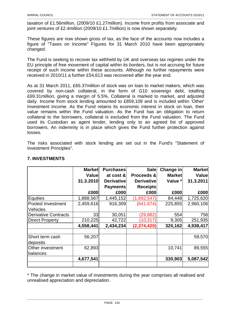taxation of £1.56million, (2009/10 £1.27million). Income from profits from associate and joint ventures of £2.4million (2009/10 £1.7million) is now shown separately.

These figures are now shown gross of tax, as the face of the accounts now includes a figure of "Taxes on Income" Figures for 31 March 2010 have been appropriately changed.

The Fund is seeking to recover tax withheld by UK and overseas tax regimes under the EU principle of free movement of capital within its borders, but is not accruing for future receipt of such income within these accounts. Although no further repayments were received in 2010/11 a further £54,613 was recovered after the year end.

As at 31 March 2011, £65.37million of stock was on loan to market makers, which was covered by non-cash collateral, in the form of G10 sovereign debt, totalling £69.31million, giving a margin of 5.5%. Collateral is marked to market, and adjusted daily. Income from stock lending amounted to £859,109 and is included within 'Other' Investment Income. As the Fund retains its economic interest in stock on loan, their value remains within the Fund valuation. As the Fund has an obligation to return collateral to the borrowers, collateral is excluded from the Fund valuation. The Fund used its Custodian as agent lender, lending only to an agreed list of approved borrowers. An indemnity is in place which gives the Fund further protection against losses.

The risks associated with stock lending are set out in the Fund's "Statement of Investment Principles".

|                             | <b>Market</b> | <b>Purchases</b>  | <b>Sale</b>       | Change in     | <b>Market</b> |
|-----------------------------|---------------|-------------------|-------------------|---------------|---------------|
|                             | Value         | at cost $\&$      | Proceeds &        | <b>Market</b> | Value         |
|                             | 31.3.2010     | <b>Derivative</b> | <b>Derivative</b> | Value *       | 31.3.2011     |
|                             |               | <b>Payments</b>   | <b>Receipts</b>   |               |               |
|                             | £000          | £000              | £000              | £000          | £000          |
| <b>Equities</b>             | 1,888,567     | 1,445,152         | (1,692,547)       | 84,448        | 1,725,620     |
| Pooled Investment           | 2,459,616     | 916,309           | (641, 674)        | 225,855       | 2,960,106     |
| <b>Vehicles</b>             |               |                   |                   |               |               |
| <b>Derivative Contracts</b> | 33            | 30,051            | (29,882)          | 554           | 756           |
| <b>Direct Property</b>      | 210,225       | 42,722            | (10, 317)         | 9,305         | 251,935       |
|                             | 4,558,441     | 2,434,234         | (2, 374, 420)     | 320,162       | 4,938,417     |
| Short term cash<br>deposits | 56,207        |                   |                   |               | 59,570        |
| Other investment            | 62,893        |                   |                   | 10,741        | 89,555        |
| balances                    |               |                   |                   |               |               |
|                             | 4,677,541     |                   |                   | 330,903       | 5,087,542     |

# **7. INVESTMENTS**

\* The change in market value of investments during the year comprises all realised and unrealised appreciation and depreciation.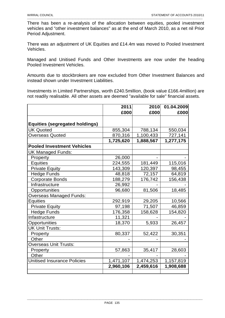There has been a re-analysis of the allocation between equities, pooled investment vehicles and "other investment balances" as at the end of March 2010, as a net nil Prior Period Adjustment.

There was an adjustment of UK Equities and £14.4m was moved to Pooled Investment Vehicles.

Managed and Unitised Funds and Other Investments are now under the heading Pooled Investment Vehicles.

Amounts due to stockbrokers are now excluded from Other Investment Balances and instead shown under Investment Liabilities.

Investments in Limited Partnerships, worth £240.5million, (book value £166.4million) are not readily realisable. All other assets are deemed "available for sale" financial assets.

|                                       | 2011      | 2010      | 01.04.2009 |
|---------------------------------------|-----------|-----------|------------|
|                                       | £000      | £000      | £000       |
|                                       |           |           |            |
| <b>Equities (segregated holdings)</b> |           |           |            |
| <b>UK Quoted</b>                      | 855,304   | 788,134   | 550,034    |
| <b>Overseas Quoted</b>                | 870,316   | 1,100,433 | 727,141    |
|                                       | 1,725,620 | 1,888,567 | 1,277,175  |
| <b>Pooled Investment Vehicles</b>     |           |           |            |
| UK Managed Funds:                     |           |           |            |
| Property                              | 26,000    |           |            |
| <b>Equities</b>                       | 224,555   | 181,449   | 115,016    |
| <b>Private Equity</b>                 | 143,309   | 120,397   | 98,455     |
| <b>Hedge Funds</b>                    | 48,818    | 72,157    | 64,819     |
| <b>Corporate Bonds</b>                | 188,279   | 176,742   | 156,438    |
| Infrastructure                        | 26,992    |           |            |
| Opportunities                         | 96,680    | 81,506    | 18,485     |
| <b>Overseas Managed Funds:</b>        |           |           |            |
| <b>Equities</b>                       | 292,919   | 29,205    | 10,566     |
| <b>Private Equity</b>                 | 97,198    | 71,507    | 46,859     |
| <b>Hedge Funds</b>                    | 176,358   | 158,628   | 154,820    |
| Infastructure                         | 11,321    |           |            |
| Opportunities                         | 18,370    | 5,933     | 26,457     |
| <b>UK Unit Trusts:</b>                |           |           |            |
| Property                              | 80,337    | 52,422    | 30,351     |
| Other                                 |           |           |            |
| <b>Overseas Unit Trusts:</b>          |           |           |            |
| Property                              | 57,863    | 35,417    | 28,603     |
| Other                                 |           |           |            |
| <b>Unitised Insurance Policies</b>    | 1,471,107 | 1,474,253 | 1,157,819  |
|                                       | 2,960,106 | 2,459,616 | 1,908,688  |
|                                       |           |           |            |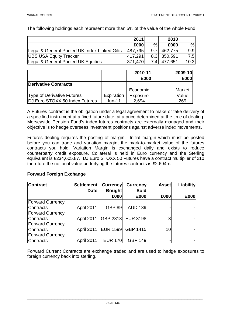|                                              | 2011    |     | 2010    |      |
|----------------------------------------------|---------|-----|---------|------|
|                                              | £000    | %   | £000    | %    |
| Legal & General Pooled UK Index Linked Gilts | 487.795 | 9.7 | 462.775 | 9.9  |
| <b>UBS USA Equity Tracker</b>                | 417.291 | 8.3 | 350,591 | 7.5  |
| Legal & General Pooled UK Equities           | 371.470 | 7.4 | 477,651 | 10.3 |

The following holdings each represent more than 5% of the value of the whole Fund:

|                                   |            | $2010 - 11$<br>£000 | 2009-10<br>£000 |
|-----------------------------------|------------|---------------------|-----------------|
| Derivative Contracts              |            |                     |                 |
|                                   |            | Economic            | <b>Market</b>   |
| <b>Type of Derivative Futures</b> | Expiration | Exposure            | Value           |
| DJ Euro STOXX 50 Index Futures    | $Jun-11$   | 2,694               | 269             |

A Futures contract is the obligation under a legal agreement to make or take delivery of a specified instrument at a fixed future date, at a price determined at the time of dealing. Merseyside Pension Fund's index futures contracts are externally managed and their objective is to hedge overseas investment positions against adverse index movements.

Futures dealing requires the posting of margin. Initial margin which must be posted before you can trade and variation margin, the mark-to-market value of the futures contracts you hold. Variation Margin is exchanged daily and exists to reduce counterparty credit exposure. Collateral is held in Euro currency and the Sterling equivalent is £234,605.87. DJ Euro STOXX 50 Futures have a contract multiplier of x10 therefore the notional value underlying the futures contracts is £2.694m.

## **Forward Foreign Exchange**

| <b>Contract</b>         | <b>Settlement</b> | <b>Currency</b> | <b>Currency</b>   | <b>Asset</b> | <b>Liability</b> |
|-------------------------|-------------------|-----------------|-------------------|--------------|------------------|
|                         | <b>Date</b>       | <b>Bought</b>   | <b>Sold</b>       |              |                  |
|                         |                   | £000            | £000              | £000         | £000             |
| <b>Forward Currency</b> |                   |                 |                   |              |                  |
| <b>Contracts</b>        | April 2011        | <b>GBP 89</b>   | <b>AUD 139</b>    |              |                  |
| <b>Forward Currency</b> |                   |                 |                   |              |                  |
| <b>Contracts</b>        | April 2011        |                 | GBP 2818 EUR 3198 | 8            |                  |
| <b>Forward Currency</b> |                   |                 |                   |              |                  |
| <b>Contracts</b>        | April 2011        | <b>EUR 1599</b> | GBP 1415          | 10           |                  |
| <b>Forward Currency</b> |                   |                 |                   |              |                  |
| <b>Contracts</b>        | April 2011        | <b>EUR 170</b>  | <b>GBP 149</b>    |              |                  |

Forward Current Contracts are exchange traded and are used to hedge exposures to foreign currency back into sterling.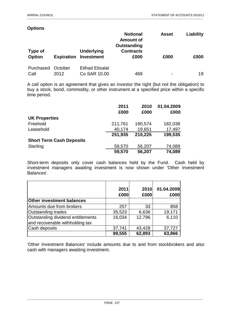# **Options**

| <b>Type of</b>    |                   | <b>Underlying</b>                      | <b>Notional</b><br><b>Amount of</b><br>Outstanding<br><b>Contracts</b> | <b>Asset</b> | <b>Liability</b> |
|-------------------|-------------------|----------------------------------------|------------------------------------------------------------------------|--------------|------------------|
| <b>Option</b>     | <b>Expiration</b> | <b>Investment</b>                      | £000                                                                   | £000         | £000             |
| Purchased<br>Call | October<br>2012   | <b>Etihad Etisalat</b><br>Co SAR 10.00 | 469                                                                    | -            | 19               |

A call option is an agreement that gives an investor the right (but not the obligation) to buy a stock, bond, commodity, or other instrument at a specified price within a specific time period.

|                                 | 2011<br>£000 | 2010<br>£000 | 01.04.2009<br>£000 |
|---------------------------------|--------------|--------------|--------------------|
| <b>UK Properties</b>            |              |              |                    |
| Freehold                        | 211,761      | 190,574      | 182,038            |
| Leasehold                       | 40,174       | 19,651       | 17,497             |
|                                 | 251,935      | 210,225      | 199,535            |
| <b>Short Term Cash Deposits</b> |              |              |                    |
| Sterling                        | 59,570       | 56,207       | 74,089             |
|                                 | 59,570       | 56,207       | 74,089             |

Short-term deposits only cover cash balances held by the Fund. Cash held by investment managers awaiting investment is now shown under 'Other Investment Balances'.

|                                                                      | 2011<br>£000 | 2010<br>£000 | 01.04.2009<br>£000 |
|----------------------------------------------------------------------|--------------|--------------|--------------------|
| <b>Other investment balances</b>                                     |              |              |                    |
| Amounts due from brokers                                             | 257          | 33           | 858                |
| Outstanding trades                                                   | 35,523       | 6,636        | 19,171             |
| Outstanding dividend entitlements<br>and recoverable withholding tax | 16,034       | 12,796       | 6,110              |
| Cash deposits                                                        | 37,741       | 43,428       | 37,727             |
|                                                                      | 89,555       | 62,893       | 63,866             |

'Other Investment Balances' include amounts due to and from stockbrokers and also cash with managers awaiting investment.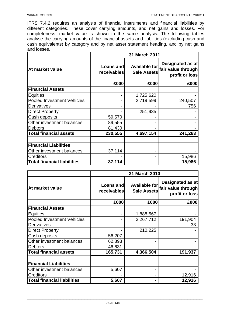IFRS 7.4.2 requires an analysis of financial instruments and financial liabilities by different categories. These cover carrying amounts, and net gains and losses. For completeness, market value is shown in the same analysis. The following tables analyse the carrying amounts of the financial assets and liabilities (excluding cash and cash equivalents) by category and by net asset statement heading, and by net gains and losses.

|                                    | 31 March 2011            |                                     |                                                          |  |
|------------------------------------|--------------------------|-------------------------------------|----------------------------------------------------------|--|
| At market value                    | Loans and<br>receivables | Available for<br><b>Sale Assets</b> | Designated as at<br>fair value through<br>profit or loss |  |
|                                    | £000                     | £000                                | £000                                                     |  |
| <b>Financial Assets</b>            |                          |                                     |                                                          |  |
| Equities                           |                          | 1,725,620                           |                                                          |  |
| <b>Pooled Investment Vehicles</b>  |                          | 2,719,599                           | 240,507                                                  |  |
| <b>Derivatives</b>                 |                          |                                     | 756                                                      |  |
| <b>Direct Property</b>             |                          | 251,935                             |                                                          |  |
| Cash deposits                      | 59,570                   |                                     |                                                          |  |
| Other investment balances          | 89,555                   |                                     |                                                          |  |
| <b>Debtors</b>                     | 81,430                   |                                     |                                                          |  |
| <b>Total financial assets</b>      | 230,555                  | 4,697,154                           | 241,263                                                  |  |
|                                    |                          |                                     |                                                          |  |
| <b>Financial Liabilities</b>       |                          |                                     |                                                          |  |
| Other investment balances          | 37,114                   |                                     |                                                          |  |
| <b>Creditors</b>                   |                          |                                     | 15,986                                                   |  |
| <b>Total financial liabilities</b> | 37,114                   |                                     | 15,986                                                   |  |

|                                    | 31 March 2010            |                                            |                                                          |  |
|------------------------------------|--------------------------|--------------------------------------------|----------------------------------------------------------|--|
| At market value                    | Loans and<br>receivables | <b>Available for</b><br><b>Sale Assets</b> | Designated as at<br>fair value through<br>profit or loss |  |
|                                    | £000                     | £000                                       | £000                                                     |  |
| <b>Financial Assets</b>            |                          |                                            |                                                          |  |
| <b>Equities</b>                    |                          | 1,888,567                                  |                                                          |  |
| <b>Pooled Investment Vehicles</b>  |                          | 2,267,712                                  | 191,904                                                  |  |
| <b>Derivatives</b>                 |                          |                                            | 33                                                       |  |
| <b>Direct Property</b>             |                          | 210,225                                    |                                                          |  |
| Cash deposits                      | 56,207                   |                                            |                                                          |  |
| Other investment balances          | 62,893                   |                                            |                                                          |  |
| <b>Debtors</b>                     | 46,631                   |                                            |                                                          |  |
| <b>Total financial assets</b>      | 165,731                  | 4,366,504                                  | 191,937                                                  |  |
|                                    |                          |                                            |                                                          |  |
| <b>Financial Liabilities</b>       |                          |                                            |                                                          |  |
| Other investment balances          | 5,607                    |                                            |                                                          |  |
| <b>Creditors</b>                   |                          |                                            | 12,916                                                   |  |
| <b>Total financial liabilities</b> | 5,607                    |                                            | 12,916                                                   |  |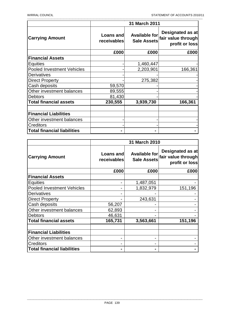|                                    | 31 March 2011            |                                            |                                                          |  |
|------------------------------------|--------------------------|--------------------------------------------|----------------------------------------------------------|--|
| <b>Carrying Amount</b>             | Loans and<br>receivables | <b>Available for</b><br><b>Sale Assets</b> | Designated as at<br>fair value through<br>profit or loss |  |
|                                    | £000                     | £000                                       | £000                                                     |  |
| <b>Financial Assets</b>            |                          |                                            |                                                          |  |
| <b>Equities</b>                    |                          | 1,460,447                                  |                                                          |  |
| <b>Pooled Investment Vehicles</b>  |                          | 2,203,901                                  | 166,361                                                  |  |
| Derivatives                        |                          |                                            |                                                          |  |
| <b>Direct Property</b>             |                          | 275,382                                    |                                                          |  |
| Cash deposits                      | 59,570                   |                                            |                                                          |  |
| Other investment balances          | 89,555                   |                                            |                                                          |  |
| <b>Debtors</b>                     | 81,430                   |                                            |                                                          |  |
| <b>Total financial assets</b>      | 230,555                  | 3,939,730                                  | 166,361                                                  |  |
| <b>Financial Liabilities</b>       |                          |                                            |                                                          |  |
| Other investment balances          |                          |                                            |                                                          |  |
| <b>Creditors</b>                   |                          |                                            |                                                          |  |
| <b>Total financial liabilities</b> |                          |                                            |                                                          |  |

|                                    | 31 March 2010            |                                     |                                                          |  |
|------------------------------------|--------------------------|-------------------------------------|----------------------------------------------------------|--|
| <b>Carrying Amount</b>             | Loans and<br>receivables | Available for<br><b>Sale Assets</b> | Designated as at<br>fair value through<br>profit or loss |  |
|                                    | £000                     | £000                                | £000                                                     |  |
| <b>Financial Assets</b>            |                          |                                     |                                                          |  |
| <b>Equities</b>                    |                          | 1,487,051                           |                                                          |  |
| <b>Pooled Investment Vehicles</b>  |                          | 1,832,979                           | 151,196                                                  |  |
| <b>Derivatives</b>                 |                          |                                     |                                                          |  |
| <b>Direct Property</b>             |                          | 243,631                             |                                                          |  |
| Cash deposits                      | 56,207                   |                                     |                                                          |  |
| Other investment balances          | 62,893                   |                                     |                                                          |  |
| <b>Debtors</b>                     | 46,631                   |                                     |                                                          |  |
| <b>Total financial assets</b>      | 165,731                  | 3,563,661                           | 151,196                                                  |  |
|                                    |                          |                                     |                                                          |  |
| <b>Financial Liabilities</b>       |                          |                                     |                                                          |  |
| Other investment balances          |                          |                                     |                                                          |  |
| <b>Creditors</b>                   |                          |                                     |                                                          |  |
| <b>Total financial liabilities</b> |                          |                                     |                                                          |  |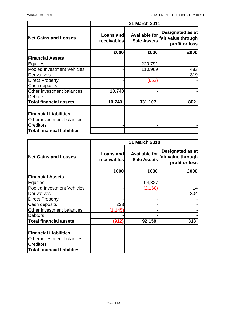|                                    | 31 March 2011            |                                            |                                                          |  |  |
|------------------------------------|--------------------------|--------------------------------------------|----------------------------------------------------------|--|--|
| <b>Net Gains and Losses</b>        | Loans and<br>receivables | <b>Available for</b><br><b>Sale Assets</b> | Designated as at<br>fair value through<br>profit or loss |  |  |
|                                    | £000                     | £000                                       | £000                                                     |  |  |
| <b>Financial Assets</b>            |                          |                                            |                                                          |  |  |
| <b>Equities</b>                    |                          | 220,791                                    |                                                          |  |  |
| <b>Pooled Investment Vehicles</b>  |                          | 110,969                                    | 483                                                      |  |  |
| Derivatives                        |                          |                                            | 319                                                      |  |  |
| <b>Direct Property</b>             |                          | (653)                                      |                                                          |  |  |
| Cash deposits                      |                          |                                            |                                                          |  |  |
| Other investment balances          | 10,740                   |                                            |                                                          |  |  |
| <b>Debtors</b>                     |                          |                                            |                                                          |  |  |
| <b>Total financial assets</b>      | 10,740                   | 331,107                                    | 802                                                      |  |  |
| <b>Financial Liabilities</b>       |                          |                                            |                                                          |  |  |
| Other investment balances          |                          |                                            |                                                          |  |  |
| <b>Creditors</b>                   |                          |                                            |                                                          |  |  |
| <b>Total financial liabilities</b> |                          |                                            |                                                          |  |  |

|                                    | 31 March 2010            |                                     |                                                          |  |
|------------------------------------|--------------------------|-------------------------------------|----------------------------------------------------------|--|
| <b>Net Gains and Losses</b>        | Loans and<br>receivables | Available for<br><b>Sale Assets</b> | Designated as at<br>fair value through<br>profit or loss |  |
|                                    | £000                     | £000                                | £000                                                     |  |
| <b>Financial Assets</b>            |                          |                                     |                                                          |  |
| Equities                           |                          | 94,327                              |                                                          |  |
| <b>Pooled Investment Vehicles</b>  |                          | (2, 168)                            | 14                                                       |  |
| <b>Derivatives</b>                 |                          |                                     | 304                                                      |  |
| <b>Direct Property</b>             |                          |                                     |                                                          |  |
| Cash deposits                      | 233                      |                                     |                                                          |  |
| Other investment balances          | (1,145)                  |                                     |                                                          |  |
| <b>Debtors</b>                     |                          |                                     |                                                          |  |
| <b>Total financial assets</b>      | (912)                    | 92,159                              | 318                                                      |  |
|                                    |                          |                                     |                                                          |  |
| <b>Financial Liabilities</b>       |                          |                                     |                                                          |  |
| Other investment balances          |                          |                                     |                                                          |  |
| <b>Creditors</b>                   |                          |                                     |                                                          |  |
| <b>Total financial liabilities</b> |                          |                                     |                                                          |  |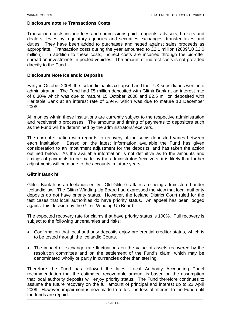#### **Disclosure note re Transactions Costs**

Transaction costs include fees and commissions paid to agents, advisers, brokers and dealers, levies by regulatory agencies and securities exchanges, transfer taxes and duties. They have been added to purchases and netted against sales proceeds as appropriate. Transaction costs during the year amounted to £2.1 million (2009/10 £2.0 million). In addition to these costs, indirect costs are incurred through the bid-offer spread on investments in pooled vehicles. The amount of indirect costs is not provided directly to the Fund.

#### **Disclosure Note Icelandic Deposits**

Early in October 2008, the Icelandic banks collapsed and their UK subsidiaries went into administration. The Fund had £5 million deposited with Glitnir Bank at an interest rate of 6.30% which was due to mature 15 October 2008 and £2.5 million deposited with Heritable Bank at an interest rate of 5.94% which was due to mature 10 December 2008.

All monies within these institutions are currently subject to the respective administration and receivership processes. The amounts and timing of payments to depositors such as the Fund will be determined by the administrators/receivers.

The current situation with regards to recovery of the sums deposited varies between each institution. Based on the latest information available the Fund has given consideration to an impairment adjustment for the deposits, and has taken the action outlined below. As the available information is not definitive as to the amounts and timings of payments to be made by the administrators/receivers, it is likely that further adjustments will be made to the accounts in future years.

#### **Glitnir Bank hf**

Glitnir Bank hf is an Icelandic entity. Old Glitnir's affairs are being administered under Icelandic law. The Glitnir Winding-Up Board had expressed the view that local authority deposits do not have priority status. However, the Iceland District Court ruled for the test cases that local authorities do have priority status. An appeal has been lodged against this decision by the Glitnir Winding-Up Board.

The expected recovery rate for claims that have priority status is 100%. Full recovery is subject to the following uncertainties and risks:

- Confirmation that local authority deposits enjoy preferential creditor status, which is to be tested through the Icelandic Courts.
- The impact of exchange rate fluctuations on the value of assets recovered by the resolution committee and on the settlement of the Fund's claim, which may be denominated wholly or partly in currencies other than sterling.

Therefore the Fund has followed the latest Local Authority Accounting Panel recommendation that the estimated recoverable amount is based on the assumption that local authority deposits will enjoy priority status. The Fund therefore continues to assume the future recovery on the full amount of principal and interest up to 22 April 2009. However, impairment is now made to reflect the loss of interest to the Fund until the funds are repaid.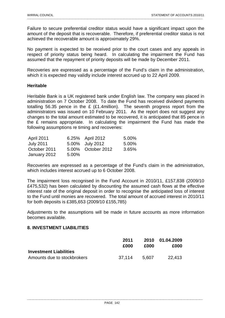Failure to secure preferential creditor status would have a significant impact upon the amount of the deposit that is recoverable. Therefore, if preferential creditor status is not achieved the recoverable amount is approximately 29%.

No payment is expected to be received prior to the court cases and any appeals in respect of priority status being heard. In calculating the impairment the Fund has assumed that the repayment of priority deposits will be made by December 2011.

Recoveries are expressed as a percentage of the Fund's claim in the administration, which it is expected may validly include interest accrued up to 22 April 2009.

#### **Heritable**

Heritable Bank is a UK registered bank under English law. The company was placed in administration on 7 October 2008. To date the Fund has received dividend payments totalling 56.35 pence in the £ (£1.4million). The seventh progress report from the administrators was issued on 10 February 2011. As the report does not suggest any changes to the total amount estimated to be recovered, it is anticipated that 85 pence in the £ remains appropriate. In calculating the impairment the Fund has made the following assumptions re timing and recoveries:

| <b>April 2011</b> |       | 6.25% April 2012   | 5.00% |
|-------------------|-------|--------------------|-------|
| <b>July 2011</b>  |       | 5.00% July 2012    | 5.00% |
| October 2011      |       | 5.00% October 2012 | 3.65% |
| January 2012      | 5.00% |                    |       |

Recoveries are expressed as a percentage of the Fund's claim in the administration, which includes interest accrued up to 6 October 2008.

The impairment loss recognised in the Fund Account in 2010/11, £157,838 (2009/10 £475,532) has been calculated by discounting the assumed cash flows at the effective interest rate of the original deposit in order to recognise the anticipated loss of interest to the Fund until monies are recovered. The total amount of accrued interest in 2010/11 for both deposits is £385,653 (2009/10 £155,785)

Adjustments to the assumptions will be made in future accounts as more information becomes available.

## **8. INVESTMENT LIABILITIES**

|                               | 2011   |       | 2010 01.04.2009 |  |
|-------------------------------|--------|-------|-----------------|--|
|                               | £000   | £000  | £000            |  |
| <b>Investment Liabilities</b> |        |       |                 |  |
| Amounts due to stockbrokers   | 37.114 | 5.607 | 22.413          |  |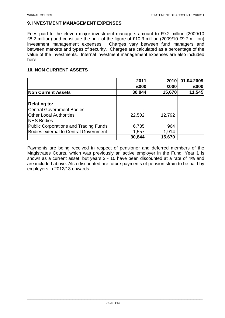#### **9. INVESTMENT MANAGEMENT EXPENSES**

Fees paid to the eleven major investment managers amount to £9.2 million (2009/10 £8.2 million) and constitute the bulk of the figure of £10.3 million (2009/10 £9.7 million) investment management expenses. Charges vary between fund managers and between markets and types of security. Charges are calculated as a percentage of the value of the investments. Internal investment management expenses are also included here.

## **10. NON CURRENT ASSETS**

|                                              | 2011           | 2010   | 01.04.2009 |
|----------------------------------------------|----------------|--------|------------|
|                                              | £000           | £000   | £000       |
| <b>Non Current Assets</b>                    | 30,844         | 15,670 | 11,545     |
|                                              |                |        |            |
| <b>Relating to:</b>                          |                |        |            |
| <b>Central Government Bodies</b>             | $\blacksquare$ |        |            |
| <b>Other Local Authorities</b>               | 22,502         | 12,792 |            |
| <b>NHS Bodies</b>                            |                |        |            |
| Public Corporations and Trading Funds        | 6,785          | 964    |            |
| <b>Bodies external to Central Government</b> | 1,557          | 1,914  |            |
|                                              | 30,844         | 15,670 |            |

Payments are being received in respect of pensioner and deferred members of the Magistrates Courts, which was previously an active employer in the Fund. Year 1 is shown as a current asset, but years 2 - 10 have been discounted at a rate of 4% and are included above. Also discounted are future payments of pension strain to be paid by employers in 2012/13 onwards.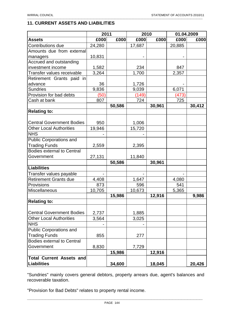# **11. CURRENT ASSETS AND LIABILITIES**

|                                   | 2011   |        | 2010   |        | 01.04.2009 |        |
|-----------------------------------|--------|--------|--------|--------|------------|--------|
| <b>Assets</b>                     | £000   | £000   | £000   | £000   | £000       | £000   |
| Contributions due                 | 24,280 |        | 17,687 |        | 20,885     |        |
| Amounts due from external         |        |        |        |        |            |        |
| managers                          | 10,831 |        |        |        |            |        |
| Accrued and outstanding           |        |        |        |        |            |        |
| investment income                 | 1,582  |        | 234    |        | 847        |        |
| Transfer values receivable        | 3,264  |        | 1,700  |        | 2,357      |        |
| Retirement Grants paid in         |        |        |        |        |            |        |
| advance                           | 36     |        | 1,726  |        |            |        |
| <b>Sundries</b>                   | 9,836  |        | 9,039  |        | 6,071      |        |
| Provision for bad debts           | (50)   |        | (149)  |        | (473)      |        |
| Cash at bank                      | 807    |        | 724    |        | 725        |        |
|                                   |        | 50,586 |        | 30,961 |            | 30,412 |
| <b>Relating to:</b>               |        |        |        |        |            |        |
|                                   |        |        |        |        |            |        |
| <b>Central Government Bodies</b>  | 950    |        | 1,006  |        |            |        |
| <b>Other Local Authorities</b>    | 19,946 |        | 15,720 |        |            |        |
| <b>NHS</b>                        |        |        |        |        |            |        |
| <b>Public Corporations and</b>    |        |        |        |        |            |        |
| <b>Trading Funds</b>              | 2,559  |        | 2,395  |        |            |        |
| <b>Bodies external to Central</b> |        |        |        |        |            |        |
| Government                        | 27,131 |        | 11,840 |        |            |        |
|                                   |        | 50,586 |        | 30,961 |            |        |
| <b>Liabilities</b>                |        |        |        |        |            |        |
| Transfer values payable           |        |        |        |        |            |        |
| <b>Retirement Grants due</b>      | 4,408  |        | 1,647  |        | 4,080      |        |
| Provisions                        | 873    |        | 596    |        | 541        |        |
| Miscellaneous                     | 10,705 |        | 10,673 |        | 5,365      |        |
|                                   |        | 15,986 |        | 12,916 |            | 9,986  |
| <b>Relating to:</b>               |        |        |        |        |            |        |
|                                   |        |        |        |        |            |        |
| <b>Central Government Bodies</b>  | 2,737  |        | 1,885  |        |            |        |
| <b>Other Local Authorities</b>    | 3,564  |        | 3,025  |        |            |        |
| <b>NHS</b>                        |        |        |        |        |            |        |
| <b>Public Corporations and</b>    |        |        |        |        |            |        |
| <b>Trading Funds</b>              | 855    |        | 277    |        |            |        |
| <b>Bodies external to Central</b> |        |        |        |        |            |        |
| Government                        | 8,830  |        | 7,729  |        |            |        |
|                                   |        | 15,986 |        | 12,916 |            |        |
| <b>Total Current Assets and</b>   |        |        |        |        |            |        |
| <b>Liabilities</b>                |        | 34,600 |        | 18,045 |            | 20,426 |

"Sundries" mainly covers general debtors, property arrears due, agent's balances and recoverable taxation.

"Provision for Bad Debts" relates to property rental income.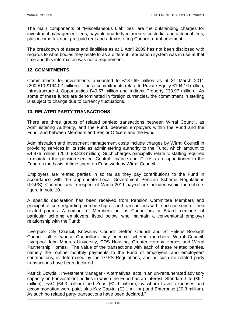The main components of "Miscellaneous Liabilities" are the outstanding charges for investment management fees, payable quarterly in arrears, custodial and actuarial fees, plus income tax due, pre-paid rent and administering Council re-imbursement.

The breakdown of assets and liabilities as at 1 April 2009 has not been disclosed with regards to what bodies they relate to as a different information system was in use at that time and this information was not a requirement.

## **12. COMMITMENTS**

Commitments for investments amounted to £187.69 million as at 31 March 2011 (2009/10 £194.02 million). These commitments relate to Private Equity £104.16 million, Infrastructure & Opportunities £49.57 million and Indirect Property £33.97 million. As some of these funds are denominated in foreign currencies, the commitment in sterling is subject to change due to currency fluctuations.

## **13. RELATED PARTY TRANSACTIONS**

There are three groups of related parties: transactions between Wirral Council, as Administering Authority, and the Fund, between employers within the Fund and the Fund, and between Members and Senior Officers and the Fund.

Administration and investment management costs include charges by Wirral Council in providing services in its role as administering authority to the Fund, which amount to £4.876 million. (2010 £3.838 million). Such charges principally relate to staffing required to maintain the pension service. Central, finance and IT costs are apportioned to the Fund on the basis of time spent on Fund work by Wirral Council.

Employers are related parties in so far as they pay contributions to the Fund in accordance with the appropriate Local Government Pension Scheme Regulations (LGPS). Contributions in respect of March 2011 payroll are included within the debtors figure in note 10.

A specific declaration has been received from Pension Committee Members and principal officers regarding membership of, and transactions with, such persons or their related parties. A number of Members act as Councillors or Board members of particular scheme employers, listed below, who maintain a conventional employer relationship with the Fund:

Liverpool City Council, Knowsley Council, Sefton Council and St Helens Borough Council, all of whose Councillors may become scheme members, Wirral Council, Liverpool John Moores University, CDS Housing, Greater Hornby Homes and Wirral Partnership Homes. The value of the transactions with each of these related parties, namely the routine monthly payments to the Fund of employers' and employees' contributions, is determined by the LGPS Regulations, and as such no related party transactions have been declared.

Patrick Dowdall, Investment Manager - Alternatives, acts in an un-remunerated advisory capacity on 5 investment bodies in which the Fund has an interest, Standard Life (£9.1 million), F&C (£4.3 million) and Zeus (£1.9 million), by whom travel expenses and accommodation were paid, plus Key Capital (£2.1 million) and Enterprise (£0.3 million). As such no related party transactions have been declared."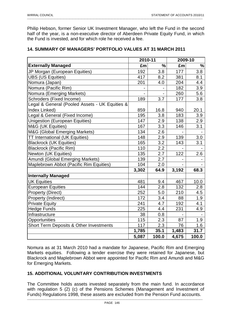Philip Hebson, former Senior UK Investment Manager, who left the Fund in the second half of the year, is a non-executive director of Aberdeen Private Equity Fund, in which the Fund is invested, and for which role he received a fee.

## **14. SUMMARY OF MANAGERS' PORTFOLIO VALUES AT 31 MARCH 2011**

|                                                | 2010-11 |               | 2009-10 |       |
|------------------------------------------------|---------|---------------|---------|-------|
| <b>Externally Managed</b>                      | £m      | $\frac{9}{6}$ | £m      | $\%$  |
| JP Morgan (European Equities)                  | 192     | 3.8           | 177     | 3.8   |
| <b>UBS (US Equities)</b>                       | 417     | 8.2           | 381     | 8.1   |
| Nomura (Japan)                                 | 201     | 4.0           | 204     | 4.4   |
| Nomura (Pacific Rim)                           |         |               | 182     | 3.9   |
| Nomura (Emerging Markets)                      |         |               | 260     | 5.6   |
| Schroders (Fixed Income)                       | 189     | 3.7           | 177     | 3.8   |
| Legal & General (Pooled Assets - UK Equities & |         |               |         |       |
| Index Linked)                                  | 859     | 16.8          | 940     | 20.1  |
| Legal & General (Fixed Income)                 | 195     | 3.8           | 183     | 3.9   |
| <b>Unigestion (European Equities)</b>          | 147     | 2.9           | 138     | 2.9   |
| M&G (UK Equities)                              | 167     | 3.3           | 146     | 3.1   |
| M&G (Global Emerging Markets)                  | 134     | 2.6           |         |       |
| <b>TT International (UK Equities)</b>          | 148     | 2.9           | 139     | 3.0   |
| <b>Blackrock (UK Equities)</b>                 | 165     | 3.2           | 143     | 3.1   |
| <b>Blackrock (Pacific Rim)</b>                 | 110     | 2.2           |         |       |
| <b>Newton (UK Equities)</b>                    | 135     | 2.7           | 122     | 2.6   |
| Amundi (Global Emerging Markets)               | 139     | 2.7           |         |       |
| Maplebrown Abbot (Pacific Rim Equities)        | 104     | 2.0           |         |       |
|                                                | 3,302   | 64.9          | 3,192   | 68.3  |
| <b>Internally Managed</b>                      |         |               |         |       |
| <b>UK Equities</b>                             | 481     | 9.4           | 467     | 10.0  |
| <b>European Equities</b>                       | 144     | 2.8           | 132     | 2.8   |
| <b>Property (Direct)</b>                       | 252     | 5.0           | 210     | 4.5   |
| Property (Indirect)                            | 172     | 3.4           | 88      | 1.9   |
| <b>Private Equity</b>                          | 241     | 4.7           | 192     | 4.1   |
| <b>Hedge Funds</b>                             | 225     | 4.4           | 231     | 4.9   |
| Infrastructure                                 | 38      | 0.8           |         |       |
| Opportunities                                  | 115     | 2.3           | 87      | 1.9   |
| Short Term Deposits & Other Investments        | 117     | 2.3           | 76      | 1.6   |
|                                                | 1,785   | 35.1          | 1,483   | 31.7  |
|                                                | 5,087   | 100.0         | 4,675   | 100.0 |

Nomura as at 31 March 2010 had a mandate for Japanese, Pacific Rim and Emerging Markets equities. Following a tender exercise they were retained for Japanese, but Blackrock and Maplebrown Abbot were appointed for Pacific Rim and Amundi and M&G for Emerging Markets.

## **15. ADDITIONAL VOLUNTARY CONTRIBUTION INVESTMENTS**

The Committee holds assets invested separately from the main fund. In accordance with regulation 5 (2) (c) of the Pensions Schemes (Management and Investment of Funds) Regulations 1998, these assets are excluded from the Pension Fund accounts.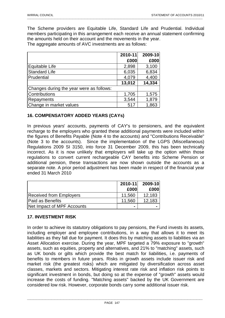The Scheme providers are Equitable Life, Standard Life and Prudential. Individual members participating in this arrangement each receive an annual statement confirming the amounts held on their account and the movements in the year. The aggregate amounts of AVC investments are as follows:

|                                          | 2010-11 | 2009-10 |
|------------------------------------------|---------|---------|
|                                          | £000    | £000    |
| Equitable Life                           | 2,898   | 3,100   |
| <b>Standard Life</b>                     | 6,035   | 6,834   |
| Prudential                               | 4,079   | 4,400   |
|                                          | 13,012  | 14,334  |
| Changes during the year were as follows: |         |         |
| <b>Contributions</b>                     | 1,705   | 1,575   |
| Repayments                               | 3,544   | 1,879   |
| Change in market values                  | 517     | 1,863   |

## **16. COMPENSATORY ADDED YEARS (CAYs)**

In previous years' accounts, payments of CAY's to pensioners, and the equivalent recharge to the employers who granted these additional payments were included within the figures of Benefits Payable (Note 4 to the accounts) and "Contributions Receivable" (Note 3 to the accounts). Since the implementation of the LGPS (Miscellaneous) Regulations 2009 SI 3150, into force 31 December 2009, this has been technically incorrect. As it is now unlikely that employers will take up the option within those regulations to convert current rechargeable CAY benefits into Scheme Pension or additional pension, these transactions are now shown outside the accounts as a separate note. A prior period adjustment has been made in respect of the financial year ended 31 March 2010

|                                | $2010 - 11$ | 2009-10 |
|--------------------------------|-------------|---------|
|                                | £000        | £000    |
| <b>Received from Employers</b> | 11,560      | 12,183  |
| <b>Paid as Benefits</b>        | 11,560      | 12,183  |
| Net Impact of MPF Accounts     | -           | -       |

## **17. INVESTMENT RISK**

In order to achieve its statutory obligations to pay pensions, the Fund invests its assets, including employer and employee contributions, in a way that allows it to meet its liabilities as they fall due for payment. It does this by matching assets to liabilities via an Asset Allocation exercise. During the year, MPF targeted a 79% exposure to "growth" assets, such as equities, property and alternatives, and 21% to "matching" assets, such as UK bonds or gilts which provide the best match for liabilities, i.e. payments of benefits to members in future years. Risks in growth assets include issuer risk and market risk (the greatest risks) which are mitigated by diversification across asset classes, markets and sectors. Mitigating interest rate risk and inflation risk points to significant investment in bonds, but doing so at the expense of "growth" assets would increase the costs of funding. "Matching assets" backed by the UK Government are considered low risk. However, corporate bonds carry some additional issuer risk.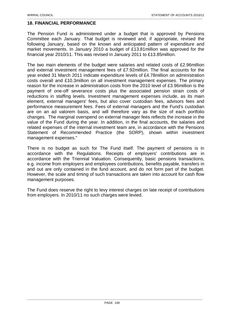## **18. FINANCIAL PERFORMANCE**

The Pension Fund is administered under a budget that is approved by Pensions Committee each January. That budget is reviewed and, if appropriate, revised the following January, based on the known and anticipated pattern of expenditure and market movements. In January 2010 a budget of £13.81million was approved for the financial year 2010/11. This was revised in January 2011 to £13.85million.

The two main elements of the budget were salaries and related costs of £2.96million and external investment management fees of £7.92million. The final accounts for the year ended 31 March 2011 indicate expenditure levels of £4.78million on administration costs overall and £10.3million on all investment management expenses. The primary reason for the increase in administration costs from the 2010 level of £3.96million is the payment of one-off severance costs plus the associated pension strain costs of reductions in staffing levels. Investment management expenses include, as its main element, external managers' fees, but also cover custodian fees, advisors fees and performance measurement fees. Fees of external managers and the Fund's custodian are on an ad valorem basis, and will therefore vary as the size of each portfolio changes. The marginal overspend on external manager fees reflects the increase in the value of the Fund during the year. In addition, in the final accounts, the salaries and related expenses of the internal investment team are, in accordance with the Pensions Statement of Recommended Practice (the SORP), shown within investment management expenses."

There is no budget as such for The Fund itself. The payment of pensions is in accordance with the Regulations. Receipts of employers' contributions are in accordance with the Triennial Valuation. Consequently, basic pensions transactions, e.g. income from employers and employees contributions, benefits payable, transfers in and out are only contained in the fund account, and do not form part of the budget. However, the scale and timing of such transactions are taken into account for cash flow management purposes.

The Fund does reserve the right to levy interest charges on late receipt of contributions from employers. In 2010/11 no such charges were levied.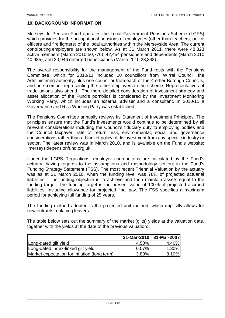## **19. BACKGROUND INFORMATION**

Merseyside Pension Fund operates the Local Government Pensions Scheme (LGPS) which provides for the occupational pensions of employees (other than teachers, police officers and fire fighters) of the local authorities within the Merseyside Area. The current contributing employers are shown below. As at 31 March 2011, there were 48,323 active members (March 2010 50,776), 42,454 pensioners and dependents (March 2010 40,935), and 30,946 deferred beneficiaries (March 2010 28,848).

The overall responsibility for the management of the Fund rests with the Pensions Committee, which for 2010/11 included 10 councillors from Wirral Council, the Administering authority, plus one councillor from each of the 4 other Borough Councils, and one member representing the other employers in the scheme. Representatives of trade unions also attend. The more detailed consideration of investment strategy and asset allocation of the Fund's portfolios is considered by the Investment Monitoring Working Party, which includes an external adviser and a consultant. In 2010/11 a Governance and Risk Working Party was established.

The Pensions Committee annually reviews its Statement of Investment Principles. The principles ensure that the Fund's investments would continue to be determined by all relevant considerations including the Council's fiduciary duty to employing bodies and the Council taxpayer, rate of return, risk, environmental, social and governance considerations rather than a blanket policy of disinvestment from any specific industry or sector. The latest review was in March 2010, and is available on the Fund's website: merseysidepensionfund.org.uk.

Under the LGPS Regulations, employer contributions are calculated by the Fund's actuary, having regards to the assumptions and methodology set out in the Fund's Funding Strategy Statement (FSS). The most recent Triennial Valuation by the actuary was as at 31 March 2010, when the funding level was 78% of projected actuarial liabilities. The funding objective is to achieve and then maintain assets equal to the funding target. The funding target is the present value of 100% of projected accrued liabilities, including allowance for projected final pay. The FSS specifies a maximum period for achieving full funding of 25 years.

The funding method adopted is the projected unit method, which implicitly allows for new entrants replacing leavers.

The table below sets out the summary of the market (gilts) yields at the valuation date, together with the yields at the date of the previous valuation:

|                                              |          | 31-Mar-2010 31-Mar-2007 |
|----------------------------------------------|----------|-------------------------|
| Long-dated gilt yield                        | 4.50%    | 4.40%                   |
| Long-dated index-linked gilt yield           | 0.07%    | $1.30\%$                |
| Market expectation for inflation (long term) | $3.80\%$ | 3.10%                   |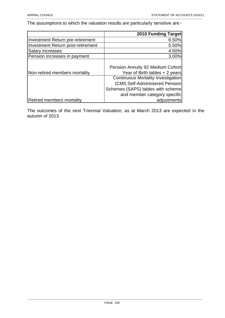## The assumptions to which the valuation results are particularly sensitive are:-

|                                         | 2010 Funding Target                                                                                        |
|-----------------------------------------|------------------------------------------------------------------------------------------------------------|
| <b>Investment Return pre-retirement</b> | 6.50%                                                                                                      |
| Investment Return post-retirement       | 5.50%                                                                                                      |
| Salary increases                        | 4.50%                                                                                                      |
| Pension increases in payment            | 3.00%                                                                                                      |
| Non-retired members mortality           | Pension Annuity 92 Medium Cohort<br>Year of Birth tables $+ 2$ years<br>Continuous Mortality Investigation |
|                                         | (CMI) Self-Administered Pension<br>Schemes (SAPS) tables with scheme<br>and member category specific       |
| Retired members mortality               | adjustments                                                                                                |

The outcomes of the next Triennial Valuation, as at March 2013 are expected in the autumn of 2013.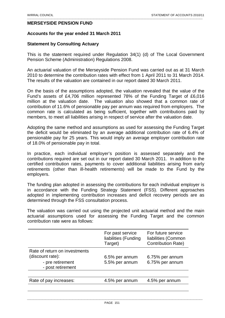## **MERSEYSIDE PENSION FUND**

#### **Accounts for the year ended 31 March 2011**

#### **Statement by Consulting Actuary**

This is the statement required under Regulation 34(1) (d) of The Local Government Pension Scheme (Administration) Regulations 2008.

An actuarial valuation of the Merseyside Pension Fund was carried out as at 31 March 2010 to determine the contribution rates with effect from 1 April 2011 to 31 March 2014. The results of the valuation are contained in our report dated 30 March 2011.

On the basis of the assumptions adopted, the valuation revealed that the value of the Fund's assets of £4,706 million represented 78% of the Funding Target of £6,016 million at the valuation date. The valuation also showed that a common rate of contribution of 11.6% of pensionable pay per annum was required from employers. The common rate is calculated as being sufficient, together with contributions paid by members, to meet all liabilities arising in respect of service after the valuation date.

Adopting the same method and assumptions as used for assessing the Funding Target the deficit would be eliminated by an average additional contribution rate of 6.4% of pensionable pay for 25 years. This would imply an average employer contribution rate of 18.0% of pensionable pay in total.

In practice, each individual employer's position is assessed separately and the contributions required are set out in our report dated 30 March 2011. In addition to the certified contribution rates, payments to cover additional liabilities arising from early retirements (other than ill-health retirements) will be made to the Fund by the employers.

The funding plan adopted in assessing the contributions for each individual employer is in accordance with the Funding Strategy Statement (FSS). Different approaches adopted in implementing contribution increases and deficit recovery periods are as determined through the FSS consultation process.

The valuation was carried out using the projected unit actuarial method and the main actuarial assumptions used for assessing the Funding Target and the common contribution rate were as follows:

|                                                                                            | For past service<br>liabilities (Funding<br>Target) | For future service<br>liabilities (Common<br><b>Contribution Rate)</b> |
|--------------------------------------------------------------------------------------------|-----------------------------------------------------|------------------------------------------------------------------------|
| Rate of return on investments<br>(discount rate):<br>- pre retirement<br>- post retirement | 6.5% per annum<br>5.5% per annum                    | 6.75% per annum<br>6.75% per annum                                     |
| Rate of pay increases:                                                                     | 4.5% per annum                                      | 4.5% per annum                                                         |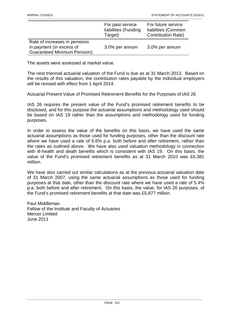|                                     | For past service<br>liabilities (Funding<br>Target) | For future service<br>liabilities (Common<br><b>Contribution Rate)</b> |
|-------------------------------------|-----------------------------------------------------|------------------------------------------------------------------------|
| Rate of increases in pensions       |                                                     |                                                                        |
| in payment (in excess of            | 3.0% per annum                                      | 3.0% per annum                                                         |
| <b>Guaranteed Minimum Pension):</b> |                                                     |                                                                        |

The assets were assessed at market value.

The next triennial actuarial valuation of the Fund is due as at 31 March 2013. Based on the results of this valuation, the contribution rates payable by the individual employers will be revised with effect from 1 April 2014.

Actuarial Present Value of Promised Retirement Benefits for the Purposes of IAS 26

IAS 26 requires the present value of the Fund's promised retirement benefits to be disclosed, and for this purpose the actuarial assumptions and methodology used should be based on IAS 19 rather than the assumptions and methodology used for funding purposes.

In order to assess the value of the benefits on this basis, we have used the same actuarial assumptions as those used for funding purposes, other than the discount rate where we have used a rate of 5.6% p.a. both before and after retirement, rather than the rates as outlined above. We have also used valuation methodology in connection with ill-health and death benefits which is consistent with IAS 19. On this basis, the value of the Fund's promised retirement benefits as at 31 March 2010 was £6,381 million.

We have also carried out similar calculations as at the previous actuarial valuation date of 31 March 2007, using the same actuarial assumptions as those used for funding purposes at that date, other than the discount rate where we have used a rate of 5.4% p.a. both before and after retirement. On this basis, the value, for IAS 26 purposes, of the Fund's promised retirement benefits at that date was £5,877 million.

Paul Middleman Fellow of the Institute and Faculty of Actuaries Mercer Limited June 2011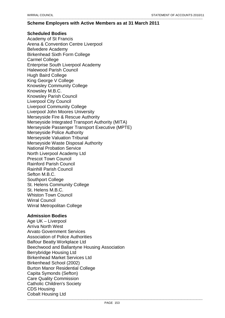#### **Scheme Employers with Active Members as at 31 March 2011**

## **Scheduled Bodies**

Academy of St Francis Arena & Convention Centre Liverpool Belvedere Academy Birkenhead Sixth Form College Carmel College Enterprise South Liverpool Academy Halewood Parish Council Hugh Baird College King George V College Knowsley Community College Knowsley M.B.C. Knowsley Parish Council Liverpool City Council Liverpool Community College Liverpool John Moores University Merseyside Fire & Rescue Authority Merseyside Integrated Transport Authority (MITA) Merseyside Passenger Transport Executive (MPTE) Merseyside Police Authority Merseyside Valuation Tribunal Merseyside Waste Disposal Authority National Probation Service North Liverpool Academy Ltd Prescot Town Council Rainford Parish Council Rainhill Parish Council Sefton M.B.C. Southport College St. Helens Community College St. Helens M.B.C. Whiston Town Council Wirral Council Wirral Metropolitan College

## **Admission Bodies**

Age UK – Liverpool Arriva North West Arvato Government Services Association of Police Authorities Balfour Beatty Workplace Ltd Beechwood and Ballantyne Housing Association Berrybridge Housing Ltd Birkenhead Market Services Ltd Birkenhead School (2002) Burton Manor Residential College Capita Symonds (Sefton) Care Quality Commission Catholic Children's Society CDS Housing Cobalt Housing Ltd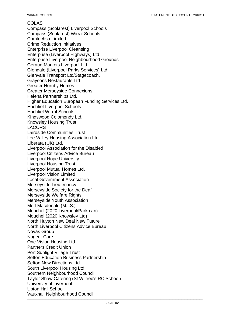Compass (Scolarest) Liverpool Schools

COLAS

## Compass (Scolarest) Wirral Schools Comtechsa Limited Crime Reduction Initiatives Enterprise Liverpool Cleansing Enterprise (Liverpool Highways) Ltd Enterprise Liverpool Neighbourhood Grounds Geraud Markets Liverpool Ltd Glendale (Liverpool Parks Services) Ltd Glenvale Transport Ltd/Stagecoach. Graysons Restaurants Ltd Greater Hornby Homes Greater Merseyside Connexions Helena Partnerships Ltd. Higher Education European Funding Services Ltd. Hochtief Liverpool Schools Hochtief Wirral Schools Kingswood Colomendy Ltd. Knowsley Housing Trust LACORS Lairdside Communities Trust Lee Valley Housing Association Ltd Liberata (UK) Ltd. Liverpool Association for the Disabled Liverpool Citizens Advice Bureau Liverpool Hope University Liverpool Housing Trust Liverpool Mutual Homes Ltd. Liverpool Vision Limited Local Government Association Merseyside Lieutenancy Merseyside Society for the Deaf Merseyside Welfare Rights Merseyside Youth Association Mott Macdonald (M.I.S.) Mouchel (2020 Liverpool/Parkman) Mouchel (2020 Knowsley Ltd) North Huyton New Deal New Future North Liverpool Citizens Advice Bureau Novas Group Nugent Care One Vision Housing Ltd. Partners Credit Union Port Sunlight Village Trust Sefton Education Business Partnership Sefton New Directions Ltd. South Liverpool Housing Ltd Southern Neighbourhood Council Taylor Shaw Catering (St Wilfred's RC School) University of Liverpool Upton Hall School Vauxhall Neighbourhood Council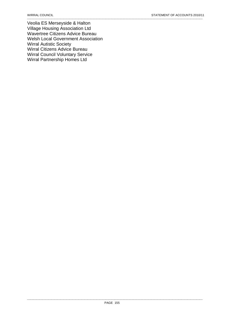Veolia ES Merseyside & Halton Village Housing Association Ltd Wavertree Citizens Advice Bureau Welsh Local Government Association Wirral Autistic Society Wirral Citizens Advice Bureau Wirral Council Voluntary Service Wirral Partnership Homes Ltd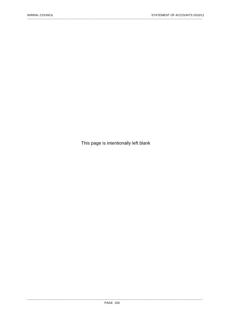This page is intentionally left blank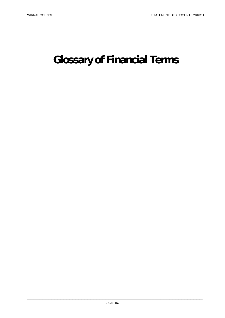# **Glossary of Financial Terms**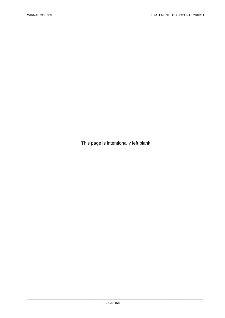This page is intentionally left blank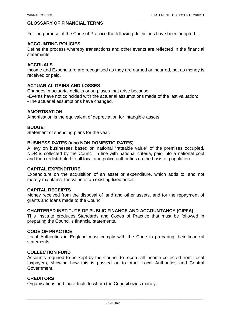## **GLOSSARY OF FINANCIAL TERMS**

For the purpose of the Code of Practice the following definitions have been adopted.

#### **ACCOUNTING POLICIES**

Define the process whereby transactions and other events are reflected in the financial statements.

#### **ACCRUALS**

Income and Expenditure are recognised as they are earned or incurred, not as money is received or paid.

#### **ACTUARIAL GAINS AND LOSSES**

Changes in actuarial deficits or surpluses that arise because: •Events have not coincided with the actuarial assumptions made of the last valuation; •The actuarial assumptions have changed.

#### **AMORTISATION**

Amortisation is the equivalent of depreciation for intangible assets.

#### **BUDGET**

Statement of spending plans for the year.

## **BUSINESS RATES (also NON DOMESTIC RATES)**

A levy on businesses based on national "rateable value" of the premises occupied. NDR is collected by the Council in line with national criteria, paid into a national pool and then redistributed to all local and police authorities on the basis of population.

#### **CAPITAL EXPENDITURE**

Expenditure on the acquisition of an asset or expenditure, which adds to, and not merely maintains, the value of an existing fixed asset.

## **CAPITAL RECEIPTS**

Money received from the disposal of land and other assets, and for the repayment of grants and loans made to the Council.

## **CHARTERED INSTITUTE OF PUBLIC FINANCE AND ACCOUNTANCY (CIPFA)**

This Institute produces Standards and Codes of Practice that must be followed in preparing the Council's financial statements.

#### **CODE OF PRACTICE**

Local Authorities in England must comply with the Code in preparing their financial statements.

## **COLLECTION FUND**

Accounts required to be kept by the Council to record all income collected from Local taxpayers, showing how this is passed on to other Local Authorities and Central Government.

#### **CREDITORS**

Organisations and individuals to whom the Council owes money.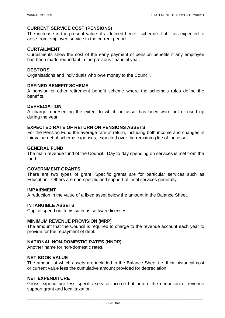## **CURRENT SERVICE COST (PENSIONS)**

The increase in the present value of a defined benefit scheme's liabilities expected to arise from employee service in the current period.

#### **CURTAILMENT**

Curtailments show the cost of the early payment of pension benefits if any employee has been made redundant in the previous financial year.

#### **DEBTORS**

Organisations and individuals who owe money to the Council.

#### **DEFINED BENEFIT SCHEME**

A pension or other retirement benefit scheme where the scheme's rules define the benefits.

#### **DEPRECIATION**

A charge representing the extent to which an asset has been worn out or used up during the year.

#### **EXPECTED RATE OF RETURN ON PENSIONS ASSETS**

For the Pension Fund the average rate of return, including both income and changes in fair value net of scheme expenses, expected over the remaining life of the asset.

#### **GENERAL FUND**

The main revenue fund of the Council. Day to day spending on services is met from the fund.

#### **GOVERNMENT GRANTS**

There are two types of grant. Specific grants are for particular services such as Education. Others are non-specific and support of local services generally.

#### **IMPAIRMENT**

A reduction in the value of a fixed asset below the amount in the Balance Sheet.

## **INTANGIBLE ASSETS**

Capital spend on items such as software licenses.

#### **MINIMUM REVENUE PROVISION (MRP)**

The amount that the Council is required to charge to the revenue account each year to provide for the repayment of debt.

## **NATIONAL NON-DOMESTIC RATES (NNDR)**

Another name for non-domestic rates.

#### **NET BOOK VALUE**

The amount at which assets are included in the Balance Sheet i.e. their historical cost or current value less the cumulative amount provided for depreciation.

#### **NET EXPENDITURE**

Gross expenditure less specific service income but before the deduction of revenue support grant and local taxation.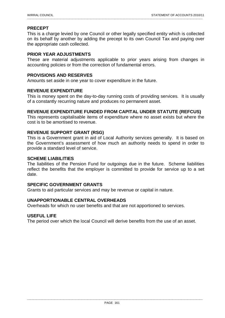## **PRECEPT**

This is a charge levied by one Council or other legally specified entity which is collected on its behalf by another by adding the precept to its own Council Tax and paying over the appropriate cash collected.

## **PRIOR YEAR ADJUSTMENTS**

These are material adjustments applicable to prior years arising from changes in accounting policies or from the correction of fundamental errors.

## **PROVISIONS AND RESERVES**

Amounts set aside in one year to cover expenditure in the future.

## **REVENUE EXPENDITURE**

This is money spent on the day-to-day running costs of providing services. It is usually of a constantly recurring nature and produces no permanent asset.

## **REVENUE EXPENDITURE FUNDED FROM CAPITAL UNDER STATUTE (REFCUS)**

This represents capitalisable items of expenditure where no asset exists but where the cost is to be amortised to revenue.

## **REVENUE SUPPORT GRANT (RSG)**

This is a Government grant in aid of Local Authority services generally. It is based on the Government's assessment of how much an authority needs to spend in order to provide a standard level of service.

## **SCHEME LIABILITIES**

The liabilities of the Pension Fund for outgoings due in the future. Scheme liabilities reflect the benefits that the employer is committed to provide for service up to a set date.

## **SPECIFIC GOVERNMENT GRANTS**

Grants to aid particular services and may be revenue or capital in nature.

## **UNAPPORTIONABLE CENTRAL OVERHEADS**

Overheads for which no user benefits and that are not apportioned to services.

#### **USEFUL LIFE**

The period over which the local Council will derive benefits from the use of an asset.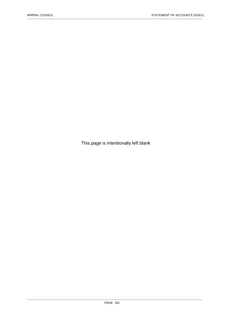This page is intentionally left blank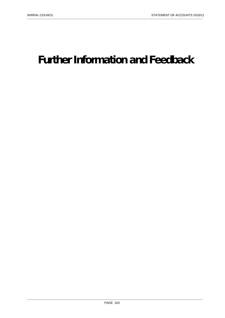## **Further Information and Feedback**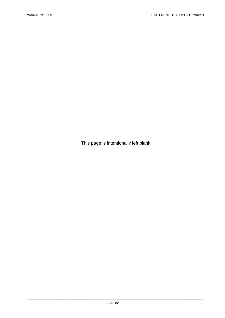This page is intentionally left blank